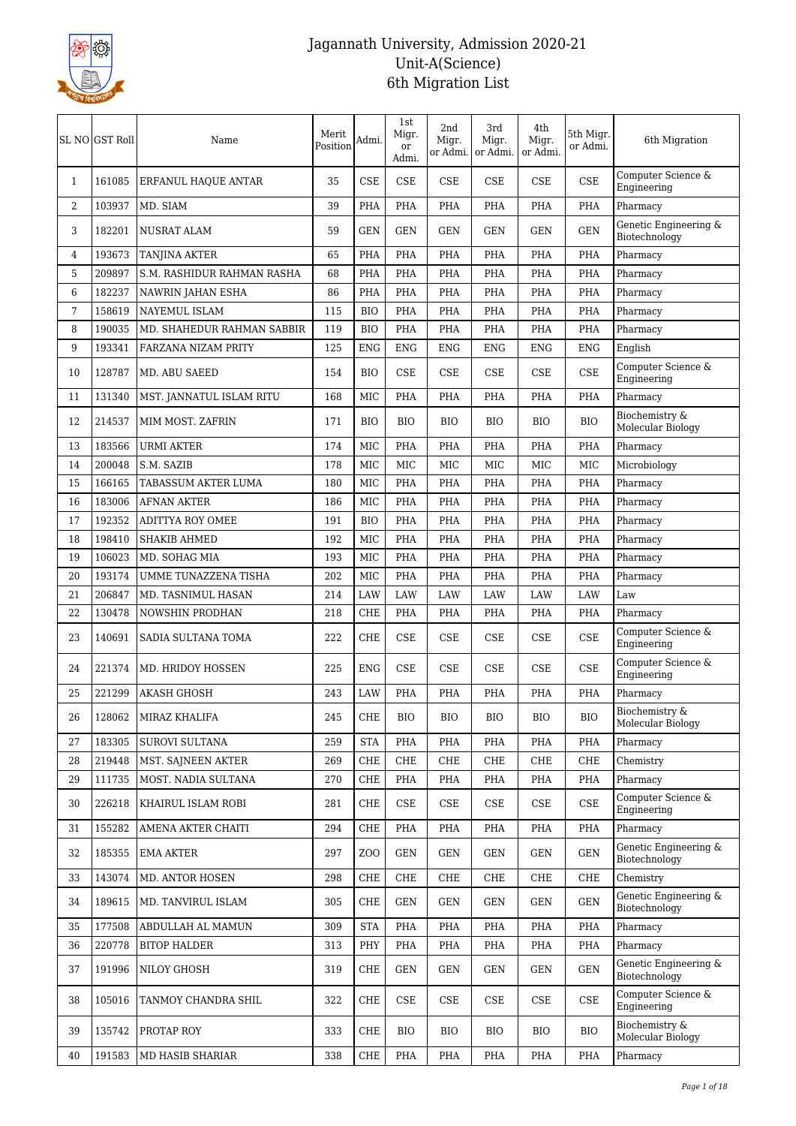

|              | SL NO GST Roll | Name                       | Merit<br>Position | Admi.          | 1st<br>Migr.<br><b>or</b><br>Admi. | 2nd<br>Migr.<br>or Admi. | 3rd<br>Migr.<br>or Admi. | 4th<br>Migr.<br>or Admi. | 5th Migr.<br>or Admi.       | 6th Migration                          |
|--------------|----------------|----------------------------|-------------------|----------------|------------------------------------|--------------------------|--------------------------|--------------------------|-----------------------------|----------------------------------------|
| $\mathbf{1}$ | 161085         | ERFANUL HAQUE ANTAR        | 35                | <b>CSE</b>     | <b>CSE</b>                         | <b>CSE</b>               | <b>CSE</b>               | CSE                      | CSE                         | Computer Science &<br>Engineering      |
| 2            | 103937         | MD. SIAM                   | 39                | PHA            | PHA                                | <b>PHA</b>               | <b>PHA</b>               | <b>PHA</b>               | <b>PHA</b>                  | Pharmacy                               |
| 3            | 182201         | <b>NUSRAT ALAM</b>         | 59                | <b>GEN</b>     | <b>GEN</b>                         | <b>GEN</b>               | <b>GEN</b>               | <b>GEN</b>               | <b>GEN</b>                  | Genetic Engineering &<br>Biotechnology |
| 4            | 193673         | <b>TANJINA AKTER</b>       | 65                | PHA            | PHA                                | PHA                      | PHA                      | PHA                      | <b>PHA</b>                  | Pharmacy                               |
| 5            | 209897         | S.M. RASHIDUR RAHMAN RASHA | 68                | <b>PHA</b>     | PHA                                | PHA                      | PHA                      | PHA                      | <b>PHA</b>                  | Pharmacy                               |
| 6            | 182237         | NAWRIN JAHAN ESHA          | 86                | <b>PHA</b>     | PHA                                | <b>PHA</b>               | <b>PHA</b>               | PHA                      | <b>PHA</b>                  | Pharmacy                               |
| 7            | 158619         | <b>NAYEMUL ISLAM</b>       | 115               | <b>BIO</b>     | PHA                                | PHA                      | PHA                      | PHA                      | <b>PHA</b>                  | Pharmacy                               |
| 8            | 190035         | MD. SHAHEDUR RAHMAN SABBIR | 119               | <b>BIO</b>     | PHA                                | PHA                      | PHA                      | PHA                      | <b>PHA</b>                  | Pharmacy                               |
| 9            | 193341         | FARZANA NIZAM PRITY        | 125               | <b>ENG</b>     | <b>ENG</b>                         | <b>ENG</b>               | <b>ENG</b>               | <b>ENG</b>               | <b>ENG</b>                  | English                                |
| 10           | 128787         | MD. ABU SAEED              | 154               | BIO            | <b>CSE</b>                         | <b>CSE</b>               | CSE                      | CSE                      | CSE                         | Computer Science &<br>Engineering      |
| 11           | 131340         | MST. JANNATUL ISLAM RITU   | 168               | MIC            | PHA                                | PHA                      | PHA                      | PHA                      | <b>PHA</b>                  | Pharmacy                               |
| 12           | 214537         | MIM MOST. ZAFRIN           | 171               | BIO            | BIO                                | BIO                      | BIO                      | <b>BIO</b>               | <b>BIO</b>                  | Biochemistry &<br>Molecular Biology    |
| 13           | 183566         | <b>URMI AKTER</b>          | 174               | MIC            | PHA                                | PHA                      | PHA                      | PHA                      | <b>PHA</b>                  | Pharmacy                               |
| 14           | 200048         | S.M. SAZIB                 | 178               | MIC            | <b>MIC</b>                         | MIC                      | <b>MIC</b>               | <b>MIC</b>               | <b>MIC</b>                  | Microbiology                           |
| 15           | 166165         | TABASSUM AKTER LUMA        | 180               | MIC            | PHA                                | PHA                      | PHA                      | PHA                      | <b>PHA</b>                  | Pharmacy                               |
| 16           | 183006         | <b>AFNAN AKTER</b>         | 186               | MIC            | PHA                                | PHA                      | PHA                      | PHA                      | PHA                         | Pharmacy                               |
| 17           | 192352         | <b>ADITTYA ROY OMEE</b>    | 191               | <b>BIO</b>     | PHA                                | PHA                      | PHA                      | PHA                      | <b>PHA</b>                  | Pharmacy                               |
| 18           | 198410         | <b>SHAKIB AHMED</b>        | 192               | <b>MIC</b>     | PHA                                | <b>PHA</b>               | <b>PHA</b>               | <b>PHA</b>               | <b>PHA</b>                  | Pharmacy                               |
| 19           | 106023         | MD. SOHAG MIA              | 193               | MIC            | PHA                                | PHA                      | PHA                      | PHA                      | <b>PHA</b>                  | Pharmacy                               |
| 20           | 193174         | UMME TUNAZZENA TISHA       | 202               | MIC            | PHA                                | PHA                      | PHA                      | PHA                      | <b>PHA</b>                  | Pharmacy                               |
| 21           | 206847         | MD. TASNIMUL HASAN         | 214               | LAW            | LAW                                | <b>LAW</b>               | <b>LAW</b>               | <b>LAW</b>               | LAW                         | Law                                    |
| 22           | 130478         | NOWSHIN PRODHAN            | 218               | <b>CHE</b>     | PHA                                | <b>PHA</b>               | <b>PHA</b>               | PHA                      | <b>PHA</b>                  | Pharmacy                               |
| 23           | 140691         | SADIA SULTANA TOMA         | 222               | <b>CHE</b>     | <b>CSE</b>                         | <b>CSE</b>               | CSE                      | CSE                      | CSE                         | Computer Science &<br>Engineering      |
| 24           | 221374         | MD. HRIDOY HOSSEN          | 225               | <b>ENG</b>     | <b>CSE</b>                         | <b>CSE</b>               | CSE                      | CSE                      | CSE                         | Computer Science &<br>Engineering      |
| 25           | 221299         | AKASH GHOSH                | 243               | LAW            | PHA                                | PHA                      | <b>PHA</b>               | <b>PHA</b>               | <b>PHA</b>                  | Pharmacy                               |
| ${\bf 26}$   | 128062         | MIRAZ KHALIFA              | 245               | <b>CHE</b>     | <b>BIO</b>                         | <b>BIO</b>               | ${\rm BIO}$              | <b>BIO</b>               | <b>BIO</b>                  | Biochemistry &<br>Molecular Biology    |
| 27           | 183305         | <b>SUROVI SULTANA</b>      | 259               | <b>STA</b>     | PHA                                | PHA                      | PHA                      | PHA                      | <b>PHA</b>                  | Pharmacy                               |
| 28           | 219448         | MST. SAJNEEN AKTER         | 269               | CHE            | CHE                                | CHE                      | CHE                      | CHE                      | CHE                         | Chemistry                              |
| 29           | 111735         | MOST. NADIA SULTANA        | 270               | CHE            | PHA                                | PHA                      | PHA                      | PHA                      | PHA                         | Pharmacy                               |
| 30           | 226218         | KHAIRUL ISLAM ROBI         | 281               | CHE            | $\ensuremath{\mathsf{CSE}}$        | CSE                      | CSE                      | CSE                      | $\ensuremath{\mathsf{CSE}}$ | Computer Science &<br>Engineering      |
| 31           | 155282         | AMENA AKTER CHAITI         | 294               | CHE            | PHA                                | PHA                      | PHA                      | PHA                      | <b>PHA</b>                  | Pharmacy                               |
| 32           | 185355         | EMA AKTER                  | 297               | Z <sub>0</sub> | <b>GEN</b>                         | GEN                      | GEN                      | GEN                      | <b>GEN</b>                  | Genetic Engineering &<br>Biotechnology |
| 33           | 143074         | MD. ANTOR HOSEN            | 298               | CHE            | CHE                                | CHE                      | CHE                      | CHE                      | CHE                         | Chemistry                              |
| 34           | 189615         | MD. TANVIRUL ISLAM         | 305               | CHE            | <b>GEN</b>                         | GEN                      | GEN                      | GEN                      | <b>GEN</b>                  | Genetic Engineering &<br>Biotechnology |
| 35           | 177508         | ABDULLAH AL MAMUN          | 309               | <b>STA</b>     | PHA                                | PHA                      | PHA                      | PHA                      | <b>PHA</b>                  | Pharmacy                               |
| 36           | 220778         | <b>BITOP HALDER</b>        | 313               | PHY            | PHA                                | PHA                      | PHA                      | PHA                      | PHA                         | Pharmacy                               |
| 37           | 191996         | NILOY GHOSH                | 319               | CHE            | <b>GEN</b>                         | <b>GEN</b>               | <b>GEN</b>               | GEN                      | <b>GEN</b>                  | Genetic Engineering &<br>Biotechnology |
| 38           | 105016         | TANMOY CHANDRA SHIL        | 322               | CHE            | $\ensuremath{\mathsf{CSE}}$        | CSE                      | CSE                      | CSE                      | <b>CSE</b>                  | Computer Science &<br>Engineering      |
| 39           | 135742         | PROTAP ROY                 | 333               | CHE            | <b>BIO</b>                         | BIO                      | BIO                      | <b>BIO</b>               | <b>BIO</b>                  | Biochemistry &<br>Molecular Biology    |
| 40           | 191583         | MD HASIB SHARIAR           | 338               | CHE            | PHA                                | PHA                      | PHA                      | PHA                      | PHA                         | Pharmacy                               |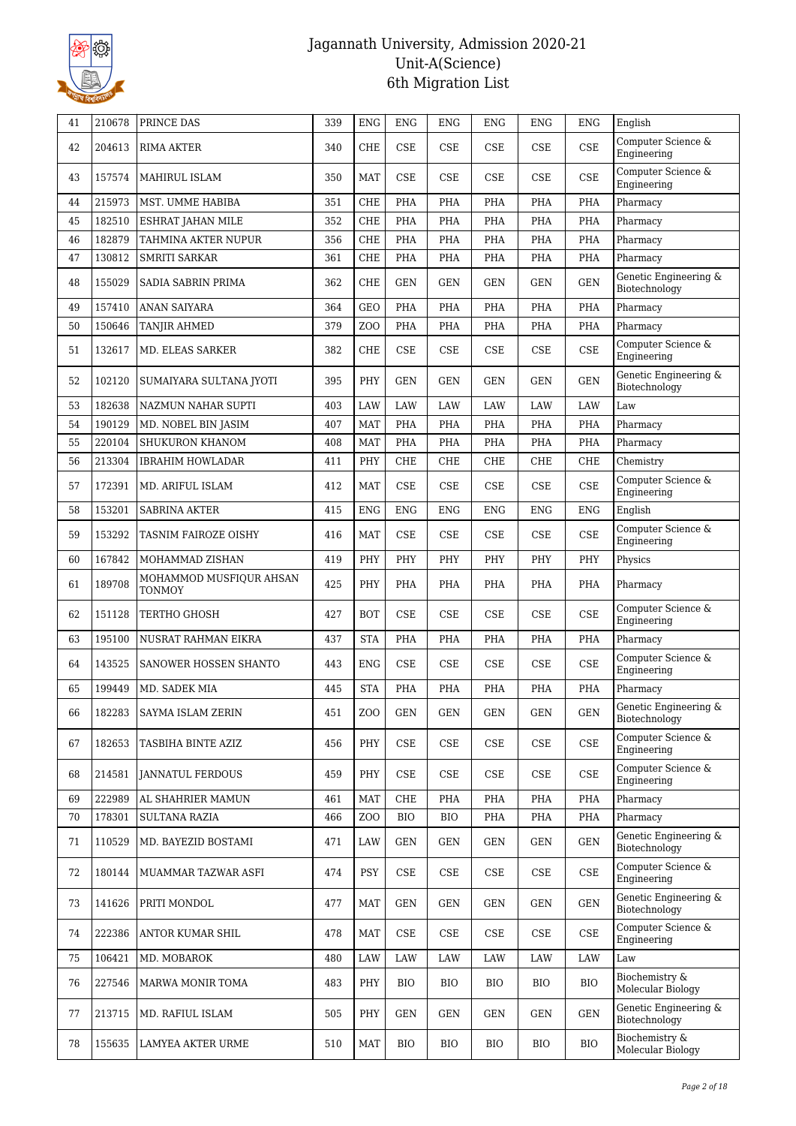

| 41 | 210678 | PRINCE DAS                               | 339 | <b>ENG</b>      | <b>ENG</b>                  | <b>ENG</b> | <b>ENG</b> | <b>ENG</b> | <b>ENG</b>           | English                                |
|----|--------|------------------------------------------|-----|-----------------|-----------------------------|------------|------------|------------|----------------------|----------------------------------------|
| 42 | 204613 | <b>RIMA AKTER</b>                        | 340 | <b>CHE</b>      | <b>CSE</b>                  | <b>CSE</b> | <b>CSE</b> | <b>CSE</b> | CSE                  | Computer Science &<br>Engineering      |
| 43 | 157574 | MAHIRUL ISLAM                            | 350 | <b>MAT</b>      | <b>CSE</b>                  | <b>CSE</b> | <b>CSE</b> | <b>CSE</b> | CSE                  | Computer Science &<br>Engineering      |
| 44 | 215973 | MST. UMME HABIBA                         | 351 | <b>CHE</b>      | PHA                         | PHA        | <b>PHA</b> | <b>PHA</b> | <b>PHA</b>           | Pharmacy                               |
| 45 | 182510 | ESHRAT JAHAN MILE                        | 352 | <b>CHE</b>      | PHA                         | PHA        | <b>PHA</b> | <b>PHA</b> | <b>PHA</b>           | Pharmacy                               |
| 46 | 182879 | TAHMINA AKTER NUPUR                      | 356 | CHE             | PHA                         | PHA        | PHA        | PHA        | <b>PHA</b>           | Pharmacy                               |
| 47 | 130812 | <b>SMRITI SARKAR</b>                     | 361 | <b>CHE</b>      | <b>PHA</b>                  | <b>PHA</b> | PHA        | PHA        | <b>PHA</b>           | Pharmacy                               |
| 48 | 155029 | SADIA SABRIN PRIMA                       | 362 | <b>CHE</b>      | <b>GEN</b>                  | <b>GEN</b> | <b>GEN</b> | <b>GEN</b> | <b>GEN</b>           | Genetic Engineering &<br>Biotechnology |
| 49 | 157410 | <b>ANAN SAIYARA</b>                      | 364 | <b>GEO</b>      | <b>PHA</b>                  | PHA        | <b>PHA</b> | <b>PHA</b> | <b>PHA</b>           | Pharmacy                               |
| 50 | 150646 | TANJIR AHMED                             | 379 | <b>ZOO</b>      | PHA                         | PHA        | PHA        | PHA        | PHA                  | Pharmacy                               |
| 51 | 132617 | MD. ELEAS SARKER                         | 382 | <b>CHE</b>      | CSE                         | <b>CSE</b> | <b>CSE</b> | <b>CSE</b> | CSE                  | Computer Science &<br>Engineering      |
| 52 | 102120 | SUMAIYARA SULTANA JYOTI                  | 395 | PHY             | <b>GEN</b>                  | <b>GEN</b> | <b>GEN</b> | <b>GEN</b> | <b>GEN</b>           | Genetic Engineering &<br>Biotechnology |
| 53 | 182638 | NAZMUN NAHAR SUPTI                       | 403 | LAW             | LAW                         | <b>LAW</b> | LAW        | <b>LAW</b> | LAW                  | Law                                    |
| 54 | 190129 | MD. NOBEL BIN JASIM                      | 407 | <b>MAT</b>      | PHA                         | PHA        | PHA        | PHA        | PHA                  | Pharmacy                               |
| 55 | 220104 | SHUKURON KHANOM                          | 408 | <b>MAT</b>      | PHA                         | PHA        | <b>PHA</b> | PHA        | <b>PHA</b>           | Pharmacy                               |
| 56 | 213304 | <b>IBRAHIM HOWLADAR</b>                  | 411 | PHY             | <b>CHE</b>                  | <b>CHE</b> | <b>CHE</b> | CHE        | CHE                  | Chemistry                              |
| 57 | 172391 | MD. ARIFUL ISLAM                         | 412 | <b>MAT</b>      | <b>CSE</b>                  | <b>CSE</b> | <b>CSE</b> | <b>CSE</b> | CSE                  | Computer Science &<br>Engineering      |
| 58 | 153201 | <b>SABRINA AKTER</b>                     | 415 | <b>ENG</b>      | <b>ENG</b>                  | <b>ENG</b> | <b>ENG</b> | <b>ENG</b> | <b>ENG</b>           | English                                |
| 59 | 153292 | TASNIM FAIROZE OISHY                     | 416 | <b>MAT</b>      | <b>CSE</b>                  | <b>CSE</b> | <b>CSE</b> | <b>CSE</b> | <b>CSE</b>           | Computer Science &<br>Engineering      |
| 60 | 167842 | MOHAMMAD ZISHAN                          | 419 | PHY             | PHY                         | PHY        | PHY        | PHY        | PHY                  | Physics                                |
| 61 | 189708 | MOHAMMOD MUSFIQUR AHSAN<br><b>TONMOY</b> | 425 | PHY             | PHA                         | PHA        | PHA        | PHA        | PHA                  | Pharmacy                               |
| 62 | 151128 | TERTHO GHOSH                             | 427 | <b>BOT</b>      | <b>CSE</b>                  | CSE        | CSE        | <b>CSE</b> | CSE                  | Computer Science &<br>Engineering      |
| 63 | 195100 | NUSRAT RAHMAN EIKRA                      | 437 | <b>STA</b>      | PHA                         | PHA        | <b>PHA</b> | <b>PHA</b> | <b>PHA</b>           | Pharmacy                               |
| 64 | 143525 | SANOWER HOSSEN SHANTO                    | 443 | <b>ENG</b>      | <b>CSE</b>                  | CSE        | <b>CSE</b> | <b>CSE</b> | <b>CSE</b>           | Computer Science &<br>Engineering      |
| 65 | 199449 | MD. SADEK MIA                            | 445 | <b>STA</b>      | PHA                         | PHA        | PHA        | PHA        | <b>PHA</b>           | Pharmacy                               |
| 66 | 182283 | SAYMA ISLAM ZERIN                        | 451 | ZOO             | GEN                         | GEN        | GEN        | GEN        | <b>GEN</b>           | Genetic Engineering &<br>Biotechnology |
| 67 | 182653 | TASBIHA BINTE AZIZ                       | 456 | PHY             | CSE                         | CSE        | CSE        | CSE        | CSE                  | Computer Science &<br>Engineering      |
| 68 | 214581 | <b>JANNATUL FERDOUS</b>                  | 459 | PHY             | $\ensuremath{\mathsf{CSE}}$ | CSE        | CSE        | CSE        | CSE                  | Computer Science &<br>Engineering      |
| 69 | 222989 | AL SHAHRIER MAMUN                        | 461 | <b>MAT</b>      | CHE                         | PHA        | <b>PHA</b> | PHA        | <b>PHA</b>           | Pharmacy                               |
| 70 | 178301 | <b>SULTANA RAZIA</b>                     | 466 | ZO <sub>O</sub> | <b>BIO</b>                  | BIO        | PHA        | PHA        | PHA                  | Pharmacy                               |
| 71 | 110529 | MD. BAYEZID BOSTAMI                      | 471 | LAW             | GEN                         | GEN        | <b>GEN</b> | GEN        | GEN                  | Genetic Engineering &<br>Biotechnology |
| 72 | 180144 | MUAMMAR TAZWAR ASFI                      | 474 | <b>PSY</b>      | CSE                         | CSE        | CSE        | CSE        | CSE                  | Computer Science &<br>Engineering      |
| 73 | 141626 | PRITI MONDOL                             | 477 | <b>MAT</b>      | GEN                         | <b>GEN</b> | <b>GEN</b> | GEN        | <b>GEN</b>           | Genetic Engineering &<br>Biotechnology |
| 74 | 222386 | ANTOR KUMAR SHIL                         | 478 | <b>MAT</b>      | CSE                         | CSE        | CSE        | CSE        | CSE                  | Computer Science &<br>Engineering      |
| 75 | 106421 | MD. MOBAROK                              | 480 | LAW             | LAW                         | LAW        | LAW        | LAW        | LAW                  | Law                                    |
| 76 | 227546 | MARWA MONIR TOMA                         | 483 | PHY             | <b>BIO</b>                  | BIO        | <b>BIO</b> | <b>BIO</b> | <b>BIO</b>           | Biochemistry &<br>Molecular Biology    |
| 77 | 213715 | MD. RAFIUL ISLAM                         | 505 | PHY             | <b>GEN</b>                  | <b>GEN</b> | <b>GEN</b> | <b>GEN</b> | $\operatorname{GEN}$ | Genetic Engineering &<br>Biotechnology |
| 78 | 155635 | LAMYEA AKTER URME                        | 510 | <b>MAT</b>      | BIO                         | BIO        | <b>BIO</b> | <b>BIO</b> | BIO                  | Biochemistry &<br>Molecular Biology    |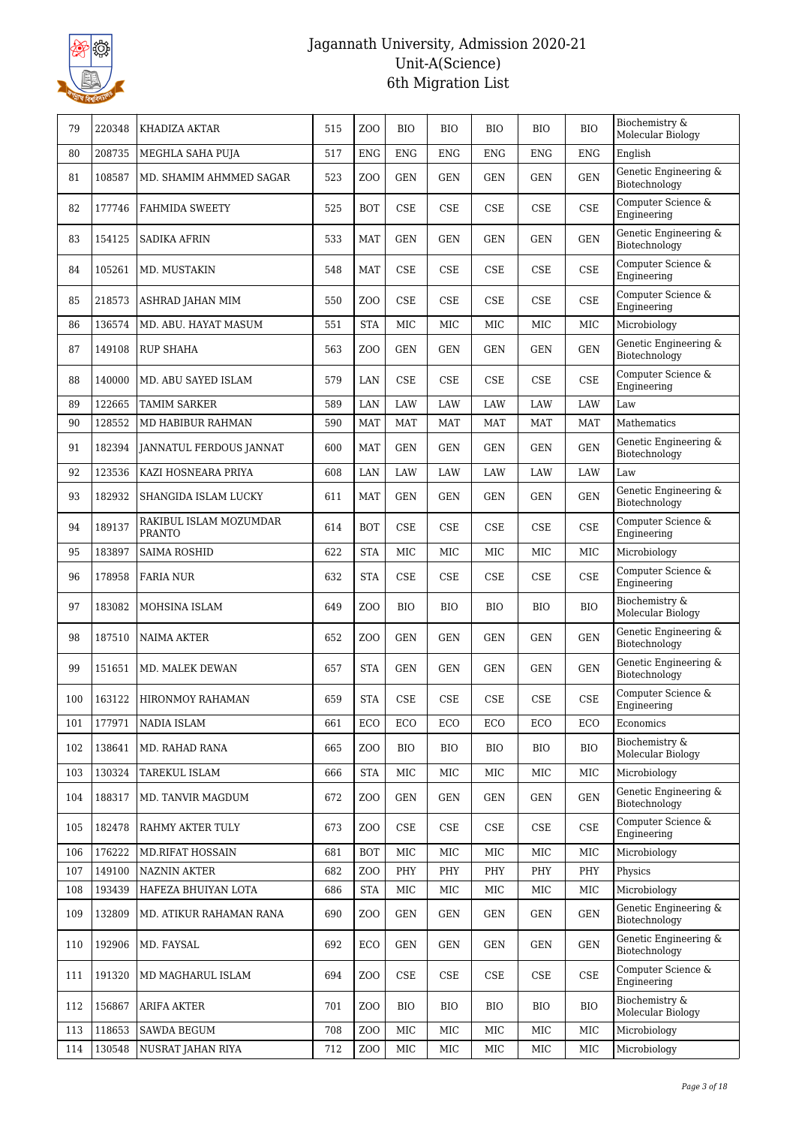

| 79  | 220348 | KHADIZA AKTAR                           | 515 | Z <sub>0</sub>   | <b>BIO</b> | <b>BIO</b> | <b>BIO</b> | <b>BIO</b>                  | <b>BIO</b> | Biochemistry &<br>Molecular Biology    |
|-----|--------|-----------------------------------------|-----|------------------|------------|------------|------------|-----------------------------|------------|----------------------------------------|
| 80  | 208735 | MEGHLA SAHA PUJA                        | 517 | <b>ENG</b>       | <b>ENG</b> | <b>ENG</b> | <b>ENG</b> | <b>ENG</b>                  | <b>ENG</b> | English                                |
| 81  | 108587 | MD. SHAMIM AHMMED SAGAR                 | 523 | Z <sub>O</sub> O | <b>GEN</b> | <b>GEN</b> | <b>GEN</b> | <b>GEN</b>                  | <b>GEN</b> | Genetic Engineering &<br>Biotechnology |
| 82  | 177746 | <b>FAHMIDA SWEETY</b>                   | 525 | <b>BOT</b>       | $\rm CSE$  | $\rm CSE$  | CSE        | <b>CSE</b>                  | CSE        | Computer Science &<br>Engineering      |
| 83  | 154125 | <b>SADIKA AFRIN</b>                     | 533 | <b>MAT</b>       | <b>GEN</b> | <b>GEN</b> | <b>GEN</b> | <b>GEN</b>                  | <b>GEN</b> | Genetic Engineering &<br>Biotechnology |
| 84  | 105261 | MD. MUSTAKIN                            | 548 | <b>MAT</b>       | <b>CSE</b> | <b>CSE</b> | <b>CSE</b> | <b>CSE</b>                  | <b>CSE</b> | Computer Science &<br>Engineering      |
| 85  | 218573 | ASHRAD JAHAN MIM                        | 550 | Z <sub>O</sub> O | <b>CSE</b> | <b>CSE</b> | <b>CSE</b> | <b>CSE</b>                  | <b>CSE</b> | Computer Science &<br>Engineering      |
| 86  | 136574 | MD. ABU. HAYAT MASUM                    | 551 | <b>STA</b>       | <b>MIC</b> | MIC        | <b>MIC</b> | MIC                         | MIC        | Microbiology                           |
| 87  | 149108 | <b>RUP SHAHA</b>                        | 563 | Z <sub>O</sub> O | <b>GEN</b> | <b>GEN</b> | <b>GEN</b> | <b>GEN</b>                  | <b>GEN</b> | Genetic Engineering &<br>Biotechnology |
| 88  | 140000 | MD. ABU SAYED ISLAM                     | 579 | LAN              | <b>CSE</b> | <b>CSE</b> | <b>CSE</b> | <b>CSE</b>                  | CSE        | Computer Science &<br>Engineering      |
| 89  | 122665 | <b>TAMIM SARKER</b>                     | 589 | LAN              | <b>LAW</b> | <b>LAW</b> | <b>LAW</b> | <b>LAW</b>                  | LAW        | Law                                    |
| 90  | 128552 | MD HABIBUR RAHMAN                       | 590 | <b>MAT</b>       | <b>MAT</b> | MAT        | <b>MAT</b> | <b>MAT</b>                  | <b>MAT</b> | Mathematics                            |
| 91  | 182394 | JANNATUL FERDOUS JANNAT                 | 600 | <b>MAT</b>       | <b>GEN</b> | <b>GEN</b> | <b>GEN</b> | <b>GEN</b>                  | <b>GEN</b> | Genetic Engineering &<br>Biotechnology |
| 92  | 123536 | KAZI HOSNEARA PRIYA                     | 608 | LAN              | LAW        | LAW        | LAW        | LAW                         | LAW        | Law                                    |
| 93  | 182932 | SHANGIDA ISLAM LUCKY                    | 611 | <b>MAT</b>       | <b>GEN</b> | <b>GEN</b> | <b>GEN</b> | <b>GEN</b>                  | <b>GEN</b> | Genetic Engineering &<br>Biotechnology |
| 94  | 189137 | RAKIBUL ISLAM MOZUMDAR<br><b>PRANTO</b> | 614 | <b>BOT</b>       | CSE        | <b>CSE</b> | <b>CSE</b> | <b>CSE</b>                  | $\rm CSE$  | Computer Science &<br>Engineering      |
| 95  | 183897 | <b>SAIMA ROSHID</b>                     | 622 | <b>STA</b>       | <b>MIC</b> | <b>MIC</b> | <b>MIC</b> | <b>MIC</b>                  | <b>MIC</b> | Microbiology                           |
| 96  | 178958 | <b>FARIA NUR</b>                        | 632 | <b>STA</b>       | CSE        | <b>CSE</b> | <b>CSE</b> | <b>CSE</b>                  | $\rm CSE$  | Computer Science &<br>Engineering      |
| 97  | 183082 | MOHSINA ISLAM                           | 649 | Z <sub>O</sub> O | <b>BIO</b> | <b>BIO</b> | <b>BIO</b> | <b>BIO</b>                  | <b>BIO</b> | Biochemistry &<br>Molecular Biology    |
| 98  | 187510 | <b>NAIMA AKTER</b>                      | 652 | Z <sub>O</sub> O | <b>GEN</b> | <b>GEN</b> | <b>GEN</b> | <b>GEN</b>                  | <b>GEN</b> | Genetic Engineering &<br>Biotechnology |
| 99  | 151651 | MD. MALEK DEWAN                         | 657 | <b>STA</b>       | <b>GEN</b> | <b>GEN</b> | GEN        | <b>GEN</b>                  | <b>GEN</b> | Genetic Engineering &<br>Biotechnology |
| 100 | 163122 | HIRONMOY RAHAMAN                        | 659 | <b>STA</b>       | CSE        | CSE        | <b>CSE</b> | $\ensuremath{\mathsf{CSE}}$ | CSE        | Computer Science &<br>Engineering      |
| 101 | 177971 | NADIA ISLAM                             | 661 | ECO              | ECO        | ECO        | ECO        | ECO                         | ECO        | Economics                              |
| 102 | 138641 | MD. RAHAD RANA                          | 665 | Z <sub>0</sub>   | BIO        | BIO        | <b>BIO</b> | <b>BIO</b>                  | <b>BIO</b> | Biochemistry &<br>Molecular Biology    |
| 103 | 130324 | <b>TAREKUL ISLAM</b>                    | 666 | <b>STA</b>       | MIC        | MIC        | MIC        | MIC                         | MIC        | Microbiology                           |
| 104 | 188317 | MD. TANVIR MAGDUM                       | 672 | Z <sub>0</sub>   | <b>GEN</b> | <b>GEN</b> | GEN        | <b>GEN</b>                  | <b>GEN</b> | Genetic Engineering &<br>Biotechnology |
| 105 | 182478 | RAHMY AKTER TULY                        | 673 | Z <sub>0</sub>   | CSE        | CSE        | <b>CSE</b> | CSE                         | <b>CSE</b> | Computer Science &<br>Engineering      |
| 106 | 176222 | <b>MD.RIFAT HOSSAIN</b>                 | 681 | <b>BOT</b>       | MIC        | MIC        | MIC        | MIC                         | MIC        | Microbiology                           |
| 107 | 149100 | <b>NAZNIN AKTER</b>                     | 682 | Z <sub>O</sub> O | PHY        | PHY        | PHY        | PHY                         | PHY        | Physics                                |
| 108 | 193439 | HAFEZA BHUIYAN LOTA                     | 686 | <b>STA</b>       | <b>MIC</b> | MIC        | MIC        | MIC                         | MIC        | Microbiology                           |
| 109 | 132809 | MD. ATIKUR RAHAMAN RANA                 | 690 | Z <sub>0</sub>   | <b>GEN</b> | GEN        | GEN        | GEN                         | <b>GEN</b> | Genetic Engineering &<br>Biotechnology |
| 110 | 192906 | MD. FAYSAL                              | 692 | ECO              | <b>GEN</b> | GEN        | <b>GEN</b> | <b>GEN</b>                  | <b>GEN</b> | Genetic Engineering &<br>Biotechnology |
| 111 | 191320 | MD MAGHARUL ISLAM                       | 694 | Z <sub>0</sub>   | CSE        | CSE        | <b>CSE</b> | CSE                         | <b>CSE</b> | Computer Science &<br>Engineering      |
| 112 | 156867 | <b>ARIFA AKTER</b>                      | 701 | Z <sub>O</sub> O | BIO        | <b>BIO</b> | <b>BIO</b> | <b>BIO</b>                  | <b>BIO</b> | Biochemistry &<br>Molecular Biology    |
| 113 | 118653 | <b>SAWDA BEGUM</b>                      | 708 | Z <sub>0</sub>   | MIC        | MIC        | MIC        | MIC                         | MIC        | Microbiology                           |
| 114 | 130548 | NUSRAT JAHAN RIYA                       | 712 | Z <sub>0</sub>   | MIC        | MIC        | MIC        | MIC                         | MIC        | Microbiology                           |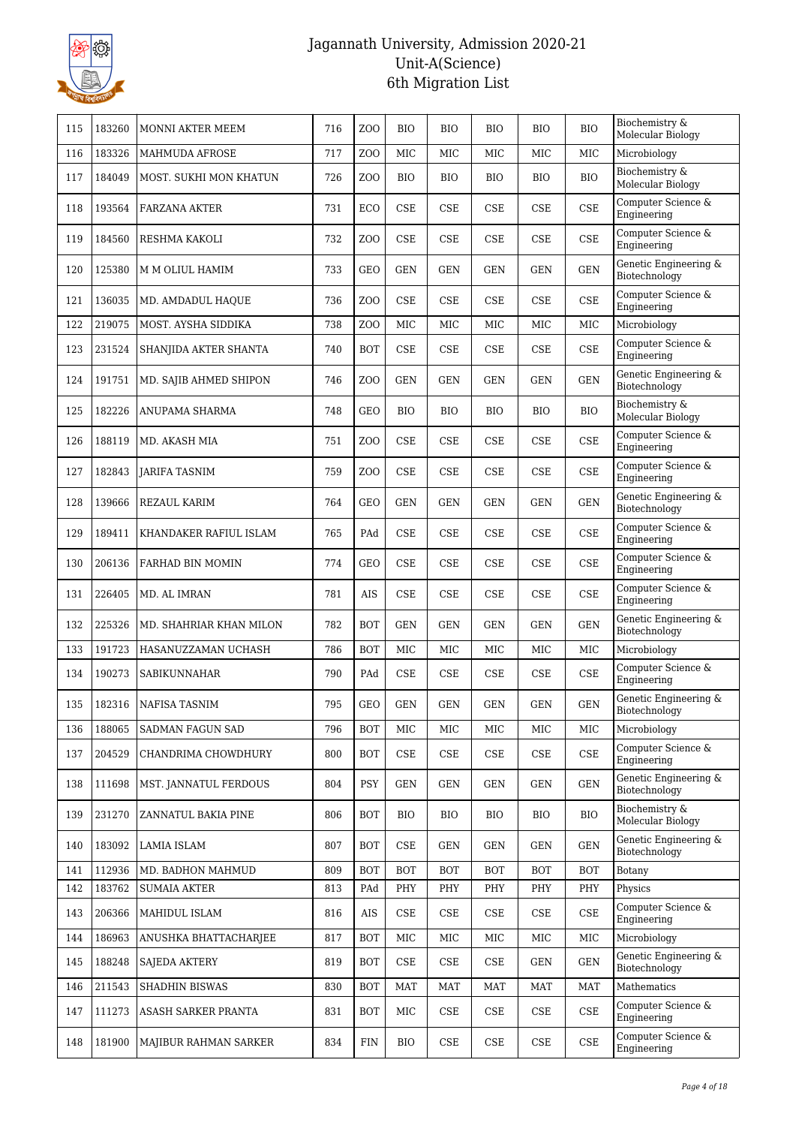

| 115 | 183260 | MONNI AKTER MEEM        | 716 | Z <sub>0</sub>   | <b>BIO</b>                  | <b>BIO</b> | <b>BIO</b>                  | <b>BIO</b> | <b>BIO</b>                  | Biochemistry &<br>Molecular Biology    |
|-----|--------|-------------------------|-----|------------------|-----------------------------|------------|-----------------------------|------------|-----------------------------|----------------------------------------|
| 116 | 183326 | <b>MAHMUDA AFROSE</b>   | 717 | ZO <sub>O</sub>  | <b>MIC</b>                  | <b>MIC</b> | MIC                         | <b>MIC</b> | <b>MIC</b>                  | Microbiology                           |
| 117 | 184049 | MOST. SUKHI MON KHATUN  | 726 | ZO <sub>O</sub>  | <b>BIO</b>                  | <b>BIO</b> | <b>BIO</b>                  | <b>BIO</b> | <b>BIO</b>                  | Biochemistry &<br>Molecular Biology    |
| 118 | 193564 | FARZANA AKTER           | 731 | ECO              | CSE                         | <b>CSE</b> | CSE                         | CSE        | <b>CSE</b>                  | Computer Science &<br>Engineering      |
| 119 | 184560 | RESHMA KAKOLI           | 732 | Z <sub>O</sub> O | CSE                         | <b>CSE</b> | <b>CSE</b>                  | CSE        | <b>CSE</b>                  | Computer Science &<br>Engineering      |
| 120 | 125380 | M M OLIUL HAMIM         | 733 | <b>GEO</b>       | <b>GEN</b>                  | <b>GEN</b> | <b>GEN</b>                  | <b>GEN</b> | <b>GEN</b>                  | Genetic Engineering &<br>Biotechnology |
| 121 | 136035 | MD. AMDADUL HAQUE       | 736 | Z <sub>O</sub> O | <b>CSE</b>                  | CSE        | <b>CSE</b>                  | <b>CSE</b> | <b>CSE</b>                  | Computer Science &<br>Engineering      |
| 122 | 219075 | MOST. AYSHA SIDDIKA     | 738 | Z <sub>O</sub> O | <b>MIC</b>                  | MIC        | MIC                         | MIC        | MIC                         | Microbiology                           |
| 123 | 231524 | SHANJIDA AKTER SHANTA   | 740 | <b>BOT</b>       | <b>CSE</b>                  | CSE        | <b>CSE</b>                  | CSE        | <b>CSE</b>                  | Computer Science &<br>Engineering      |
| 124 | 191751 | MD. SAJIB AHMED SHIPON  | 746 | Z <sub>O</sub> O | <b>GEN</b>                  | <b>GEN</b> | <b>GEN</b>                  | <b>GEN</b> | <b>GEN</b>                  | Genetic Engineering &<br>Biotechnology |
| 125 | 182226 | ANUPAMA SHARMA          | 748 | <b>GEO</b>       | BIO                         | BIO        | <b>BIO</b>                  | <b>BIO</b> | <b>BIO</b>                  | Biochemistry &<br>Molecular Biology    |
| 126 | 188119 | MD. AKASH MIA           | 751 | Z <sub>O</sub> O | <b>CSE</b>                  | CSE        | <b>CSE</b>                  | CSE        | <b>CSE</b>                  | Computer Science &<br>Engineering      |
| 127 | 182843 | <b>JARIFA TASNIM</b>    | 759 | Z <sub>O</sub> O | <b>CSE</b>                  | <b>CSE</b> | <b>CSE</b>                  | CSE        | <b>CSE</b>                  | Computer Science &<br>Engineering      |
| 128 | 139666 | <b>REZAUL KARIM</b>     | 764 | <b>GEO</b>       | <b>GEN</b>                  | <b>GEN</b> | <b>GEN</b>                  | <b>GEN</b> | <b>GEN</b>                  | Genetic Engineering &<br>Biotechnology |
| 129 | 189411 | KHANDAKER RAFIUL ISLAM  | 765 | PAd              | <b>CSE</b>                  | <b>CSE</b> | CSE                         | <b>CSE</b> | <b>CSE</b>                  | Computer Science &<br>Engineering      |
| 130 | 206136 | FARHAD BIN MOMIN        | 774 | <b>GEO</b>       | <b>CSE</b>                  | <b>CSE</b> | <b>CSE</b>                  | CSE        | <b>CSE</b>                  | Computer Science &<br>Engineering      |
| 131 | 226405 | MD. AL IMRAN            | 781 | AIS              | <b>CSE</b>                  | <b>CSE</b> | CSE                         | CSE        | $\ensuremath{\mathsf{CSE}}$ | Computer Science &<br>Engineering      |
| 132 | 225326 | MD. SHAHRIAR KHAN MILON | 782 | <b>BOT</b>       | <b>GEN</b>                  | <b>GEN</b> | <b>GEN</b>                  | <b>GEN</b> | <b>GEN</b>                  | Genetic Engineering &<br>Biotechnology |
| 133 | 191723 | HASANUZZAMAN UCHASH     | 786 | <b>BOT</b>       | <b>MIC</b>                  | MIC        | MIC                         | MIC        | MIC                         | Microbiology                           |
| 134 | 190273 | <b>SABIKUNNAHAR</b>     | 790 | PAd              | <b>CSE</b>                  | CSE        | <b>CSE</b>                  | CSE        | <b>CSE</b>                  | Computer Science &<br>Engineering      |
| 135 | 182316 | <b>NAFISA TASNIM</b>    | 795 | <b>GEO</b>       | <b>GEN</b>                  | <b>GEN</b> | <b>GEN</b>                  | <b>GEN</b> | <b>GEN</b>                  | Genetic Engineering &<br>Biotechnology |
| 136 | 188065 | SADMAN FAGUN SAD        | 796 | <b>BOT</b>       | MIC                         | MIC        | MIC                         | MIC        | MIC                         | Microbiology                           |
| 137 | 204529 | CHANDRIMA CHOWDHURY     | 800 | <b>BOT</b>       | CSE                         | CSE        | CSE                         | CSE        | <b>CSE</b>                  | Computer Science &<br>Engineering      |
| 138 | 111698 | MST. JANNATUL FERDOUS   | 804 | <b>PSY</b>       | <b>GEN</b>                  | GEN        | GEN                         | GEN        | <b>GEN</b>                  | Genetic Engineering &<br>Biotechnology |
| 139 | 231270 | ZANNATUL BAKIA PINE     | 806 | <b>BOT</b>       | BIO                         | <b>BIO</b> | BIO                         | <b>BIO</b> | <b>BIO</b>                  | Biochemistry &<br>Molecular Biology    |
| 140 | 183092 | LAMIA ISLAM             | 807 | <b>BOT</b>       | $\ensuremath{\mathsf{CSE}}$ | <b>GEN</b> | <b>GEN</b>                  | <b>GEN</b> | <b>GEN</b>                  | Genetic Engineering &<br>Biotechnology |
| 141 | 112936 | MD. BADHON MAHMUD       | 809 | <b>BOT</b>       | <b>BOT</b>                  | <b>BOT</b> | <b>BOT</b>                  | <b>BOT</b> | <b>BOT</b>                  | Botany                                 |
| 142 | 183762 | <b>SUMAIA AKTER</b>     | 813 | PAd              | PHY                         | PHY        | PHY                         | PHY        | PHY                         | Physics                                |
| 143 | 206366 | MAHIDUL ISLAM           | 816 | AIS              | $\ensuremath{\mathsf{CSE}}$ | CSE        | CSE                         | CSE        | CSE                         | Computer Science &<br>Engineering      |
| 144 | 186963 | ANUSHKA BHATTACHARJEE   | 817 | <b>BOT</b>       | MIC                         | MIC        | MIC                         | MIC        | MIC                         | Microbiology                           |
| 145 | 188248 | <b>SAJEDA AKTERY</b>    | 819 | <b>BOT</b>       | CSE                         | CSE        | CSE                         | GEN        | <b>GEN</b>                  | Genetic Engineering &<br>Biotechnology |
| 146 | 211543 | SHADHIN BISWAS          | 830 | <b>BOT</b>       | MAT                         | <b>MAT</b> | MAT                         | MAT        | <b>MAT</b>                  | Mathematics                            |
| 147 | 111273 | ASASH SARKER PRANTA     | 831 | <b>BOT</b>       | MIC                         | <b>CSE</b> | CSE                         | CSE        | $\ensuremath{\mathsf{CSE}}$ | Computer Science &<br>Engineering      |
| 148 | 181900 | MAJIBUR RAHMAN SARKER   | 834 | <b>FIN</b>       | BIO                         | CSE        | $\ensuremath{\mathsf{CSE}}$ | CSE        | $\ensuremath{\mathsf{CSE}}$ | Computer Science &<br>Engineering      |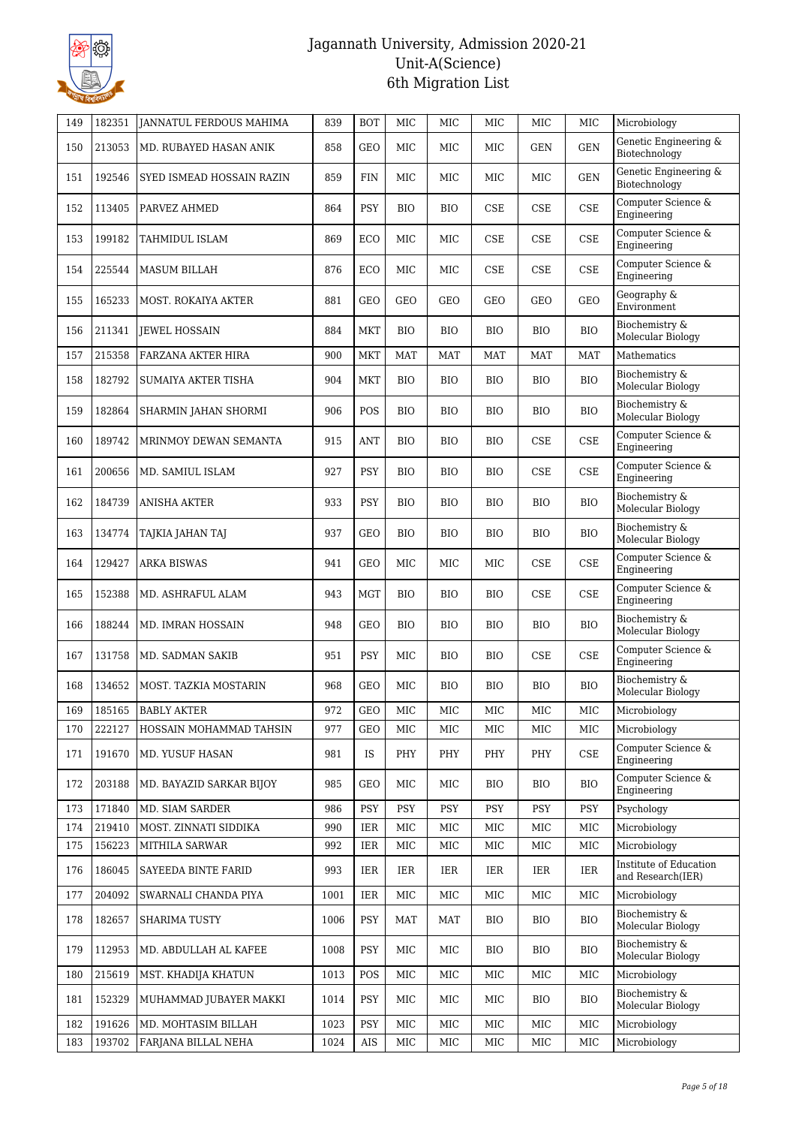

| 149 | 182351 | <b>JANNATUL FERDOUS MAHIMA</b> | 839  | <b>BOT</b> | MIC          | <b>MIC</b> | <b>MIC</b> | MIC        | MIC                         | Microbiology                                |
|-----|--------|--------------------------------|------|------------|--------------|------------|------------|------------|-----------------------------|---------------------------------------------|
| 150 | 213053 | MD. RUBAYED HASAN ANIK         | 858  | <b>GEO</b> | MIC          | MIC        | MIC        | <b>GEN</b> | <b>GEN</b>                  | Genetic Engineering &<br>Biotechnology      |
| 151 | 192546 | SYED ISMEAD HOSSAIN RAZIN      | 859  | <b>FIN</b> | MIC          | MIC        | MIC        | MIC        | <b>GEN</b>                  | Genetic Engineering &<br>Biotechnology      |
| 152 | 113405 | PARVEZ AHMED                   | 864  | PSY        | <b>BIO</b>   | <b>BIO</b> | <b>CSE</b> | CSE        | CSE                         | Computer Science &<br>Engineering           |
| 153 | 199182 | TAHMIDUL ISLAM                 | 869  | ECO        | MIC          | MIC        | <b>CSE</b> | <b>CSE</b> | $\rm CSE$                   | Computer Science &<br>Engineering           |
| 154 | 225544 | <b>MASUM BILLAH</b>            | 876  | ECO        | MIC          | MIC        | <b>CSE</b> | <b>CSE</b> | CSE                         | Computer Science &<br>Engineering           |
| 155 | 165233 | MOST. ROKAIYA AKTER            | 881  | <b>GEO</b> | GEO          | GEO        | GEO        | GEO        | GEO                         | Geography &<br>Environment                  |
| 156 | 211341 | <b>JEWEL HOSSAIN</b>           | 884  | <b>MKT</b> | <b>BIO</b>   | <b>BIO</b> | <b>BIO</b> | <b>BIO</b> | <b>BIO</b>                  | Biochemistry &<br>Molecular Biology         |
| 157 | 215358 | FARZANA AKTER HIRA             | 900  | MKT        | <b>MAT</b>   | <b>MAT</b> | <b>MAT</b> | <b>MAT</b> | <b>MAT</b>                  | Mathematics                                 |
| 158 | 182792 | SUMAIYA AKTER TISHA            | 904  | <b>MKT</b> | BIO          | <b>BIO</b> | <b>BIO</b> | <b>BIO</b> | <b>BIO</b>                  | Biochemistry &<br>Molecular Biology         |
| 159 | 182864 | SHARMIN JAHAN SHORMI           | 906  | POS        | <b>BIO</b>   | <b>BIO</b> | <b>BIO</b> | <b>BIO</b> | <b>BIO</b>                  | Biochemistry &<br>Molecular Biology         |
| 160 | 189742 | MRINMOY DEWAN SEMANTA          | 915  | <b>ANT</b> | <b>BIO</b>   | <b>BIO</b> | <b>BIO</b> | <b>CSE</b> | CSE                         | Computer Science &<br>Engineering           |
| 161 | 200656 | MD. SAMIUL ISLAM               | 927  | PSY        | BIO          | <b>BIO</b> | <b>BIO</b> | <b>CSE</b> | CSE                         | Computer Science &<br>Engineering           |
| 162 | 184739 | <b>ANISHA AKTER</b>            | 933  | PSY        | <b>BIO</b>   | <b>BIO</b> | <b>BIO</b> | <b>BIO</b> | <b>BIO</b>                  | Biochemistry &<br>Molecular Biology         |
| 163 | 134774 | TAJKIA JAHAN TAJ               | 937  | <b>GEO</b> | <b>BIO</b>   | <b>BIO</b> | <b>BIO</b> | <b>BIO</b> | <b>BIO</b>                  | Biochemistry &<br>Molecular Biology         |
| 164 | 129427 | <b>ARKA BISWAS</b>             | 941  | <b>GEO</b> | <b>MIC</b>   | <b>MIC</b> | <b>MIC</b> | <b>CSE</b> | <b>CSE</b>                  | Computer Science &<br>Engineering           |
| 165 | 152388 | MD. ASHRAFUL ALAM              | 943  | <b>MGT</b> | BIO          | <b>BIO</b> | <b>BIO</b> | <b>CSE</b> | CSE                         | Computer Science &<br>Engineering           |
| 166 | 188244 | MD. IMRAN HOSSAIN              | 948  | <b>GEO</b> | <b>BIO</b>   | <b>BIO</b> | <b>BIO</b> | <b>BIO</b> | <b>BIO</b>                  | Biochemistry &<br>Molecular Biology         |
| 167 | 131758 | MD. SADMAN SAKIB               | 951  | PSY        | <b>MIC</b>   | <b>BIO</b> | <b>BIO</b> | <b>CSE</b> | <b>CSE</b>                  | Computer Science &<br>Engineering           |
| 168 | 134652 | MOST. TAZKIA MOSTARIN          | 968  | <b>GEO</b> | <b>MIC</b>   | <b>BIO</b> | <b>BIO</b> | <b>BIO</b> | <b>BIO</b>                  | Biochemistry &<br>Molecular Biology         |
| 169 | 185165 | <b>BABLY AKTER</b>             | 972  | GEO        | $_{\rm MIC}$ | MIC        | MIC        | MIC        | $_{\rm MIC}$                | Microbiology                                |
| 170 | 222127 | HOSSAIN MOHAMMAD TAHSIN        | 977  | <b>GEO</b> | MIC          | MIC        | MIC        | MIC        | MIC                         | Microbiology                                |
| 171 | 191670 | MD. YUSUF HASAN                | 981  | IS         | PHY          | PHY        | PHY        | PHY        | $\ensuremath{\mathsf{CSE}}$ | Computer Science &<br>Engineering           |
| 172 | 203188 | MD. BAYAZID SARKAR BIJOY       | 985  | <b>GEO</b> | MIC          | MIC        | <b>BIO</b> | <b>BIO</b> | <b>BIO</b>                  | Computer Science &<br>Engineering           |
| 173 | 171840 | MD. SIAM SARDER                | 986  | PSY        | <b>PSY</b>   | PSY        | PSY        | PSY        | <b>PSY</b>                  | Psychology                                  |
| 174 | 219410 | MOST. ZINNATI SIDDIKA          | 990  | IER        | MIC          | MIC        | MIC        | MIC        | MIC                         | Microbiology                                |
| 175 | 156223 | <b>MITHILA SARWAR</b>          | 992  | IER        | MIC          | MIC        | MIC        | MIC        | $_{\rm MIC}$                | Microbiology                                |
| 176 | 186045 | SAYEEDA BINTE FARID            | 993  | IER        | IER          | IER        | IER        | IER        | <b>IER</b>                  | Institute of Education<br>and Research(IER) |
| 177 | 204092 | SWARNALI CHANDA PIYA           | 1001 | IER        | MIC          | MIC        | MIC        | MIC        | MIC                         | Microbiology                                |
| 178 | 182657 | SHARIMA TUSTY                  | 1006 | <b>PSY</b> | MAT          | MAT        | <b>BIO</b> | <b>BIO</b> | <b>BIO</b>                  | Biochemistry &<br>Molecular Biology         |
| 179 | 112953 | MD. ABDULLAH AL KAFEE          | 1008 | <b>PSY</b> | MIC          | MIC        | <b>BIO</b> | <b>BIO</b> | <b>BIO</b>                  | Biochemistry &<br>Molecular Biology         |
| 180 | 215619 | MST. KHADIJA KHATUN            | 1013 | POS        | MIC          | MIC        | MIC        | MIC        | MIC                         | Microbiology                                |
| 181 | 152329 | MUHAMMAD JUBAYER MAKKI         | 1014 | <b>PSY</b> | MIC          | MIC        | MIC        | <b>BIO</b> | <b>BIO</b>                  | Biochemistry &<br>Molecular Biology         |
| 182 | 191626 | MD. MOHTASIM BILLAH            | 1023 | PSY        | MIC          | MIC        | MIC        | MIC        | MIC                         | Microbiology                                |
| 183 | 193702 | FARJANA BILLAL NEHA            | 1024 | AIS        | MIC          | MIC        | MIC        | MIC        | MIC                         | Microbiology                                |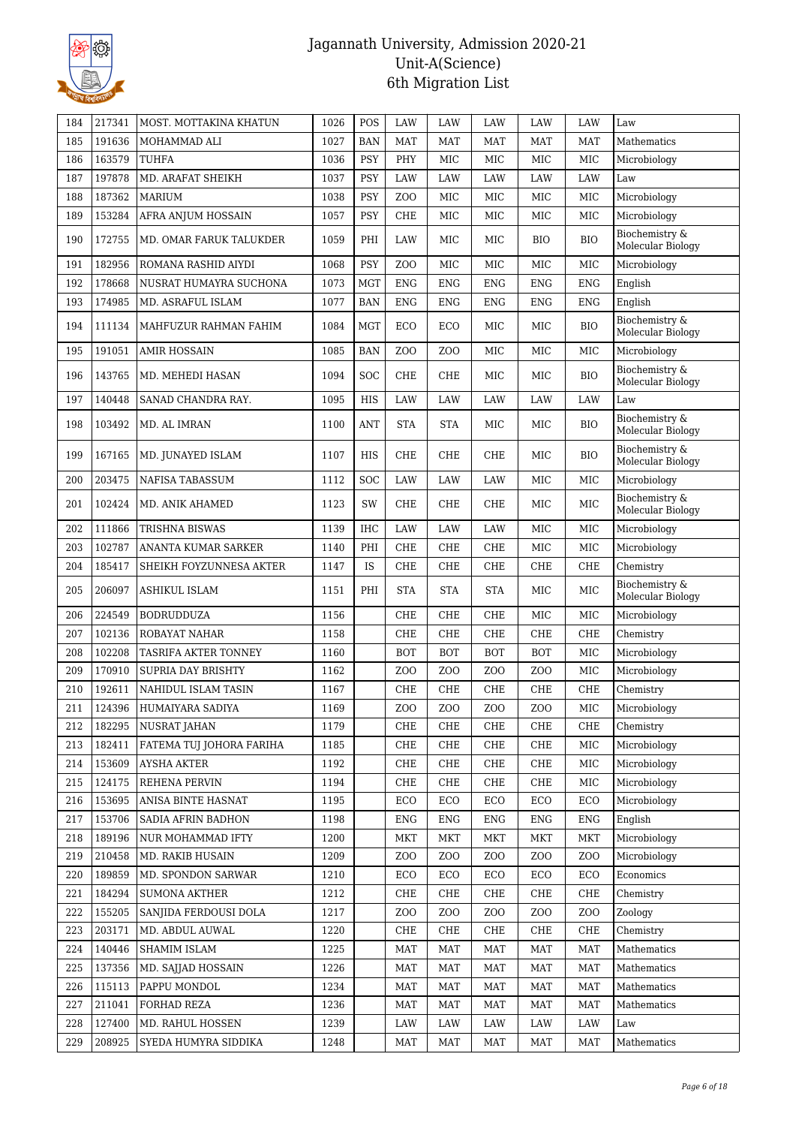

| 184 | 217341 | MOST. MOTTAKINA KHATUN    | 1026 | POS        | LAW              | LAW              | <b>LAW</b>       | <b>LAW</b>       | LAW              | Law                                 |
|-----|--------|---------------------------|------|------------|------------------|------------------|------------------|------------------|------------------|-------------------------------------|
| 185 | 191636 | MOHAMMAD ALI              | 1027 | <b>BAN</b> | MAT              | <b>MAT</b>       | <b>MAT</b>       | <b>MAT</b>       | <b>MAT</b>       | Mathematics                         |
| 186 | 163579 | TUHFA                     | 1036 | <b>PSY</b> | PHY              | MIC              | MIC              | MIC              | MIC              | Microbiology                        |
| 187 | 197878 | MD. ARAFAT SHEIKH         | 1037 | PSY        | LAW              | <b>LAW</b>       | LAW              | <b>LAW</b>       | LAW              | Law                                 |
| 188 | 187362 | <b>MARIUM</b>             | 1038 | PSY        | ZO <sub>O</sub>  | MIC              | MIC              | MIC              | MIC              | Microbiology                        |
| 189 | 153284 | AFRA ANJUM HOSSAIN        | 1057 | <b>PSY</b> | <b>CHE</b>       | MIC              | MIC              | MIC              | MIC              | Microbiology                        |
| 190 | 172755 | MD. OMAR FARUK TALUKDER   | 1059 | PHI        | LAW              | MIC              | MIC              | <b>BIO</b>       | <b>BIO</b>       | Biochemistry &<br>Molecular Biology |
| 191 | 182956 | ROMANA RASHID AIYDI       | 1068 | PSY        | ZO <sub>O</sub>  | MIC              | <b>MIC</b>       | <b>MIC</b>       | <b>MIC</b>       | Microbiology                        |
| 192 | 178668 | NUSRAT HUMAYRA SUCHONA    | 1073 | <b>MGT</b> | ${\rm ENG}$      | <b>ENG</b>       | <b>ENG</b>       | <b>ENG</b>       | <b>ENG</b>       | English                             |
| 193 | 174985 | MD. ASRAFUL ISLAM         | 1077 | <b>BAN</b> | ENG              | <b>ENG</b>       | <b>ENG</b>       | <b>ENG</b>       | <b>ENG</b>       | English                             |
| 194 | 111134 | MAHFUZUR RAHMAN FAHIM     | 1084 | MGT        | ECO              | <b>ECO</b>       | MIC              | MIC              | <b>BIO</b>       | Biochemistry &<br>Molecular Biology |
| 195 | 191051 | <b>AMIR HOSSAIN</b>       | 1085 | <b>BAN</b> | ZO <sub>O</sub>  | ZO <sub>O</sub>  | <b>MIC</b>       | <b>MIC</b>       | <b>MIC</b>       | Microbiology                        |
| 196 | 143765 | MD. MEHEDI HASAN          | 1094 | <b>SOC</b> | <b>CHE</b>       | CHE              | MIC              | MIC              | <b>BIO</b>       | Biochemistry &<br>Molecular Biology |
| 197 | 140448 | SANAD CHANDRA RAY.        | 1095 | HIS        | LAW              | <b>LAW</b>       | LAW              | LAW              | LAW              | Law                                 |
| 198 | 103492 | MD. AL IMRAN              | 1100 | <b>ANT</b> | <b>STA</b>       | <b>STA</b>       | MIC              | MIC              | <b>BIO</b>       | Biochemistry &<br>Molecular Biology |
| 199 | 167165 | MD. JUNAYED ISLAM         | 1107 | <b>HIS</b> | <b>CHE</b>       | CHE              | CHE              | MIC              | <b>BIO</b>       | Biochemistry &<br>Molecular Biology |
| 200 | 203475 | NAFISA TABASSUM           | 1112 | SOC        | LAW              | <b>LAW</b>       | LAW              | MIC              | MIC              | Microbiology                        |
| 201 | 102424 | MD. ANIK AHAMED           | 1123 | SW         | CHE              | CHE              | CHE              | MIC              | MIC              | Biochemistry &<br>Molecular Biology |
| 202 | 111866 | TRISHNA BISWAS            | 1139 | <b>IHC</b> | LAW              | <b>LAW</b>       | LAW              | MIC              | MIC              | Microbiology                        |
| 203 | 102787 | ANANTA KUMAR SARKER       | 1140 | PHI        | <b>CHE</b>       | CHE              | <b>CHE</b>       | MIC              | MIC              | Microbiology                        |
| 204 | 185417 | SHEIKH FOYZUNNESA AKTER   | 1147 | IS         | <b>CHE</b>       | CHE              | CHE              | <b>CHE</b>       | CHE              | Chemistry                           |
| 205 | 206097 | ASHIKUL ISLAM             | 1151 | PHI        | <b>STA</b>       | <b>STA</b>       | <b>STA</b>       | MIC              | MIC              | Biochemistry &<br>Molecular Biology |
| 206 | 224549 | <b>BODRUDDUZA</b>         | 1156 |            | <b>CHE</b>       | CHE              | <b>CHE</b>       | <b>MIC</b>       | <b>MIC</b>       | Microbiology                        |
| 207 | 102136 | ROBAYAT NAHAR             | 1158 |            | <b>CHE</b>       | CHE              | <b>CHE</b>       | CHE              | CHE              | Chemistry                           |
| 208 | 102208 | TASRIFA AKTER TONNEY      | 1160 |            | <b>BOT</b>       | <b>BOT</b>       | <b>BOT</b>       | BOT              | MIC              | Microbiology                        |
| 209 | 170910 | <b>SUPRIA DAY BRISHTY</b> | 1162 |            | Z <sub>O</sub> O | ZO <sub>O</sub>  | Z <sub>O</sub> O | Z <sub>O</sub> O | MIC              | Microbiology                        |
| 210 | 192611 | NAHIDUL ISLAM TASIN       | 1167 |            | <b>CHE</b>       | CHE              | <b>CHE</b>       | CHE              | CHE              | Chemistry                           |
| 211 | 124396 | HUMAIYARA SADIYA          | 1169 |            | Z <sub>O</sub> O | ZO <sub>O</sub>  | ZO <sub>O</sub>  | Z <sub>O</sub> O | MIC              | Microbiology                        |
| 212 | 182295 | <b>NUSRAT JAHAN</b>       | 1179 |            | CHE              | CHE              | CHE              | CHE              | CHE              | Chemistry                           |
| 213 | 182411 | FATEMA TUJ JOHORA FARIHA  | 1185 |            | CHE              | CHE              | CHE              | CHE              | MIC              | Microbiology                        |
| 214 | 153609 | <b>AYSHA AKTER</b>        | 1192 |            | CHE              | CHE              | CHE              | CHE              | MIC              | Microbiology                        |
| 215 | 124175 | REHENA PERVIN             | 1194 |            | CHE              | CHE              | CHE              | CHE              | MIC              | Microbiology                        |
| 216 | 153695 | ANISA BINTE HASNAT        | 1195 |            | ECO              | ECO              | ECO              | ECO              | ECO              | Microbiology                        |
| 217 | 153706 | SADIA AFRIN BADHON        | 1198 |            | ENG              | ENG              | ENG              | ENG              | <b>ENG</b>       | English                             |
| 218 | 189196 | NUR MOHAMMAD IFTY         | 1200 |            | MKT              | MKT              | MKT              | MKT              | MKT              | Microbiology                        |
| 219 | 210458 | MD. RAKIB HUSAIN          | 1209 |            | Z <sub>O</sub> O | Z <sub>O</sub> O | ZOO              | Z <sub>O</sub> O | Z <sub>O</sub> O | Microbiology                        |
| 220 | 189859 | MD. SPONDON SARWAR        | 1210 |            | ECO              | ECO              | ECO              | ECO              | ECO              | Economics                           |
| 221 | 184294 | <b>SUMONA AKTHER</b>      | 1212 |            | CHE              | CHE              | CHE              | CHE              | CHE              | Chemistry                           |
| 222 | 155205 | SANJIDA FERDOUSI DOLA     | 1217 |            | Z <sub>O</sub> O | Z <sub>O</sub> O | Z <sub>O</sub> O | Z <sub>O</sub> O | ZO <sub>O</sub>  | Zoology                             |
| 223 | 203171 | MD. ABDUL AUWAL           | 1220 |            | CHE              | CHE              | CHE              | CHE              | CHE              | Chemistry                           |
| 224 | 140446 | <b>SHAMIM ISLAM</b>       | 1225 |            | <b>MAT</b>       | <b>MAT</b>       | <b>MAT</b>       | MAT              | <b>MAT</b>       | Mathematics                         |
| 225 | 137356 | MD. SAJJAD HOSSAIN        | 1226 |            | <b>MAT</b>       | <b>MAT</b>       | MAT              | MAT              | <b>MAT</b>       | Mathematics                         |
| 226 | 115113 | PAPPU MONDOL              | 1234 |            | <b>MAT</b>       | <b>MAT</b>       | MAT              | <b>MAT</b>       | <b>MAT</b>       | Mathematics                         |
| 227 | 211041 | FORHAD REZA               | 1236 |            | MAT              | MAT              | MAT              | MAT              | <b>MAT</b>       | Mathematics                         |
| 228 | 127400 | MD. RAHUL HOSSEN          | 1239 |            | LAW              | LAW              | LAW              | LAW              | LAW              | Law                                 |
| 229 | 208925 | SYEDA HUMYRA SIDDIKA      | 1248 |            | MAT              | <b>MAT</b>       | MAT              | MAT              | <b>MAT</b>       | Mathematics                         |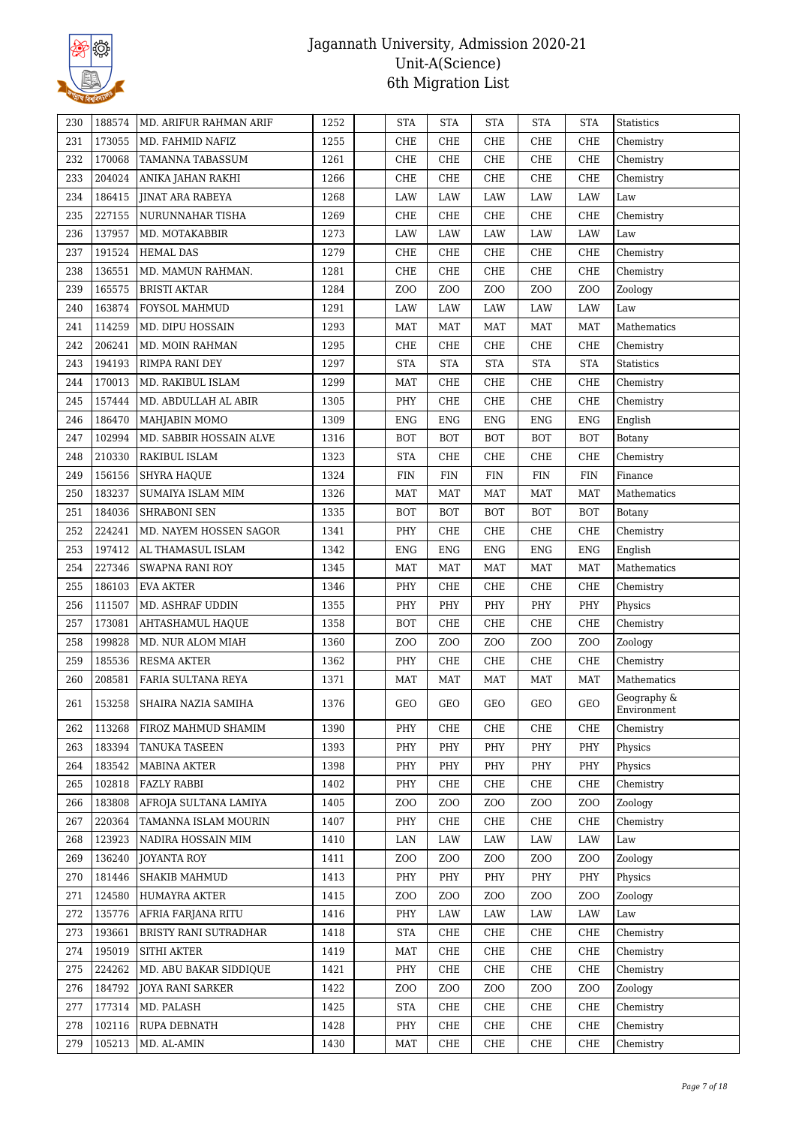

| 173055<br>CHE<br>231<br>1255<br>CHE<br>CHE<br>CHE<br><b>CHE</b><br>Chemistry<br>MD. FAHMID NAFIZ<br>232<br>170068<br>1261<br>CHE<br>CHE<br>CHE<br>CHE<br><b>CHE</b><br>TAMANNA TABASSUM<br>Chemistry<br>204024<br>233<br>1266<br>CHE<br>CHE<br>CHE<br>CHE<br><b>CHE</b><br>ANIKA JAHAN RAKHI<br>Chemistry<br>186415<br>234<br><b>JINAT ARA RABEYA</b><br>1268<br>LAW<br>LAW<br>LAW<br>LAW<br>LAW<br>Law<br>227155<br>1269<br>CHE<br>CHE<br>CHE<br><b>CHE</b><br>235<br>NURUNNAHAR TISHA<br>CHE<br>Chemistry<br>137957<br>236<br>1273<br>LAW<br>LAW<br>LAW<br>LAW<br>MD. MOTAKABBIR<br>LAW<br>Law<br>191524<br>237<br><b>HEMAL DAS</b><br>1279<br>CHE<br>CHE<br>CHE<br>CHE<br><b>CHE</b><br>Chemistry<br>136551<br>CHE<br>238<br>1281<br>CHE<br>CHE<br>CHE<br><b>CHE</b><br>MD. MAMUN RAHMAN.<br>Chemistry<br>165575<br>Z <sub>0</sub><br>Z <sub>O</sub> O<br>Z <sub>O</sub> O<br>Z <sub>O</sub> O<br>Z <sub>O</sub> O<br>239<br><b>BRISTI AKTAR</b><br>1284<br>Zoology<br>163874<br>240<br>FOYSOL MAHMUD<br>1291<br>LAW<br>LAW<br>LAW<br>LAW<br>LAW<br>Law<br>114259<br>1293<br>241<br>MD. DIPU HOSSAIN<br><b>MAT</b><br><b>MAT</b><br>MAT<br><b>MAT</b><br><b>MAT</b><br>Mathematics<br>206241<br>242<br>1295<br>CHE<br>CHE<br>CHE<br>CHE<br><b>CHE</b><br>MD. MOIN RAHMAN<br>Chemistry<br>194193<br>243<br>RIMPA RANI DEY<br>1297<br><b>STA</b><br><b>STA</b><br><b>STA</b><br><b>STA</b><br><b>STA</b><br><b>Statistics</b><br>170013<br>CHE<br>244<br>MD. RAKIBUL ISLAM<br>1299<br><b>MAT</b><br>CHE<br>CHE<br><b>CHE</b><br>Chemistry<br>157444<br>PHY<br>CHE<br>CHE<br>CHE<br><b>CHE</b><br>245<br>MD. ABDULLAH AL ABIR<br>1305<br>Chemistry<br>186470<br>246<br>MAHJABIN MOMO<br><b>ENG</b><br><b>ENG</b><br><b>ENG</b><br><b>ENG</b><br><b>ENG</b><br>1309<br>English<br>102994<br>247<br>MD. SABBIR HOSSAIN ALVE<br>1316<br><b>BOT</b><br><b>BOT</b><br><b>BOT</b><br><b>BOT</b><br><b>BOT</b><br>Botany<br>210330<br>1323<br>248<br>RAKIBUL ISLAM<br><b>STA</b><br>CHE<br>CHE<br>CHE<br><b>CHE</b><br>Chemistry<br>156156<br>249<br>1324<br><b>FIN</b><br><b>FIN</b><br><b>FIN</b><br><b>FIN</b><br><b>SHYRA HAQUE</b><br>FIN<br>Finance<br>183237<br>250<br>SUMAIYA ISLAM MIM<br>1326<br><b>MAT</b><br><b>MAT</b><br><b>MAT</b><br>Mathematics<br>MAT<br>MAT<br>184036<br>1335<br><b>BOT</b><br><b>BOT</b><br><b>BOT</b><br>251<br>SHRABONI SEN<br><b>BOT</b><br><b>BOT</b><br>Botany<br>224241<br>252<br>MD. NAYEM HOSSEN SAGOR<br>PHY<br>CHE<br>CHE<br>CHE<br><b>CHE</b><br>1341<br>Chemistry<br>197412<br>253<br>1342<br><b>ENG</b><br><b>ENG</b><br><b>ENG</b><br><b>ENG</b><br><b>ENG</b><br>AL THAMASUL ISLAM<br>English<br>227346<br>1345<br><b>MAT</b><br><b>MAT</b><br><b>MAT</b><br><b>MAT</b><br><b>MAT</b><br>Mathematics<br>254<br>SWAPNA RANI ROY<br>255<br>186103<br><b>EVA AKTER</b><br>PHY<br>CHE<br>CHE<br>CHE<br><b>CHE</b><br>1346<br>Chemistry<br>111507<br>MD. ASHRAF UDDIN<br>PHY<br>PHY<br>256<br>1355<br>PHY<br>PHY<br>PHY<br>Physics<br>173081<br>257<br>1358<br><b>BOT</b><br>CHE<br>CHE<br>CHE<br><b>CHE</b><br>Chemistry<br>AHTASHAMUL HAQUE<br>199828<br>Z <sub>O</sub> O<br>ZO <sub>O</sub><br>Z <sub>O</sub> O<br>258<br>MD. NUR ALOM MIAH<br>1360<br>ZOO<br>ZOO<br>Zoology<br>185536<br>259<br><b>RESMA AKTER</b><br>1362<br>PHY<br>CHE<br>CHE<br>CHE<br><b>CHE</b><br>Chemistry<br>260<br>208581<br>1371<br><b>MAT</b><br><b>MAT</b><br><b>MAT</b><br><b>MAT</b><br><b>MAT</b><br>Mathematics<br>FARIA SULTANA REYA<br>Geography &<br><b>GEO</b><br>GEO<br>GEO<br>153258<br>1376<br>GEO<br>GEO<br>261<br>  SHAIRA NAZIA SAMIHA<br>Environment<br>262<br>113268<br>FIROZ MAHMUD SHAMIM<br>1390<br>PHY<br>CHE<br>CHE<br>CHE<br>CHE<br>Chemistry<br>183394<br>1393<br>PHY<br>PHY<br>PHY<br>PHY<br>PHY<br>263<br>TANUKA TASEEN<br>Physics<br>264<br>183542<br>1398<br>PHY<br>PHY<br>PHY<br>PHY<br>PHY<br>Physics<br>MABINA AKTER<br>102818<br>1402<br>PHY<br>CHE<br>265<br><b>FAZLY RABBI</b><br>CHE<br>CHE<br>CHE<br>Chemistry<br>183808<br>AFROJA SULTANA LAMIYA<br>1405<br>Z <sub>O</sub> O<br>ZO <sub>O</sub><br>Z <sub>O</sub> O<br>ZOO<br>ZOO<br>Zoology<br>266<br>220364<br>TAMANNA ISLAM MOURIN<br>1407<br>PHY<br>CHE<br>CHE<br>CHE<br>267<br>CHE<br>Chemistry<br>123923<br>1410<br>LAN<br>LAW<br>LAW<br>LAW<br>LAW<br>268<br>NADIRA HOSSAIN MIM<br>Law<br>136240<br>Z <sub>O</sub> O<br>Z <sub>O</sub> O<br>269<br><b>JOYANTA ROY</b><br>1411<br>ZOO<br>ZOO<br>ZOO<br>Zoology<br>181446<br>1413<br>PHY<br>PHY<br>270<br>SHAKIB MAHMUD<br>PHY<br>PHY<br>PHY<br>Physics<br>124580<br><b>HUMAYRA AKTER</b><br>1415<br>Z <sub>O</sub> O<br>Z <sub>O</sub> O<br>ZO <sub>O</sub><br>Z <sub>O</sub> O<br>Z <sub>O</sub> O<br>271<br>Zoology<br>135776<br>AFRIA FARJANA RITU<br>1416<br>PHY<br>LAW<br>LAW<br>LAW<br>LAW<br>272<br>Law<br>193661<br>1418<br><b>STA</b><br><b>CHE</b><br>Chemistry<br>273<br>BRISTY RANI SUTRADHAR<br>CHE<br>CHE<br>CHE<br>195019<br>1419<br>CHE<br>CHE<br>CHE<br><b>CHE</b><br>Chemistry<br>274<br>SITHI AKTER<br>MAT<br>224262<br>1421<br>PHY<br>CHE<br><b>CHE</b><br>275<br>MD. ABU BAKAR SIDDIQUE<br>CHE<br>CHE<br>Chemistry<br>184792<br>1422<br>Z <sub>O</sub> O<br>Z <sub>O</sub> O<br>ZO <sub>O</sub><br>Z <sub>O</sub> O<br>276<br>JOYA RANI SARKER<br>ZOO<br>Zoology<br>177314<br>MD. PALASH<br>1425<br><b>STA</b><br>CHE<br>CHE<br>CHE<br>277<br>CHE<br>Chemistry<br>102116<br>1428<br>PHY<br>CHE<br><b>CHE</b><br>Chemistry<br>278<br>RUPA DEBNATH<br>CHE<br>CHE<br>105213<br>1430<br><b>MAT</b><br>CHE<br>CHE<br>CHE<br>CHE<br>279<br>MD. AL-AMIN<br>Chemistry | 230 | 188574 | MD. ARIFUR RAHMAN ARIF | 1252 | <b>STA</b> | <b>STA</b> | <b>STA</b> | <b>STA</b> | <b>STA</b> | Statistics |
|-----------------------------------------------------------------------------------------------------------------------------------------------------------------------------------------------------------------------------------------------------------------------------------------------------------------------------------------------------------------------------------------------------------------------------------------------------------------------------------------------------------------------------------------------------------------------------------------------------------------------------------------------------------------------------------------------------------------------------------------------------------------------------------------------------------------------------------------------------------------------------------------------------------------------------------------------------------------------------------------------------------------------------------------------------------------------------------------------------------------------------------------------------------------------------------------------------------------------------------------------------------------------------------------------------------------------------------------------------------------------------------------------------------------------------------------------------------------------------------------------------------------------------------------------------------------------------------------------------------------------------------------------------------------------------------------------------------------------------------------------------------------------------------------------------------------------------------------------------------------------------------------------------------------------------------------------------------------------------------------------------------------------------------------------------------------------------------------------------------------------------------------------------------------------------------------------------------------------------------------------------------------------------------------------------------------------------------------------------------------------------------------------------------------------------------------------------------------------------------------------------------------------------------------------------------------------------------------------------------------------------------------------------------------------------------------------------------------------------------------------------------------------------------------------------------------------------------------------------------------------------------------------------------------------------------------------------------------------------------------------------------------------------------------------------------------------------------------------------------------------------------------------------------------------------------------------------------------------------------------------------------------------------------------------------------------------------------------------------------------------------------------------------------------------------------------------------------------------------------------------------------------------------------------------------------------------------------------------------------------------------------------------------------------------------------------------------------------------------------------------------------------------------------------------------------------------------------------------------------------------------------------------------------------------------------------------------------------------------------------------------------------------------------------------------------------------------------------------------------------------------------------------------------------------------------------------------------------------------------------------------------------------------------------------------------------------------------------------------------------------------------------------------------------------------------------------------------------------------------------------------------------------------------------------------------------------------------------------------------------------------------------------------------------------------------------------------------------------------------------------------------------------------------------------------------------------------------------------------------------------------------------------------------------------------------------------------------------------------------------------------------------------------------------------------------------------------------------------------------------------------------------------------------------------------------------------------------------------------------------------------------------------------------------------------------------------------------------------------------------------------------------------------------------------------------------------------------------------------------------------------------------------------------------------------|-----|--------|------------------------|------|------------|------------|------------|------------|------------|------------|
|                                                                                                                                                                                                                                                                                                                                                                                                                                                                                                                                                                                                                                                                                                                                                                                                                                                                                                                                                                                                                                                                                                                                                                                                                                                                                                                                                                                                                                                                                                                                                                                                                                                                                                                                                                                                                                                                                                                                                                                                                                                                                                                                                                                                                                                                                                                                                                                                                                                                                                                                                                                                                                                                                                                                                                                                                                                                                                                                                                                                                                                                                                                                                                                                                                                                                                                                                                                                                                                                                                                                                                                                                                                                                                                                                                                                                                                                                                                                                                                                                                                                                                                                                                                                                                                                                                                                                                                                                                                                                                                                                                                                                                                                                                                                                                                                                                                                                                                                                                                                                                                                                                                                                                                                                                                                                                                                                                                                                                                                                                                                                     |     |        |                        |      |            |            |            |            |            |            |
|                                                                                                                                                                                                                                                                                                                                                                                                                                                                                                                                                                                                                                                                                                                                                                                                                                                                                                                                                                                                                                                                                                                                                                                                                                                                                                                                                                                                                                                                                                                                                                                                                                                                                                                                                                                                                                                                                                                                                                                                                                                                                                                                                                                                                                                                                                                                                                                                                                                                                                                                                                                                                                                                                                                                                                                                                                                                                                                                                                                                                                                                                                                                                                                                                                                                                                                                                                                                                                                                                                                                                                                                                                                                                                                                                                                                                                                                                                                                                                                                                                                                                                                                                                                                                                                                                                                                                                                                                                                                                                                                                                                                                                                                                                                                                                                                                                                                                                                                                                                                                                                                                                                                                                                                                                                                                                                                                                                                                                                                                                                                                     |     |        |                        |      |            |            |            |            |            |            |
|                                                                                                                                                                                                                                                                                                                                                                                                                                                                                                                                                                                                                                                                                                                                                                                                                                                                                                                                                                                                                                                                                                                                                                                                                                                                                                                                                                                                                                                                                                                                                                                                                                                                                                                                                                                                                                                                                                                                                                                                                                                                                                                                                                                                                                                                                                                                                                                                                                                                                                                                                                                                                                                                                                                                                                                                                                                                                                                                                                                                                                                                                                                                                                                                                                                                                                                                                                                                                                                                                                                                                                                                                                                                                                                                                                                                                                                                                                                                                                                                                                                                                                                                                                                                                                                                                                                                                                                                                                                                                                                                                                                                                                                                                                                                                                                                                                                                                                                                                                                                                                                                                                                                                                                                                                                                                                                                                                                                                                                                                                                                                     |     |        |                        |      |            |            |            |            |            |            |
|                                                                                                                                                                                                                                                                                                                                                                                                                                                                                                                                                                                                                                                                                                                                                                                                                                                                                                                                                                                                                                                                                                                                                                                                                                                                                                                                                                                                                                                                                                                                                                                                                                                                                                                                                                                                                                                                                                                                                                                                                                                                                                                                                                                                                                                                                                                                                                                                                                                                                                                                                                                                                                                                                                                                                                                                                                                                                                                                                                                                                                                                                                                                                                                                                                                                                                                                                                                                                                                                                                                                                                                                                                                                                                                                                                                                                                                                                                                                                                                                                                                                                                                                                                                                                                                                                                                                                                                                                                                                                                                                                                                                                                                                                                                                                                                                                                                                                                                                                                                                                                                                                                                                                                                                                                                                                                                                                                                                                                                                                                                                                     |     |        |                        |      |            |            |            |            |            |            |
|                                                                                                                                                                                                                                                                                                                                                                                                                                                                                                                                                                                                                                                                                                                                                                                                                                                                                                                                                                                                                                                                                                                                                                                                                                                                                                                                                                                                                                                                                                                                                                                                                                                                                                                                                                                                                                                                                                                                                                                                                                                                                                                                                                                                                                                                                                                                                                                                                                                                                                                                                                                                                                                                                                                                                                                                                                                                                                                                                                                                                                                                                                                                                                                                                                                                                                                                                                                                                                                                                                                                                                                                                                                                                                                                                                                                                                                                                                                                                                                                                                                                                                                                                                                                                                                                                                                                                                                                                                                                                                                                                                                                                                                                                                                                                                                                                                                                                                                                                                                                                                                                                                                                                                                                                                                                                                                                                                                                                                                                                                                                                     |     |        |                        |      |            |            |            |            |            |            |
|                                                                                                                                                                                                                                                                                                                                                                                                                                                                                                                                                                                                                                                                                                                                                                                                                                                                                                                                                                                                                                                                                                                                                                                                                                                                                                                                                                                                                                                                                                                                                                                                                                                                                                                                                                                                                                                                                                                                                                                                                                                                                                                                                                                                                                                                                                                                                                                                                                                                                                                                                                                                                                                                                                                                                                                                                                                                                                                                                                                                                                                                                                                                                                                                                                                                                                                                                                                                                                                                                                                                                                                                                                                                                                                                                                                                                                                                                                                                                                                                                                                                                                                                                                                                                                                                                                                                                                                                                                                                                                                                                                                                                                                                                                                                                                                                                                                                                                                                                                                                                                                                                                                                                                                                                                                                                                                                                                                                                                                                                                                                                     |     |        |                        |      |            |            |            |            |            |            |
|                                                                                                                                                                                                                                                                                                                                                                                                                                                                                                                                                                                                                                                                                                                                                                                                                                                                                                                                                                                                                                                                                                                                                                                                                                                                                                                                                                                                                                                                                                                                                                                                                                                                                                                                                                                                                                                                                                                                                                                                                                                                                                                                                                                                                                                                                                                                                                                                                                                                                                                                                                                                                                                                                                                                                                                                                                                                                                                                                                                                                                                                                                                                                                                                                                                                                                                                                                                                                                                                                                                                                                                                                                                                                                                                                                                                                                                                                                                                                                                                                                                                                                                                                                                                                                                                                                                                                                                                                                                                                                                                                                                                                                                                                                                                                                                                                                                                                                                                                                                                                                                                                                                                                                                                                                                                                                                                                                                                                                                                                                                                                     |     |        |                        |      |            |            |            |            |            |            |
|                                                                                                                                                                                                                                                                                                                                                                                                                                                                                                                                                                                                                                                                                                                                                                                                                                                                                                                                                                                                                                                                                                                                                                                                                                                                                                                                                                                                                                                                                                                                                                                                                                                                                                                                                                                                                                                                                                                                                                                                                                                                                                                                                                                                                                                                                                                                                                                                                                                                                                                                                                                                                                                                                                                                                                                                                                                                                                                                                                                                                                                                                                                                                                                                                                                                                                                                                                                                                                                                                                                                                                                                                                                                                                                                                                                                                                                                                                                                                                                                                                                                                                                                                                                                                                                                                                                                                                                                                                                                                                                                                                                                                                                                                                                                                                                                                                                                                                                                                                                                                                                                                                                                                                                                                                                                                                                                                                                                                                                                                                                                                     |     |        |                        |      |            |            |            |            |            |            |
|                                                                                                                                                                                                                                                                                                                                                                                                                                                                                                                                                                                                                                                                                                                                                                                                                                                                                                                                                                                                                                                                                                                                                                                                                                                                                                                                                                                                                                                                                                                                                                                                                                                                                                                                                                                                                                                                                                                                                                                                                                                                                                                                                                                                                                                                                                                                                                                                                                                                                                                                                                                                                                                                                                                                                                                                                                                                                                                                                                                                                                                                                                                                                                                                                                                                                                                                                                                                                                                                                                                                                                                                                                                                                                                                                                                                                                                                                                                                                                                                                                                                                                                                                                                                                                                                                                                                                                                                                                                                                                                                                                                                                                                                                                                                                                                                                                                                                                                                                                                                                                                                                                                                                                                                                                                                                                                                                                                                                                                                                                                                                     |     |        |                        |      |            |            |            |            |            |            |
|                                                                                                                                                                                                                                                                                                                                                                                                                                                                                                                                                                                                                                                                                                                                                                                                                                                                                                                                                                                                                                                                                                                                                                                                                                                                                                                                                                                                                                                                                                                                                                                                                                                                                                                                                                                                                                                                                                                                                                                                                                                                                                                                                                                                                                                                                                                                                                                                                                                                                                                                                                                                                                                                                                                                                                                                                                                                                                                                                                                                                                                                                                                                                                                                                                                                                                                                                                                                                                                                                                                                                                                                                                                                                                                                                                                                                                                                                                                                                                                                                                                                                                                                                                                                                                                                                                                                                                                                                                                                                                                                                                                                                                                                                                                                                                                                                                                                                                                                                                                                                                                                                                                                                                                                                                                                                                                                                                                                                                                                                                                                                     |     |        |                        |      |            |            |            |            |            |            |
|                                                                                                                                                                                                                                                                                                                                                                                                                                                                                                                                                                                                                                                                                                                                                                                                                                                                                                                                                                                                                                                                                                                                                                                                                                                                                                                                                                                                                                                                                                                                                                                                                                                                                                                                                                                                                                                                                                                                                                                                                                                                                                                                                                                                                                                                                                                                                                                                                                                                                                                                                                                                                                                                                                                                                                                                                                                                                                                                                                                                                                                                                                                                                                                                                                                                                                                                                                                                                                                                                                                                                                                                                                                                                                                                                                                                                                                                                                                                                                                                                                                                                                                                                                                                                                                                                                                                                                                                                                                                                                                                                                                                                                                                                                                                                                                                                                                                                                                                                                                                                                                                                                                                                                                                                                                                                                                                                                                                                                                                                                                                                     |     |        |                        |      |            |            |            |            |            |            |
|                                                                                                                                                                                                                                                                                                                                                                                                                                                                                                                                                                                                                                                                                                                                                                                                                                                                                                                                                                                                                                                                                                                                                                                                                                                                                                                                                                                                                                                                                                                                                                                                                                                                                                                                                                                                                                                                                                                                                                                                                                                                                                                                                                                                                                                                                                                                                                                                                                                                                                                                                                                                                                                                                                                                                                                                                                                                                                                                                                                                                                                                                                                                                                                                                                                                                                                                                                                                                                                                                                                                                                                                                                                                                                                                                                                                                                                                                                                                                                                                                                                                                                                                                                                                                                                                                                                                                                                                                                                                                                                                                                                                                                                                                                                                                                                                                                                                                                                                                                                                                                                                                                                                                                                                                                                                                                                                                                                                                                                                                                                                                     |     |        |                        |      |            |            |            |            |            |            |
|                                                                                                                                                                                                                                                                                                                                                                                                                                                                                                                                                                                                                                                                                                                                                                                                                                                                                                                                                                                                                                                                                                                                                                                                                                                                                                                                                                                                                                                                                                                                                                                                                                                                                                                                                                                                                                                                                                                                                                                                                                                                                                                                                                                                                                                                                                                                                                                                                                                                                                                                                                                                                                                                                                                                                                                                                                                                                                                                                                                                                                                                                                                                                                                                                                                                                                                                                                                                                                                                                                                                                                                                                                                                                                                                                                                                                                                                                                                                                                                                                                                                                                                                                                                                                                                                                                                                                                                                                                                                                                                                                                                                                                                                                                                                                                                                                                                                                                                                                                                                                                                                                                                                                                                                                                                                                                                                                                                                                                                                                                                                                     |     |        |                        |      |            |            |            |            |            |            |
|                                                                                                                                                                                                                                                                                                                                                                                                                                                                                                                                                                                                                                                                                                                                                                                                                                                                                                                                                                                                                                                                                                                                                                                                                                                                                                                                                                                                                                                                                                                                                                                                                                                                                                                                                                                                                                                                                                                                                                                                                                                                                                                                                                                                                                                                                                                                                                                                                                                                                                                                                                                                                                                                                                                                                                                                                                                                                                                                                                                                                                                                                                                                                                                                                                                                                                                                                                                                                                                                                                                                                                                                                                                                                                                                                                                                                                                                                                                                                                                                                                                                                                                                                                                                                                                                                                                                                                                                                                                                                                                                                                                                                                                                                                                                                                                                                                                                                                                                                                                                                                                                                                                                                                                                                                                                                                                                                                                                                                                                                                                                                     |     |        |                        |      |            |            |            |            |            |            |
|                                                                                                                                                                                                                                                                                                                                                                                                                                                                                                                                                                                                                                                                                                                                                                                                                                                                                                                                                                                                                                                                                                                                                                                                                                                                                                                                                                                                                                                                                                                                                                                                                                                                                                                                                                                                                                                                                                                                                                                                                                                                                                                                                                                                                                                                                                                                                                                                                                                                                                                                                                                                                                                                                                                                                                                                                                                                                                                                                                                                                                                                                                                                                                                                                                                                                                                                                                                                                                                                                                                                                                                                                                                                                                                                                                                                                                                                                                                                                                                                                                                                                                                                                                                                                                                                                                                                                                                                                                                                                                                                                                                                                                                                                                                                                                                                                                                                                                                                                                                                                                                                                                                                                                                                                                                                                                                                                                                                                                                                                                                                                     |     |        |                        |      |            |            |            |            |            |            |
|                                                                                                                                                                                                                                                                                                                                                                                                                                                                                                                                                                                                                                                                                                                                                                                                                                                                                                                                                                                                                                                                                                                                                                                                                                                                                                                                                                                                                                                                                                                                                                                                                                                                                                                                                                                                                                                                                                                                                                                                                                                                                                                                                                                                                                                                                                                                                                                                                                                                                                                                                                                                                                                                                                                                                                                                                                                                                                                                                                                                                                                                                                                                                                                                                                                                                                                                                                                                                                                                                                                                                                                                                                                                                                                                                                                                                                                                                                                                                                                                                                                                                                                                                                                                                                                                                                                                                                                                                                                                                                                                                                                                                                                                                                                                                                                                                                                                                                                                                                                                                                                                                                                                                                                                                                                                                                                                                                                                                                                                                                                                                     |     |        |                        |      |            |            |            |            |            |            |
|                                                                                                                                                                                                                                                                                                                                                                                                                                                                                                                                                                                                                                                                                                                                                                                                                                                                                                                                                                                                                                                                                                                                                                                                                                                                                                                                                                                                                                                                                                                                                                                                                                                                                                                                                                                                                                                                                                                                                                                                                                                                                                                                                                                                                                                                                                                                                                                                                                                                                                                                                                                                                                                                                                                                                                                                                                                                                                                                                                                                                                                                                                                                                                                                                                                                                                                                                                                                                                                                                                                                                                                                                                                                                                                                                                                                                                                                                                                                                                                                                                                                                                                                                                                                                                                                                                                                                                                                                                                                                                                                                                                                                                                                                                                                                                                                                                                                                                                                                                                                                                                                                                                                                                                                                                                                                                                                                                                                                                                                                                                                                     |     |        |                        |      |            |            |            |            |            |            |
|                                                                                                                                                                                                                                                                                                                                                                                                                                                                                                                                                                                                                                                                                                                                                                                                                                                                                                                                                                                                                                                                                                                                                                                                                                                                                                                                                                                                                                                                                                                                                                                                                                                                                                                                                                                                                                                                                                                                                                                                                                                                                                                                                                                                                                                                                                                                                                                                                                                                                                                                                                                                                                                                                                                                                                                                                                                                                                                                                                                                                                                                                                                                                                                                                                                                                                                                                                                                                                                                                                                                                                                                                                                                                                                                                                                                                                                                                                                                                                                                                                                                                                                                                                                                                                                                                                                                                                                                                                                                                                                                                                                                                                                                                                                                                                                                                                                                                                                                                                                                                                                                                                                                                                                                                                                                                                                                                                                                                                                                                                                                                     |     |        |                        |      |            |            |            |            |            |            |
|                                                                                                                                                                                                                                                                                                                                                                                                                                                                                                                                                                                                                                                                                                                                                                                                                                                                                                                                                                                                                                                                                                                                                                                                                                                                                                                                                                                                                                                                                                                                                                                                                                                                                                                                                                                                                                                                                                                                                                                                                                                                                                                                                                                                                                                                                                                                                                                                                                                                                                                                                                                                                                                                                                                                                                                                                                                                                                                                                                                                                                                                                                                                                                                                                                                                                                                                                                                                                                                                                                                                                                                                                                                                                                                                                                                                                                                                                                                                                                                                                                                                                                                                                                                                                                                                                                                                                                                                                                                                                                                                                                                                                                                                                                                                                                                                                                                                                                                                                                                                                                                                                                                                                                                                                                                                                                                                                                                                                                                                                                                                                     |     |        |                        |      |            |            |            |            |            |            |
|                                                                                                                                                                                                                                                                                                                                                                                                                                                                                                                                                                                                                                                                                                                                                                                                                                                                                                                                                                                                                                                                                                                                                                                                                                                                                                                                                                                                                                                                                                                                                                                                                                                                                                                                                                                                                                                                                                                                                                                                                                                                                                                                                                                                                                                                                                                                                                                                                                                                                                                                                                                                                                                                                                                                                                                                                                                                                                                                                                                                                                                                                                                                                                                                                                                                                                                                                                                                                                                                                                                                                                                                                                                                                                                                                                                                                                                                                                                                                                                                                                                                                                                                                                                                                                                                                                                                                                                                                                                                                                                                                                                                                                                                                                                                                                                                                                                                                                                                                                                                                                                                                                                                                                                                                                                                                                                                                                                                                                                                                                                                                     |     |        |                        |      |            |            |            |            |            |            |
|                                                                                                                                                                                                                                                                                                                                                                                                                                                                                                                                                                                                                                                                                                                                                                                                                                                                                                                                                                                                                                                                                                                                                                                                                                                                                                                                                                                                                                                                                                                                                                                                                                                                                                                                                                                                                                                                                                                                                                                                                                                                                                                                                                                                                                                                                                                                                                                                                                                                                                                                                                                                                                                                                                                                                                                                                                                                                                                                                                                                                                                                                                                                                                                                                                                                                                                                                                                                                                                                                                                                                                                                                                                                                                                                                                                                                                                                                                                                                                                                                                                                                                                                                                                                                                                                                                                                                                                                                                                                                                                                                                                                                                                                                                                                                                                                                                                                                                                                                                                                                                                                                                                                                                                                                                                                                                                                                                                                                                                                                                                                                     |     |        |                        |      |            |            |            |            |            |            |
|                                                                                                                                                                                                                                                                                                                                                                                                                                                                                                                                                                                                                                                                                                                                                                                                                                                                                                                                                                                                                                                                                                                                                                                                                                                                                                                                                                                                                                                                                                                                                                                                                                                                                                                                                                                                                                                                                                                                                                                                                                                                                                                                                                                                                                                                                                                                                                                                                                                                                                                                                                                                                                                                                                                                                                                                                                                                                                                                                                                                                                                                                                                                                                                                                                                                                                                                                                                                                                                                                                                                                                                                                                                                                                                                                                                                                                                                                                                                                                                                                                                                                                                                                                                                                                                                                                                                                                                                                                                                                                                                                                                                                                                                                                                                                                                                                                                                                                                                                                                                                                                                                                                                                                                                                                                                                                                                                                                                                                                                                                                                                     |     |        |                        |      |            |            |            |            |            |            |
|                                                                                                                                                                                                                                                                                                                                                                                                                                                                                                                                                                                                                                                                                                                                                                                                                                                                                                                                                                                                                                                                                                                                                                                                                                                                                                                                                                                                                                                                                                                                                                                                                                                                                                                                                                                                                                                                                                                                                                                                                                                                                                                                                                                                                                                                                                                                                                                                                                                                                                                                                                                                                                                                                                                                                                                                                                                                                                                                                                                                                                                                                                                                                                                                                                                                                                                                                                                                                                                                                                                                                                                                                                                                                                                                                                                                                                                                                                                                                                                                                                                                                                                                                                                                                                                                                                                                                                                                                                                                                                                                                                                                                                                                                                                                                                                                                                                                                                                                                                                                                                                                                                                                                                                                                                                                                                                                                                                                                                                                                                                                                     |     |        |                        |      |            |            |            |            |            |            |
|                                                                                                                                                                                                                                                                                                                                                                                                                                                                                                                                                                                                                                                                                                                                                                                                                                                                                                                                                                                                                                                                                                                                                                                                                                                                                                                                                                                                                                                                                                                                                                                                                                                                                                                                                                                                                                                                                                                                                                                                                                                                                                                                                                                                                                                                                                                                                                                                                                                                                                                                                                                                                                                                                                                                                                                                                                                                                                                                                                                                                                                                                                                                                                                                                                                                                                                                                                                                                                                                                                                                                                                                                                                                                                                                                                                                                                                                                                                                                                                                                                                                                                                                                                                                                                                                                                                                                                                                                                                                                                                                                                                                                                                                                                                                                                                                                                                                                                                                                                                                                                                                                                                                                                                                                                                                                                                                                                                                                                                                                                                                                     |     |        |                        |      |            |            |            |            |            |            |
|                                                                                                                                                                                                                                                                                                                                                                                                                                                                                                                                                                                                                                                                                                                                                                                                                                                                                                                                                                                                                                                                                                                                                                                                                                                                                                                                                                                                                                                                                                                                                                                                                                                                                                                                                                                                                                                                                                                                                                                                                                                                                                                                                                                                                                                                                                                                                                                                                                                                                                                                                                                                                                                                                                                                                                                                                                                                                                                                                                                                                                                                                                                                                                                                                                                                                                                                                                                                                                                                                                                                                                                                                                                                                                                                                                                                                                                                                                                                                                                                                                                                                                                                                                                                                                                                                                                                                                                                                                                                                                                                                                                                                                                                                                                                                                                                                                                                                                                                                                                                                                                                                                                                                                                                                                                                                                                                                                                                                                                                                                                                                     |     |        |                        |      |            |            |            |            |            |            |
|                                                                                                                                                                                                                                                                                                                                                                                                                                                                                                                                                                                                                                                                                                                                                                                                                                                                                                                                                                                                                                                                                                                                                                                                                                                                                                                                                                                                                                                                                                                                                                                                                                                                                                                                                                                                                                                                                                                                                                                                                                                                                                                                                                                                                                                                                                                                                                                                                                                                                                                                                                                                                                                                                                                                                                                                                                                                                                                                                                                                                                                                                                                                                                                                                                                                                                                                                                                                                                                                                                                                                                                                                                                                                                                                                                                                                                                                                                                                                                                                                                                                                                                                                                                                                                                                                                                                                                                                                                                                                                                                                                                                                                                                                                                                                                                                                                                                                                                                                                                                                                                                                                                                                                                                                                                                                                                                                                                                                                                                                                                                                     |     |        |                        |      |            |            |            |            |            |            |
|                                                                                                                                                                                                                                                                                                                                                                                                                                                                                                                                                                                                                                                                                                                                                                                                                                                                                                                                                                                                                                                                                                                                                                                                                                                                                                                                                                                                                                                                                                                                                                                                                                                                                                                                                                                                                                                                                                                                                                                                                                                                                                                                                                                                                                                                                                                                                                                                                                                                                                                                                                                                                                                                                                                                                                                                                                                                                                                                                                                                                                                                                                                                                                                                                                                                                                                                                                                                                                                                                                                                                                                                                                                                                                                                                                                                                                                                                                                                                                                                                                                                                                                                                                                                                                                                                                                                                                                                                                                                                                                                                                                                                                                                                                                                                                                                                                                                                                                                                                                                                                                                                                                                                                                                                                                                                                                                                                                                                                                                                                                                                     |     |        |                        |      |            |            |            |            |            |            |
|                                                                                                                                                                                                                                                                                                                                                                                                                                                                                                                                                                                                                                                                                                                                                                                                                                                                                                                                                                                                                                                                                                                                                                                                                                                                                                                                                                                                                                                                                                                                                                                                                                                                                                                                                                                                                                                                                                                                                                                                                                                                                                                                                                                                                                                                                                                                                                                                                                                                                                                                                                                                                                                                                                                                                                                                                                                                                                                                                                                                                                                                                                                                                                                                                                                                                                                                                                                                                                                                                                                                                                                                                                                                                                                                                                                                                                                                                                                                                                                                                                                                                                                                                                                                                                                                                                                                                                                                                                                                                                                                                                                                                                                                                                                                                                                                                                                                                                                                                                                                                                                                                                                                                                                                                                                                                                                                                                                                                                                                                                                                                     |     |        |                        |      |            |            |            |            |            |            |
|                                                                                                                                                                                                                                                                                                                                                                                                                                                                                                                                                                                                                                                                                                                                                                                                                                                                                                                                                                                                                                                                                                                                                                                                                                                                                                                                                                                                                                                                                                                                                                                                                                                                                                                                                                                                                                                                                                                                                                                                                                                                                                                                                                                                                                                                                                                                                                                                                                                                                                                                                                                                                                                                                                                                                                                                                                                                                                                                                                                                                                                                                                                                                                                                                                                                                                                                                                                                                                                                                                                                                                                                                                                                                                                                                                                                                                                                                                                                                                                                                                                                                                                                                                                                                                                                                                                                                                                                                                                                                                                                                                                                                                                                                                                                                                                                                                                                                                                                                                                                                                                                                                                                                                                                                                                                                                                                                                                                                                                                                                                                                     |     |        |                        |      |            |            |            |            |            |            |
|                                                                                                                                                                                                                                                                                                                                                                                                                                                                                                                                                                                                                                                                                                                                                                                                                                                                                                                                                                                                                                                                                                                                                                                                                                                                                                                                                                                                                                                                                                                                                                                                                                                                                                                                                                                                                                                                                                                                                                                                                                                                                                                                                                                                                                                                                                                                                                                                                                                                                                                                                                                                                                                                                                                                                                                                                                                                                                                                                                                                                                                                                                                                                                                                                                                                                                                                                                                                                                                                                                                                                                                                                                                                                                                                                                                                                                                                                                                                                                                                                                                                                                                                                                                                                                                                                                                                                                                                                                                                                                                                                                                                                                                                                                                                                                                                                                                                                                                                                                                                                                                                                                                                                                                                                                                                                                                                                                                                                                                                                                                                                     |     |        |                        |      |            |            |            |            |            |            |
|                                                                                                                                                                                                                                                                                                                                                                                                                                                                                                                                                                                                                                                                                                                                                                                                                                                                                                                                                                                                                                                                                                                                                                                                                                                                                                                                                                                                                                                                                                                                                                                                                                                                                                                                                                                                                                                                                                                                                                                                                                                                                                                                                                                                                                                                                                                                                                                                                                                                                                                                                                                                                                                                                                                                                                                                                                                                                                                                                                                                                                                                                                                                                                                                                                                                                                                                                                                                                                                                                                                                                                                                                                                                                                                                                                                                                                                                                                                                                                                                                                                                                                                                                                                                                                                                                                                                                                                                                                                                                                                                                                                                                                                                                                                                                                                                                                                                                                                                                                                                                                                                                                                                                                                                                                                                                                                                                                                                                                                                                                                                                     |     |        |                        |      |            |            |            |            |            |            |
|                                                                                                                                                                                                                                                                                                                                                                                                                                                                                                                                                                                                                                                                                                                                                                                                                                                                                                                                                                                                                                                                                                                                                                                                                                                                                                                                                                                                                                                                                                                                                                                                                                                                                                                                                                                                                                                                                                                                                                                                                                                                                                                                                                                                                                                                                                                                                                                                                                                                                                                                                                                                                                                                                                                                                                                                                                                                                                                                                                                                                                                                                                                                                                                                                                                                                                                                                                                                                                                                                                                                                                                                                                                                                                                                                                                                                                                                                                                                                                                                                                                                                                                                                                                                                                                                                                                                                                                                                                                                                                                                                                                                                                                                                                                                                                                                                                                                                                                                                                                                                                                                                                                                                                                                                                                                                                                                                                                                                                                                                                                                                     |     |        |                        |      |            |            |            |            |            |            |
|                                                                                                                                                                                                                                                                                                                                                                                                                                                                                                                                                                                                                                                                                                                                                                                                                                                                                                                                                                                                                                                                                                                                                                                                                                                                                                                                                                                                                                                                                                                                                                                                                                                                                                                                                                                                                                                                                                                                                                                                                                                                                                                                                                                                                                                                                                                                                                                                                                                                                                                                                                                                                                                                                                                                                                                                                                                                                                                                                                                                                                                                                                                                                                                                                                                                                                                                                                                                                                                                                                                                                                                                                                                                                                                                                                                                                                                                                                                                                                                                                                                                                                                                                                                                                                                                                                                                                                                                                                                                                                                                                                                                                                                                                                                                                                                                                                                                                                                                                                                                                                                                                                                                                                                                                                                                                                                                                                                                                                                                                                                                                     |     |        |                        |      |            |            |            |            |            |            |
|                                                                                                                                                                                                                                                                                                                                                                                                                                                                                                                                                                                                                                                                                                                                                                                                                                                                                                                                                                                                                                                                                                                                                                                                                                                                                                                                                                                                                                                                                                                                                                                                                                                                                                                                                                                                                                                                                                                                                                                                                                                                                                                                                                                                                                                                                                                                                                                                                                                                                                                                                                                                                                                                                                                                                                                                                                                                                                                                                                                                                                                                                                                                                                                                                                                                                                                                                                                                                                                                                                                                                                                                                                                                                                                                                                                                                                                                                                                                                                                                                                                                                                                                                                                                                                                                                                                                                                                                                                                                                                                                                                                                                                                                                                                                                                                                                                                                                                                                                                                                                                                                                                                                                                                                                                                                                                                                                                                                                                                                                                                                                     |     |        |                        |      |            |            |            |            |            |            |
|                                                                                                                                                                                                                                                                                                                                                                                                                                                                                                                                                                                                                                                                                                                                                                                                                                                                                                                                                                                                                                                                                                                                                                                                                                                                                                                                                                                                                                                                                                                                                                                                                                                                                                                                                                                                                                                                                                                                                                                                                                                                                                                                                                                                                                                                                                                                                                                                                                                                                                                                                                                                                                                                                                                                                                                                                                                                                                                                                                                                                                                                                                                                                                                                                                                                                                                                                                                                                                                                                                                                                                                                                                                                                                                                                                                                                                                                                                                                                                                                                                                                                                                                                                                                                                                                                                                                                                                                                                                                                                                                                                                                                                                                                                                                                                                                                                                                                                                                                                                                                                                                                                                                                                                                                                                                                                                                                                                                                                                                                                                                                     |     |        |                        |      |            |            |            |            |            |            |
|                                                                                                                                                                                                                                                                                                                                                                                                                                                                                                                                                                                                                                                                                                                                                                                                                                                                                                                                                                                                                                                                                                                                                                                                                                                                                                                                                                                                                                                                                                                                                                                                                                                                                                                                                                                                                                                                                                                                                                                                                                                                                                                                                                                                                                                                                                                                                                                                                                                                                                                                                                                                                                                                                                                                                                                                                                                                                                                                                                                                                                                                                                                                                                                                                                                                                                                                                                                                                                                                                                                                                                                                                                                                                                                                                                                                                                                                                                                                                                                                                                                                                                                                                                                                                                                                                                                                                                                                                                                                                                                                                                                                                                                                                                                                                                                                                                                                                                                                                                                                                                                                                                                                                                                                                                                                                                                                                                                                                                                                                                                                                     |     |        |                        |      |            |            |            |            |            |            |
|                                                                                                                                                                                                                                                                                                                                                                                                                                                                                                                                                                                                                                                                                                                                                                                                                                                                                                                                                                                                                                                                                                                                                                                                                                                                                                                                                                                                                                                                                                                                                                                                                                                                                                                                                                                                                                                                                                                                                                                                                                                                                                                                                                                                                                                                                                                                                                                                                                                                                                                                                                                                                                                                                                                                                                                                                                                                                                                                                                                                                                                                                                                                                                                                                                                                                                                                                                                                                                                                                                                                                                                                                                                                                                                                                                                                                                                                                                                                                                                                                                                                                                                                                                                                                                                                                                                                                                                                                                                                                                                                                                                                                                                                                                                                                                                                                                                                                                                                                                                                                                                                                                                                                                                                                                                                                                                                                                                                                                                                                                                                                     |     |        |                        |      |            |            |            |            |            |            |
|                                                                                                                                                                                                                                                                                                                                                                                                                                                                                                                                                                                                                                                                                                                                                                                                                                                                                                                                                                                                                                                                                                                                                                                                                                                                                                                                                                                                                                                                                                                                                                                                                                                                                                                                                                                                                                                                                                                                                                                                                                                                                                                                                                                                                                                                                                                                                                                                                                                                                                                                                                                                                                                                                                                                                                                                                                                                                                                                                                                                                                                                                                                                                                                                                                                                                                                                                                                                                                                                                                                                                                                                                                                                                                                                                                                                                                                                                                                                                                                                                                                                                                                                                                                                                                                                                                                                                                                                                                                                                                                                                                                                                                                                                                                                                                                                                                                                                                                                                                                                                                                                                                                                                                                                                                                                                                                                                                                                                                                                                                                                                     |     |        |                        |      |            |            |            |            |            |            |
|                                                                                                                                                                                                                                                                                                                                                                                                                                                                                                                                                                                                                                                                                                                                                                                                                                                                                                                                                                                                                                                                                                                                                                                                                                                                                                                                                                                                                                                                                                                                                                                                                                                                                                                                                                                                                                                                                                                                                                                                                                                                                                                                                                                                                                                                                                                                                                                                                                                                                                                                                                                                                                                                                                                                                                                                                                                                                                                                                                                                                                                                                                                                                                                                                                                                                                                                                                                                                                                                                                                                                                                                                                                                                                                                                                                                                                                                                                                                                                                                                                                                                                                                                                                                                                                                                                                                                                                                                                                                                                                                                                                                                                                                                                                                                                                                                                                                                                                                                                                                                                                                                                                                                                                                                                                                                                                                                                                                                                                                                                                                                     |     |        |                        |      |            |            |            |            |            |            |
|                                                                                                                                                                                                                                                                                                                                                                                                                                                                                                                                                                                                                                                                                                                                                                                                                                                                                                                                                                                                                                                                                                                                                                                                                                                                                                                                                                                                                                                                                                                                                                                                                                                                                                                                                                                                                                                                                                                                                                                                                                                                                                                                                                                                                                                                                                                                                                                                                                                                                                                                                                                                                                                                                                                                                                                                                                                                                                                                                                                                                                                                                                                                                                                                                                                                                                                                                                                                                                                                                                                                                                                                                                                                                                                                                                                                                                                                                                                                                                                                                                                                                                                                                                                                                                                                                                                                                                                                                                                                                                                                                                                                                                                                                                                                                                                                                                                                                                                                                                                                                                                                                                                                                                                                                                                                                                                                                                                                                                                                                                                                                     |     |        |                        |      |            |            |            |            |            |            |
|                                                                                                                                                                                                                                                                                                                                                                                                                                                                                                                                                                                                                                                                                                                                                                                                                                                                                                                                                                                                                                                                                                                                                                                                                                                                                                                                                                                                                                                                                                                                                                                                                                                                                                                                                                                                                                                                                                                                                                                                                                                                                                                                                                                                                                                                                                                                                                                                                                                                                                                                                                                                                                                                                                                                                                                                                                                                                                                                                                                                                                                                                                                                                                                                                                                                                                                                                                                                                                                                                                                                                                                                                                                                                                                                                                                                                                                                                                                                                                                                                                                                                                                                                                                                                                                                                                                                                                                                                                                                                                                                                                                                                                                                                                                                                                                                                                                                                                                                                                                                                                                                                                                                                                                                                                                                                                                                                                                                                                                                                                                                                     |     |        |                        |      |            |            |            |            |            |            |
|                                                                                                                                                                                                                                                                                                                                                                                                                                                                                                                                                                                                                                                                                                                                                                                                                                                                                                                                                                                                                                                                                                                                                                                                                                                                                                                                                                                                                                                                                                                                                                                                                                                                                                                                                                                                                                                                                                                                                                                                                                                                                                                                                                                                                                                                                                                                                                                                                                                                                                                                                                                                                                                                                                                                                                                                                                                                                                                                                                                                                                                                                                                                                                                                                                                                                                                                                                                                                                                                                                                                                                                                                                                                                                                                                                                                                                                                                                                                                                                                                                                                                                                                                                                                                                                                                                                                                                                                                                                                                                                                                                                                                                                                                                                                                                                                                                                                                                                                                                                                                                                                                                                                                                                                                                                                                                                                                                                                                                                                                                                                                     |     |        |                        |      |            |            |            |            |            |            |
|                                                                                                                                                                                                                                                                                                                                                                                                                                                                                                                                                                                                                                                                                                                                                                                                                                                                                                                                                                                                                                                                                                                                                                                                                                                                                                                                                                                                                                                                                                                                                                                                                                                                                                                                                                                                                                                                                                                                                                                                                                                                                                                                                                                                                                                                                                                                                                                                                                                                                                                                                                                                                                                                                                                                                                                                                                                                                                                                                                                                                                                                                                                                                                                                                                                                                                                                                                                                                                                                                                                                                                                                                                                                                                                                                                                                                                                                                                                                                                                                                                                                                                                                                                                                                                                                                                                                                                                                                                                                                                                                                                                                                                                                                                                                                                                                                                                                                                                                                                                                                                                                                                                                                                                                                                                                                                                                                                                                                                                                                                                                                     |     |        |                        |      |            |            |            |            |            |            |
|                                                                                                                                                                                                                                                                                                                                                                                                                                                                                                                                                                                                                                                                                                                                                                                                                                                                                                                                                                                                                                                                                                                                                                                                                                                                                                                                                                                                                                                                                                                                                                                                                                                                                                                                                                                                                                                                                                                                                                                                                                                                                                                                                                                                                                                                                                                                                                                                                                                                                                                                                                                                                                                                                                                                                                                                                                                                                                                                                                                                                                                                                                                                                                                                                                                                                                                                                                                                                                                                                                                                                                                                                                                                                                                                                                                                                                                                                                                                                                                                                                                                                                                                                                                                                                                                                                                                                                                                                                                                                                                                                                                                                                                                                                                                                                                                                                                                                                                                                                                                                                                                                                                                                                                                                                                                                                                                                                                                                                                                                                                                                     |     |        |                        |      |            |            |            |            |            |            |
|                                                                                                                                                                                                                                                                                                                                                                                                                                                                                                                                                                                                                                                                                                                                                                                                                                                                                                                                                                                                                                                                                                                                                                                                                                                                                                                                                                                                                                                                                                                                                                                                                                                                                                                                                                                                                                                                                                                                                                                                                                                                                                                                                                                                                                                                                                                                                                                                                                                                                                                                                                                                                                                                                                                                                                                                                                                                                                                                                                                                                                                                                                                                                                                                                                                                                                                                                                                                                                                                                                                                                                                                                                                                                                                                                                                                                                                                                                                                                                                                                                                                                                                                                                                                                                                                                                                                                                                                                                                                                                                                                                                                                                                                                                                                                                                                                                                                                                                                                                                                                                                                                                                                                                                                                                                                                                                                                                                                                                                                                                                                                     |     |        |                        |      |            |            |            |            |            |            |
|                                                                                                                                                                                                                                                                                                                                                                                                                                                                                                                                                                                                                                                                                                                                                                                                                                                                                                                                                                                                                                                                                                                                                                                                                                                                                                                                                                                                                                                                                                                                                                                                                                                                                                                                                                                                                                                                                                                                                                                                                                                                                                                                                                                                                                                                                                                                                                                                                                                                                                                                                                                                                                                                                                                                                                                                                                                                                                                                                                                                                                                                                                                                                                                                                                                                                                                                                                                                                                                                                                                                                                                                                                                                                                                                                                                                                                                                                                                                                                                                                                                                                                                                                                                                                                                                                                                                                                                                                                                                                                                                                                                                                                                                                                                                                                                                                                                                                                                                                                                                                                                                                                                                                                                                                                                                                                                                                                                                                                                                                                                                                     |     |        |                        |      |            |            |            |            |            |            |
|                                                                                                                                                                                                                                                                                                                                                                                                                                                                                                                                                                                                                                                                                                                                                                                                                                                                                                                                                                                                                                                                                                                                                                                                                                                                                                                                                                                                                                                                                                                                                                                                                                                                                                                                                                                                                                                                                                                                                                                                                                                                                                                                                                                                                                                                                                                                                                                                                                                                                                                                                                                                                                                                                                                                                                                                                                                                                                                                                                                                                                                                                                                                                                                                                                                                                                                                                                                                                                                                                                                                                                                                                                                                                                                                                                                                                                                                                                                                                                                                                                                                                                                                                                                                                                                                                                                                                                                                                                                                                                                                                                                                                                                                                                                                                                                                                                                                                                                                                                                                                                                                                                                                                                                                                                                                                                                                                                                                                                                                                                                                                     |     |        |                        |      |            |            |            |            |            |            |
|                                                                                                                                                                                                                                                                                                                                                                                                                                                                                                                                                                                                                                                                                                                                                                                                                                                                                                                                                                                                                                                                                                                                                                                                                                                                                                                                                                                                                                                                                                                                                                                                                                                                                                                                                                                                                                                                                                                                                                                                                                                                                                                                                                                                                                                                                                                                                                                                                                                                                                                                                                                                                                                                                                                                                                                                                                                                                                                                                                                                                                                                                                                                                                                                                                                                                                                                                                                                                                                                                                                                                                                                                                                                                                                                                                                                                                                                                                                                                                                                                                                                                                                                                                                                                                                                                                                                                                                                                                                                                                                                                                                                                                                                                                                                                                                                                                                                                                                                                                                                                                                                                                                                                                                                                                                                                                                                                                                                                                                                                                                                                     |     |        |                        |      |            |            |            |            |            |            |
|                                                                                                                                                                                                                                                                                                                                                                                                                                                                                                                                                                                                                                                                                                                                                                                                                                                                                                                                                                                                                                                                                                                                                                                                                                                                                                                                                                                                                                                                                                                                                                                                                                                                                                                                                                                                                                                                                                                                                                                                                                                                                                                                                                                                                                                                                                                                                                                                                                                                                                                                                                                                                                                                                                                                                                                                                                                                                                                                                                                                                                                                                                                                                                                                                                                                                                                                                                                                                                                                                                                                                                                                                                                                                                                                                                                                                                                                                                                                                                                                                                                                                                                                                                                                                                                                                                                                                                                                                                                                                                                                                                                                                                                                                                                                                                                                                                                                                                                                                                                                                                                                                                                                                                                                                                                                                                                                                                                                                                                                                                                                                     |     |        |                        |      |            |            |            |            |            |            |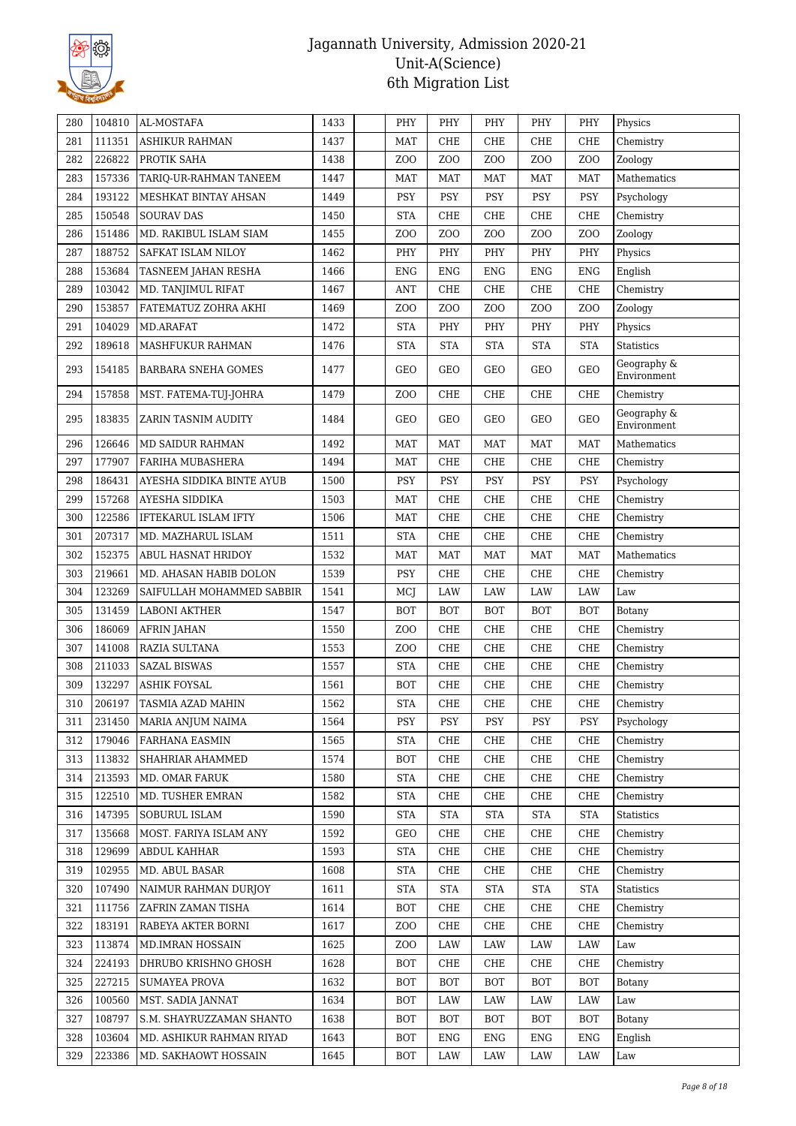

| 280 | 104810 | AL-MOSTAFA                 | 1433 | PHY              | PHY              | PHY              | PHY             | PHY              | Physics                    |
|-----|--------|----------------------------|------|------------------|------------------|------------------|-----------------|------------------|----------------------------|
| 281 | 111351 | <b>ASHIKUR RAHMAN</b>      | 1437 | <b>MAT</b>       | CHE              | <b>CHE</b>       | CHE             | <b>CHE</b>       | Chemistry                  |
| 282 | 226822 | PROTIK SAHA                | 1438 | Z <sub>0</sub>   | Z <sub>O</sub> O | Z <sub>O</sub> O | ZO <sub>O</sub> | Z <sub>O</sub> O | Zoology                    |
| 283 | 157336 | TARIQ-UR-RAHMAN TANEEM     | 1447 | <b>MAT</b>       | MAT              | <b>MAT</b>       | MAT             | <b>MAT</b>       | Mathematics                |
| 284 | 193122 | MESHKAT BINTAY AHSAN       | 1449 | <b>PSY</b>       | <b>PSY</b>       | <b>PSY</b>       | PSY             | PSY              | Psychology                 |
| 285 | 150548 | <b>SOURAV DAS</b>          | 1450 | <b>STA</b>       | ${\rm CHE}$      | CHE              | CHE             | <b>CHE</b>       | Chemistry                  |
| 286 | 151486 | MD. RAKIBUL ISLAM SIAM     | 1455 | Z <sub>0</sub>   | ZO <sub>O</sub>  | Z <sub>O</sub> O | ZO <sub>O</sub> | ZO <sub>O</sub>  | Zoology                    |
| 287 | 188752 | SAFKAT ISLAM NILOY         | 1462 | PHY              | PHY              | PHY              | PHY             | PHY              | Physics                    |
| 288 | 153684 | TASNEEM JAHAN RESHA        | 1466 | <b>ENG</b>       | <b>ENG</b>       | <b>ENG</b>       | <b>ENG</b>      | <b>ENG</b>       | English                    |
| 289 | 103042 | MD. TANJIMUL RIFAT         | 1467 | <b>ANT</b>       | CHE              | CHE              | CHE             | <b>CHE</b>       | Chemistry                  |
| 290 | 153857 | FATEMATUZ ZOHRA AKHI       | 1469 | Z <sub>0</sub>   | ZO <sub>O</sub>  | ZO <sub>O</sub>  | ZO <sub>O</sub> | Z <sub>O</sub> O | Zoology                    |
| 291 | 104029 | MD.ARAFAT                  | 1472 | <b>STA</b>       | PHY              | PHY              | PHY             | PHY              | Physics                    |
| 292 | 189618 | MASHFUKUR RAHMAN           | 1476 | <b>STA</b>       | <b>STA</b>       | <b>STA</b>       | <b>STA</b>      | <b>STA</b>       | <b>Statistics</b>          |
| 293 | 154185 | <b>BARBARA SNEHA GOMES</b> | 1477 | GEO              | GEO              | GEO              | GEO             | <b>GEO</b>       | Geography &<br>Environment |
| 294 | 157858 | MST. FATEMA-TUJ-JOHRA      | 1479 | Z <sub>0</sub>   | CHE              | CHE              | CHE             | <b>CHE</b>       | Chemistry                  |
| 295 | 183835 | ZARIN TASNIM AUDITY        | 1484 | GEO              | GEO              | GEO              | GEO             | <b>GEO</b>       | Geography &<br>Environment |
| 296 | 126646 | <b>MD SAIDUR RAHMAN</b>    | 1492 | <b>MAT</b>       | <b>MAT</b>       | <b>MAT</b>       | <b>MAT</b>      | <b>MAT</b>       | Mathematics                |
| 297 | 177907 | FARIHA MUBASHERA           | 1494 | <b>MAT</b>       | CHE              | CHE              | CHE             | <b>CHE</b>       | Chemistry                  |
| 298 | 186431 | AYESHA SIDDIKA BINTE AYUB  | 1500 | <b>PSY</b>       | <b>PSY</b>       | <b>PSY</b>       | <b>PSY</b>      | <b>PSY</b>       | Psychology                 |
| 299 | 157268 | AYESHA SIDDIKA             | 1503 | <b>MAT</b>       | CHE              | CHE              | CHE             | CHE              | Chemistry                  |
| 300 | 122586 | IFTEKARUL ISLAM IFTY       | 1506 | <b>MAT</b>       | CHE              | <b>CHE</b>       | CHE             | CHE              | Chemistry                  |
| 301 | 207317 | MD. MAZHARUL ISLAM         | 1511 | <b>STA</b>       | ${\rm CHE}$      | CHE              | CHE             | <b>CHE</b>       | Chemistry                  |
| 302 | 152375 | <b>ABUL HASNAT HRIDOY</b>  | 1532 | <b>MAT</b>       | MAT              | <b>MAT</b>       | MAT             | <b>MAT</b>       | Mathematics                |
| 303 | 219661 | MD. AHASAN HABIB DOLON     | 1539 | PSY              | CHE              | CHE              | CHE             | CHE              | Chemistry                  |
| 304 | 123269 | SAIFULLAH MOHAMMED SABBIR  | 1541 | MCI              | <b>LAW</b>       | <b>LAW</b>       | <b>LAW</b>      | LAW              | Law                        |
| 305 | 131459 | <b>LABONI AKTHER</b>       | 1547 | <b>BOT</b>       | <b>BOT</b>       | <b>BOT</b>       | <b>BOT</b>      | <b>BOT</b>       | Botany                     |
| 306 | 186069 | <b>AFRIN JAHAN</b>         | 1550 | Z <sub>0</sub>   | CHE              | CHE              | CHE             | <b>CHE</b>       | Chemistry                  |
| 307 | 141008 | RAZIA SULTANA              | 1553 | Z <sub>O</sub> O | ${\rm CHE}$      | CHE              | CHE             | <b>CHE</b>       | Chemistry                  |
| 308 | 211033 | <b>SAZAL BISWAS</b>        | 1557 | <b>STA</b>       | CHE              | CHE              | CHE             | CHE              | Chemistry                  |
| 309 | 132297 | <b>ASHIK FOYSAL</b>        | 1561 | <b>BOT</b>       | ${\rm CHE}$      | CHE              | ${\rm CHE}$     | <b>CHE</b>       | Chemistry                  |
| 310 | 206197 | TASMIA AZAD MAHIN          | 1562 | <b>STA</b>       | CHE              | CHE              | CHE             | <b>CHE</b>       | Chemistry                  |
| 311 | 231450 | <b>MARIA ANJUM NAIMA</b>   | 1564 | PSY              | PSY              | PSY              | <b>PSY</b>      | PSY              | Psychology                 |
| 312 | 179046 | <b>FARHANA EASMIN</b>      | 1565 | <b>STA</b>       | CHE              | CHE              | CHE             | <b>CHE</b>       | Chemistry                  |
| 313 | 113832 | SHAHRIAR AHAMMED           | 1574 | BOT              | CHE              | CHE              | CHE             | <b>CHE</b>       | Chemistry                  |
| 314 | 213593 | MD. OMAR FARUK             | 1580 | <b>STA</b>       | CHE              | CHE              | CHE             | <b>CHE</b>       | Chemistry                  |
| 315 | 122510 | MD. TUSHER EMRAN           | 1582 | STA              | CHE              | CHE              | CHE             | <b>CHE</b>       | Chemistry                  |
| 316 | 147395 | SOBURUL ISLAM              | 1590 | <b>STA</b>       | <b>STA</b>       | <b>STA</b>       | <b>STA</b>      | <b>STA</b>       | <b>Statistics</b>          |
| 317 | 135668 | MOST. FARIYA ISLAM ANY     | 1592 | GEO              | CHE              | CHE              | CHE             | <b>CHE</b>       | Chemistry                  |
| 318 | 129699 | ABDUL KAHHAR               | 1593 | <b>STA</b>       | CHE              | CHE              | CHE             | <b>CHE</b>       | Chemistry                  |
| 319 | 102955 | MD. ABUL BASAR             | 1608 | <b>STA</b>       | CHE              | CHE              | CHE             | CHE              | Chemistry                  |
| 320 | 107490 | NAIMUR RAHMAN DURJOY       | 1611 | <b>STA</b>       | <b>STA</b>       | <b>STA</b>       | <b>STA</b>      | <b>STA</b>       | Statistics                 |
| 321 | 111756 | ZAFRIN ZAMAN TISHA         | 1614 | BOT              | CHE              | CHE              | CHE             | CHE              | Chemistry                  |
| 322 | 183191 | RABEYA AKTER BORNI         | 1617 | Z <sub>0</sub>   | CHE              | CHE              | CHE             | <b>CHE</b>       | Chemistry                  |
| 323 | 113874 | MD.IMRAN HOSSAIN           | 1625 | Z <sub>O</sub> O | LAW              | LAW              | LAW             | LAW              | Law                        |
| 324 | 224193 | DHRUBO KRISHNO GHOSH       | 1628 | BOT              | CHE              | CHE              | CHE             | CHE              | Chemistry                  |
| 325 | 227215 | SUMAYEA PROVA              | 1632 | BOT              | BOT              | <b>BOT</b>       | BOT             | BOT              | Botany                     |
| 326 | 100560 | MST. SADIA JANNAT          | 1634 | <b>BOT</b>       | LAW              | LAW              | LAW             | LAW              | Law                        |
| 327 | 108797 | S.M. SHAYRUZZAMAN SHANTO   | 1638 | BOT              | BOT              | BOT              | BOT             | BOT              | Botany                     |
| 328 | 103604 | MD. ASHIKUR RAHMAN RIYAD   | 1643 | BOT              | ENG              | ENG              | ENG             | <b>ENG</b>       | English                    |
| 329 | 223386 | MD. SAKHAOWT HOSSAIN       | 1645 | BOT              | LAW              | LAW              | LAW             | LAW              | Law                        |
|     |        |                            |      |                  |                  |                  |                 |                  |                            |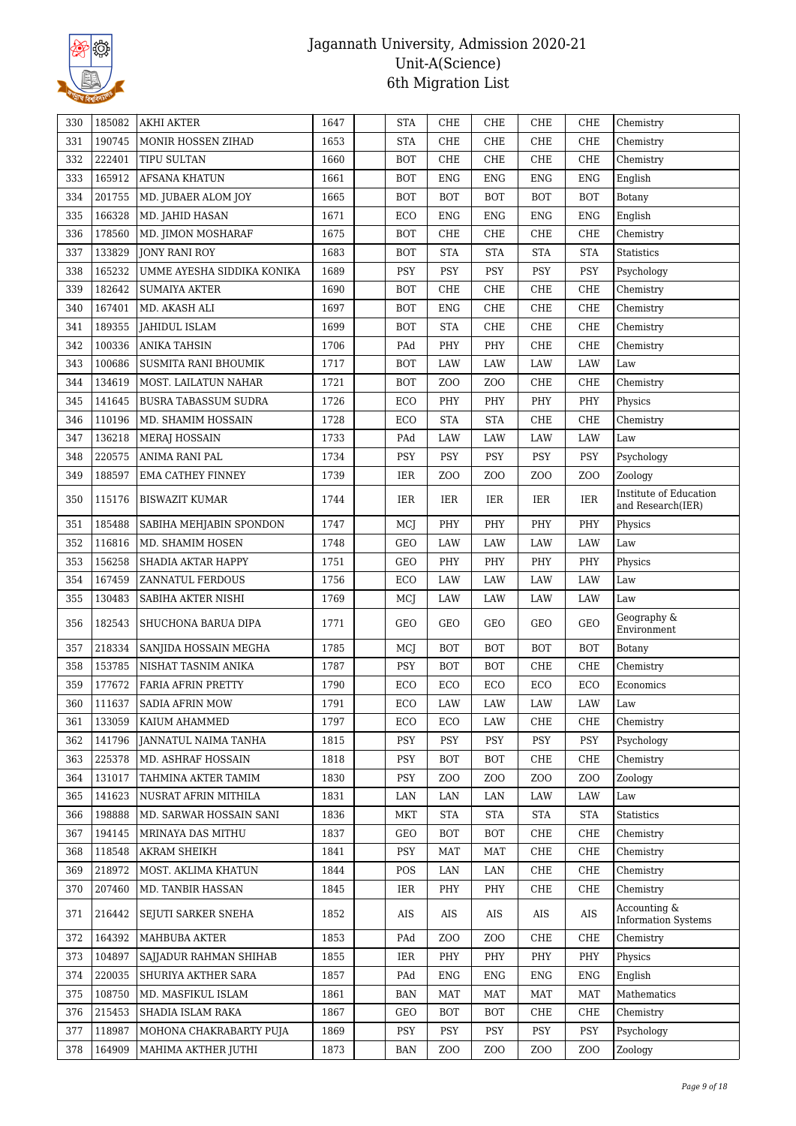

| 330 | 185082 | <b>AKHI AKTER</b>           | 1647 | <b>STA</b> | CHE              | CHE              | CHE             | <b>CHE</b>       | Chemistry                                   |
|-----|--------|-----------------------------|------|------------|------------------|------------------|-----------------|------------------|---------------------------------------------|
| 331 | 190745 | MONIR HOSSEN ZIHAD          | 1653 | <b>STA</b> | CHE              | <b>CHE</b>       | CHE             | CHE              | Chemistry                                   |
| 332 | 222401 | <b>TIPU SULTAN</b>          | 1660 | <b>BOT</b> | ${\rm CHE}$      | CHE              | CHE             | CHE              | Chemistry                                   |
| 333 | 165912 | <b>AFSANA KHATUN</b>        | 1661 | <b>BOT</b> | <b>ENG</b>       | ENG              | <b>ENG</b>      | <b>ENG</b>       | English                                     |
| 334 | 201755 | MD. JUBAER ALOM JOY         | 1665 | <b>BOT</b> | BOT              | <b>BOT</b>       | <b>BOT</b>      | <b>BOT</b>       | Botany                                      |
| 335 | 166328 | MD. JAHID HASAN             | 1671 | ECO        | ${\rm ENG}$      | <b>ENG</b>       | <b>ENG</b>      | <b>ENG</b>       | English                                     |
| 336 | 178560 | MD. JIMON MOSHARAF          | 1675 | <b>BOT</b> | ${\rm CHE}$      | CHE              | CHE             | CHE              | Chemistry                                   |
| 337 | 133829 | <b>JONY RANI ROY</b>        | 1683 | <b>BOT</b> | <b>STA</b>       | <b>STA</b>       | <b>STA</b>      | <b>STA</b>       | <b>Statistics</b>                           |
| 338 | 165232 | UMME AYESHA SIDDIKA KONIKA  | 1689 | PSY        | PSY              | <b>PSY</b>       | PSY             | PSY              | Psychology                                  |
| 339 | 182642 | <b>SUMAIYA AKTER</b>        | 1690 | <b>BOT</b> | CHE              | CHE              | CHE             | <b>CHE</b>       | Chemistry                                   |
| 340 | 167401 | MD. AKASH ALI               | 1697 | <b>BOT</b> | ${\rm ENG}$      | CHE              | CHE             | CHE              | Chemistry                                   |
| 341 | 189355 | JAHIDUL ISLAM               | 1699 | <b>BOT</b> | <b>STA</b>       | <b>CHE</b>       | CHE             | <b>CHE</b>       | Chemistry                                   |
| 342 | 100336 | <b>ANIKA TAHSIN</b>         | 1706 | PAd        | PHY              | PHY              | CHE             | <b>CHE</b>       | Chemistry                                   |
| 343 | 100686 | SUSMITA RANI BHOUMIK        | 1717 | <b>BOT</b> | LAW              | LAW              | LAW             | LAW              | Law                                         |
| 344 | 134619 | MOST. LAILATUN NAHAR        | 1721 | <b>BOT</b> | Z <sub>O</sub> O | Z <sub>O</sub> O | CHE             | CHE              | Chemistry                                   |
| 345 | 141645 | <b>BUSRA TABASSUM SUDRA</b> | 1726 | ECO        | PHY              | PHY              | PHY             | PHY              | Physics                                     |
| 346 | 110196 | MD. SHAMIM HOSSAIN          | 1728 | ECO        | <b>STA</b>       | <b>STA</b>       | CHE             | <b>CHE</b>       | Chemistry                                   |
| 347 | 136218 | <b>MERAJ HOSSAIN</b>        | 1733 | PAd        | LAW              | LAW              | LAW             | LAW              | Law                                         |
| 348 | 220575 | ANIMA RANI PAL              | 1734 | <b>PSY</b> | PSY              | PSY              | PSY             | <b>PSY</b>       | Psychology                                  |
| 349 | 188597 | <b>EMA CATHEY FINNEY</b>    | 1739 | IER        | Z <sub>O</sub> O | Z <sub>O</sub> O | ZO <sub>O</sub> | Z <sub>O</sub> O | Zoology                                     |
| 350 | 115176 | <b>BISWAZIT KUMAR</b>       | 1744 | IER        | IER              | IER              | IER             | IER              | Institute of Education<br>and Research(IER) |
| 351 | 185488 | SABIHA MEHJABIN SPONDON     | 1747 | MCI        | PHY              | PHY              | PHY             | PHY              | Physics                                     |
| 352 | 116816 | MD. SHAMIM HOSEN            | 1748 | GEO        | LAW              | LAW              | LAW             | LAW              | Law                                         |
| 353 | 156258 | SHADIA AKTAR HAPPY          | 1751 | GEO        | PHY              | PHY              | PHY             | PHY              | Physics                                     |
| 354 | 167459 | ZANNATUL FERDOUS            | 1756 | ECO        | LAW              | LAW              | LAW             | LAW              | Law                                         |
|     |        |                             |      |            |                  |                  |                 |                  |                                             |
| 355 | 130483 | SABIHA AKTER NISHI          | 1769 | MCJ        | LAW              | LAW              | LAW             | LAW              | Law                                         |
| 356 | 182543 | SHUCHONA BARUA DIPA         | 1771 | GEO        | GEO              | GEO              | GEO             | <b>GEO</b>       | Geography &<br>Environment                  |
| 357 | 218334 | SANJIDA HOSSAIN MEGHA       | 1785 | MCJ        | <b>BOT</b>       | <b>BOT</b>       | <b>BOT</b>      | <b>BOT</b>       | Botany                                      |
| 358 | 153785 | NISHAT TASNIM ANIKA         | 1787 | PSY        | BOT              | <b>BOT</b>       | CHE             | CHE              | Chemistry                                   |
| 359 | 177672 | FARIA AFRIN PRETTY          | 1790 | ECO        | ECO              | ECO              | ECO             | ECO              | Economics                                   |
| 360 | 111637 | <b>SADIA AFRIN MOW</b>      | 1791 | ECO        | LAW              | LAW              | LAW             | LAW              | Law                                         |
| 361 | 133059 | KAIUM AHAMMED               | 1797 | ECO        | ECO              | LAW              | CHE             | <b>CHE</b>       | Chemistry                                   |
| 362 | 141796 | JANNATUL NAIMA TANHA        | 1815 | PSY        | PSY              | PSY              | PSY             | PSY              | Psychology                                  |
| 363 | 225378 | MD. ASHRAF HOSSAIN          | 1818 | PSY        | <b>BOT</b>       | <b>BOT</b>       | CHE             | <b>CHE</b>       | Chemistry                                   |
| 364 | 131017 | TAHMINA AKTER TAMIM         | 1830 | PSY        | Z <sub>O</sub> O | Z <sub>O</sub> O | ZO <sub>O</sub> | Z <sub>O</sub> O | Zoology                                     |
| 365 | 141623 | NUSRAT AFRIN MITHILA        | 1831 | LAN        | LAN              | LAN              | LAW             | LAW              | Law                                         |
| 366 | 198888 | MD. SARWAR HOSSAIN SANI     | 1836 | <b>MKT</b> | <b>STA</b>       | <b>STA</b>       | <b>STA</b>      | <b>STA</b>       | Statistics                                  |
| 367 | 194145 | MRINAYA DAS MITHU           | 1837 | GEO        | <b>BOT</b>       | <b>BOT</b>       | CHE             | <b>CHE</b>       | Chemistry                                   |
| 368 | 118548 | AKRAM SHEIKH                | 1841 | PSY        | MAT              | <b>MAT</b>       | CHE             | <b>CHE</b>       | Chemistry                                   |
| 369 | 218972 | MOST. AKLIMA KHATUN         | 1844 | POS        | LAN              | LAN              | CHE             | <b>CHE</b>       | Chemistry                                   |
| 370 | 207460 | MD. TANBIR HASSAN           | 1845 | IER        | PHY              | PHY              | CHE             | <b>CHE</b>       | Chemistry                                   |
| 371 | 216442 | SEJUTI SARKER SNEHA         | 1852 | AIS        | AIS              | AIS              | AIS             | AIS              | Accounting &<br><b>Information Systems</b>  |
| 372 | 164392 | MAHBUBA AKTER               | 1853 | PAd        | Z <sub>O</sub> O | Z <sub>O</sub> O | CHE             | <b>CHE</b>       | Chemistry                                   |
| 373 | 104897 | SAJJADUR RAHMAN SHIHAB      | 1855 | IER        | PHY              | PHY              | PHY             | PHY              | Physics                                     |
| 374 | 220035 | SHURIYA AKTHER SARA         | 1857 | PAd        | <b>ENG</b>       | <b>ENG</b>       | <b>ENG</b>      | <b>ENG</b>       | English                                     |
| 375 | 108750 | MD. MASFIKUL ISLAM          | 1861 | <b>BAN</b> | MAT              | <b>MAT</b>       | <b>MAT</b>      | <b>MAT</b>       | Mathematics                                 |
| 376 | 215453 | SHADIA ISLAM RAKA           | 1867 | GEO        | BOT              | <b>BOT</b>       | CHE             | <b>CHE</b>       | Chemistry                                   |
| 377 | 118987 | MOHONA CHAKRABARTY PUJA     | 1869 | <b>PSY</b> | <b>PSY</b>       | PSY              | <b>PSY</b>      | PSY              | Psychology                                  |
| 378 | 164909 | MAHIMA AKTHER JUTHI         | 1873 | <b>BAN</b> | Z <sub>O</sub> O | Z <sub>O</sub> O | ZO <sub>O</sub> | Z <sub>O</sub> O | Zoology                                     |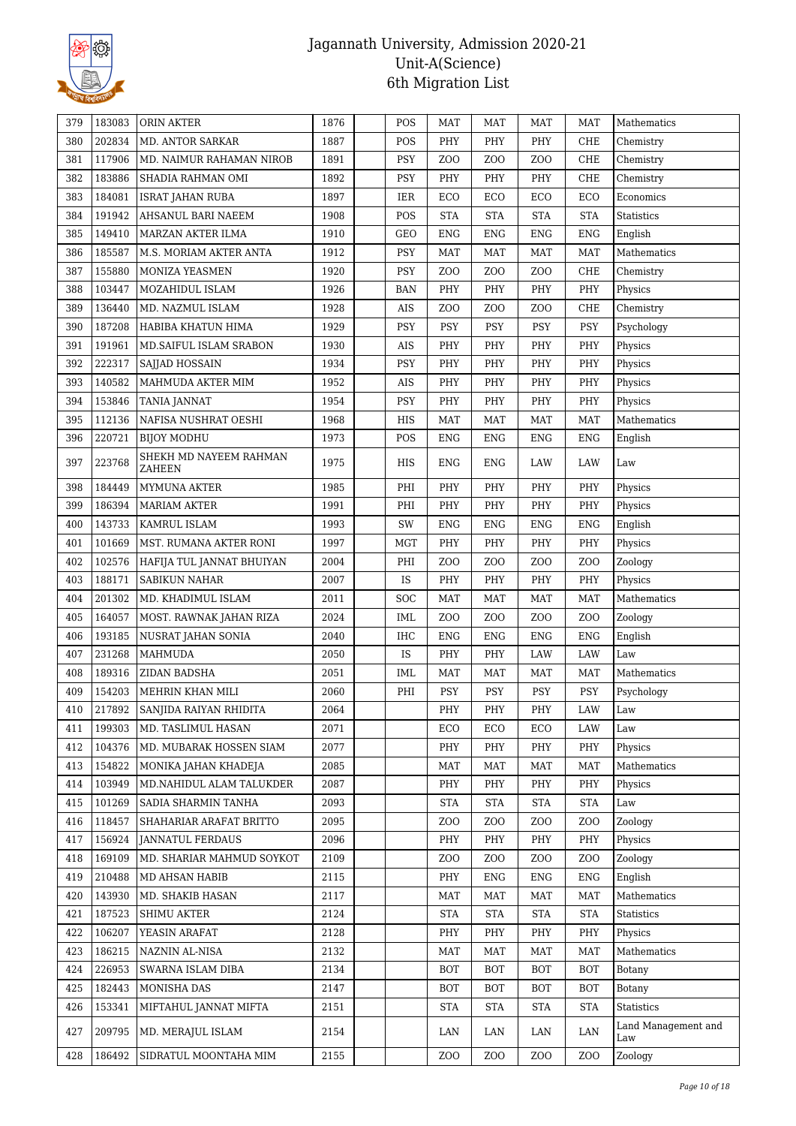

| 379 | 183083 | ORIN AKTER                | 1876 | POS        | <b>MAT</b>                         | <b>MAT</b>       | <b>MAT</b>                         | MAT                  | Mathematics                |
|-----|--------|---------------------------|------|------------|------------------------------------|------------------|------------------------------------|----------------------|----------------------------|
| 380 | 202834 | MD. ANTOR SARKAR          | 1887 | POS        | PHY                                | PHY              | PHY                                | <b>CHE</b>           | Chemistry                  |
| 381 | 117906 | MD. NAIMUR RAHAMAN NIROB  | 1891 | PSY        | Z <sub>O</sub> O                   | Z <sub>O</sub> O | Z <sub>O</sub> O                   | <b>CHE</b>           | Chemistry                  |
| 382 | 183886 | SHADIA RAHMAN OMI         | 1892 | PSY        | PHY                                | PHY              | PHY                                | <b>CHE</b>           | Chemistry                  |
| 383 | 184081 | <b>ISRAT JAHAN RUBA</b>   | 1897 | IER        | ECO                                | ECO              | ECO                                | ECO                  | Economics                  |
| 384 | 191942 | AHSANUL BARI NAEEM        | 1908 | POS        | <b>STA</b>                         | <b>STA</b>       | <b>STA</b>                         | <b>STA</b>           | Statistics                 |
| 385 | 149410 | MARZAN AKTER ILMA         | 1910 | GEO        | <b>ENG</b>                         | <b>ENG</b>       | ENG                                | <b>ENG</b>           | English                    |
| 386 | 185587 | M.S. MORIAM AKTER ANTA    | 1912 | PSY        | <b>MAT</b>                         | <b>MAT</b>       | <b>MAT</b>                         | <b>MAT</b>           | Mathematics                |
| 387 | 155880 | MONIZA YEASMEN            | 1920 | <b>PSY</b> | Z <sub>O</sub> O                   | Z <sub>O</sub> O | Z <sub>O</sub> O                   | <b>CHE</b>           | Chemistry                  |
| 388 | 103447 | MOZAHIDUL ISLAM           | 1926 | <b>BAN</b> | PHY                                | PHY              | PHY                                | PHY                  | Physics                    |
| 389 | 136440 | MD. NAZMUL ISLAM          | 1928 | $\rm AIS$  | Z <sub>0</sub>                     | Z <sub>O</sub> O | ZOO                                | CHE                  | Chemistry                  |
| 390 | 187208 | HABIBA KHATUN HIMA        | 1929 | <b>PSY</b> | PSY                                | PSY              | PSY                                | PSY                  | Psychology                 |
| 391 | 191961 | MD. SAIFUL ISLAM SRABON   | 1930 | AIS        | PHY                                | PHY              | PHY                                | PHY                  | Physics                    |
| 392 | 222317 | SAJJAD HOSSAIN            | 1934 | <b>PSY</b> | PHY                                | PHY              | PHY                                | PHY                  | Physics                    |
| 393 | 140582 | MAHMUDA AKTER MIM         | 1952 | AIS        | PHY                                | PHY              | PHY                                | PHY                  | Physics                    |
| 394 | 153846 | TANIA JANNAT              | 1954 | <b>PSY</b> | PHY                                | PHY              | PHY                                | PHY                  | Physics                    |
| 395 | 112136 | NAFISA NUSHRAT OESHI      | 1968 | HIS        | <b>MAT</b>                         | <b>MAT</b>       | <b>MAT</b>                         | <b>MAT</b>           | Mathematics                |
| 396 | 220721 | <b>BIJOY MODHU</b>        | 1973 | POS        | ${\rm ENG}$                        | <b>ENG</b>       | <b>ENG</b>                         | <b>ENG</b>           | English                    |
|     |        | SHEKH MD NAYEEM RAHMAN    |      |            |                                    |                  |                                    |                      |                            |
| 397 | 223768 | ZAHEEN                    | 1975 | HIS        | <b>ENG</b>                         | <b>ENG</b>       | LAW                                | LAW                  | Law                        |
| 398 | 184449 | MYMUNA AKTER              | 1985 | PHI        | PHY                                | PHY              | PHY                                | PHY                  | Physics                    |
| 399 | 186394 | <b>MARIAM AKTER</b>       | 1991 | PHI        | PHY                                | PHY              | PHY                                | PHY                  | Physics                    |
| 400 | 143733 | KAMRUL ISLAM              | 1993 | SW         | ${\rm ENG}$                        | ${\rm ENG}$      | <b>ENG</b>                         | <b>ENG</b>           | English                    |
| 401 | 101669 | MST. RUMANA AKTER RONI    | 1997 | <b>MGT</b> | PHY                                | PHY              | PHY                                | PHY                  | Physics                    |
| 402 | 102576 | HAFIJA TUL JANNAT BHUIYAN | 2004 | PHI        | Z <sub>O</sub> O                   | Z <sub>O</sub> O | Z <sub>O</sub> O                   | Z <sub>O</sub> O     | Zoology                    |
| 403 | 188171 | SABIKUN NAHAR             | 2007 | IS         | PHY                                | PHY              | PHY                                | PHY                  | Physics                    |
| 404 | 201302 | MD. KHADIMUL ISLAM        | 2011 | SOC        | <b>MAT</b>                         | MAT              | <b>MAT</b>                         | <b>MAT</b>           | Mathematics                |
| 405 | 164057 | MOST. RAWNAK JAHAN RIZA   | 2024 | IML        | Z <sub>O</sub> O                   | Z <sub>O</sub> O | ZOO                                | Z <sub>O</sub> O     | Zoology                    |
| 406 | 193185 | NUSRAT JAHAN SONIA        | 2040 | IHC        | <b>ENG</b>                         | <b>ENG</b>       | <b>ENG</b>                         | <b>ENG</b>           | English                    |
| 407 | 231268 | <b>MAHMUDA</b>            | 2050 | IS         | PHY                                | PHY              | LAW                                | LAW                  | Law                        |
| 408 | 189316 | ZIDAN BADSHA              | 2051 | IML        | <b>MAT</b>                         | <b>MAT</b>       | <b>MAT</b>                         | <b>MAT</b>           | Mathematics                |
| 409 | 154203 | MEHRIN KHAN MILI          | 2060 | PHI        | <b>PSY</b>                         | <b>PSY</b>       | PSY                                | PSY                  | Psychology                 |
| 410 | 217892 | SANJIDA RAIYAN RHIDITA    | 2064 |            | $\ensuremath{\mathsf{PHY}}\xspace$ | PHY              | $\ensuremath{\mathsf{PHY}}\xspace$ | LAW                  | Law                        |
| 411 | 199303 | MD. TASLIMUL HASAN        | 2071 |            | ECO                                | ECO              | ECO                                | LAW                  | Law                        |
| 412 | 104376 | MD. MUBARAK HOSSEN SIAM   | 2077 |            | PHY                                | PHY              | PHY                                | PHY                  | Physics                    |
| 413 | 154822 | MONIKA JAHAN KHADEJA      | 2085 |            |                                    |                  |                                    |                      |                            |
| 414 |        |                           |      |            | <b>MAT</b>                         | <b>MAT</b>       | MAT                                | <b>MAT</b>           | Mathematics                |
| 415 | 103949 | MD.NAHIDUL ALAM TALUKDER  | 2087 |            | PHY                                | PHY              | PHY                                | PHY                  | Physics                    |
|     | 101269 | SADIA SHARMIN TANHA       | 2093 |            | <b>STA</b>                         | <b>STA</b>       | <b>STA</b>                         | <b>STA</b>           | Law                        |
| 416 | 118457 | SHAHARIAR ARAFAT BRITTO   | 2095 |            | Z <sub>O</sub> O                   | Z <sub>O</sub> O | Z <sub>O</sub> O                   | Z <sub>O</sub> O     | Zoology                    |
| 417 | 156924 | <b>JANNATUL FERDAUS</b>   | 2096 |            | PHY                                | PHY              | PHY                                | PHY                  | Physics                    |
| 418 | 169109 | MD. SHARIAR MAHMUD SOYKOT | 2109 |            | ZOO                                | ZOO              | ZOO                                | Z <sub>O</sub> O     | Zoology                    |
| 419 | 210488 | MD AHSAN HABIB            | 2115 |            | PHY                                | <b>ENG</b>       | <b>ENG</b>                         | <b>ENG</b>           | English                    |
| 420 | 143930 | MD. SHAKIB HASAN          | 2117 |            | <b>MAT</b>                         | <b>MAT</b>       | <b>MAT</b>                         | <b>MAT</b>           | Mathematics                |
| 421 | 187523 | <b>SHIMU AKTER</b>        | 2124 |            | <b>STA</b>                         | <b>STA</b>       | <b>STA</b>                         | $\operatorname{STA}$ | Statistics                 |
| 422 | 106207 | YEASIN ARAFAT             | 2128 |            | PHY                                | PHY              | PHY                                | PHY                  | Physics                    |
| 423 | 186215 | NAZNIN AL-NISA            | 2132 |            | <b>MAT</b>                         | <b>MAT</b>       | <b>MAT</b>                         | <b>MAT</b>           | Mathematics                |
| 424 | 226953 | SWARNA ISLAM DIBA         | 2134 |            | <b>BOT</b>                         | <b>BOT</b>       | <b>BOT</b>                         | <b>BOT</b>           | Botany                     |
| 425 | 182443 | MONISHA DAS               | 2147 |            | BOT                                | <b>BOT</b>       | <b>BOT</b>                         | <b>BOT</b>           | Botany                     |
| 426 | 153341 | MIFTAHUL JANNAT MIFTA     | 2151 |            | <b>STA</b>                         | <b>STA</b>       | <b>STA</b>                         | <b>STA</b>           | Statistics                 |
| 427 | 209795 | MD. MERAJUL ISLAM         | 2154 |            | LAN                                | LAN              | LAN                                | LAN                  | Land Management and<br>Law |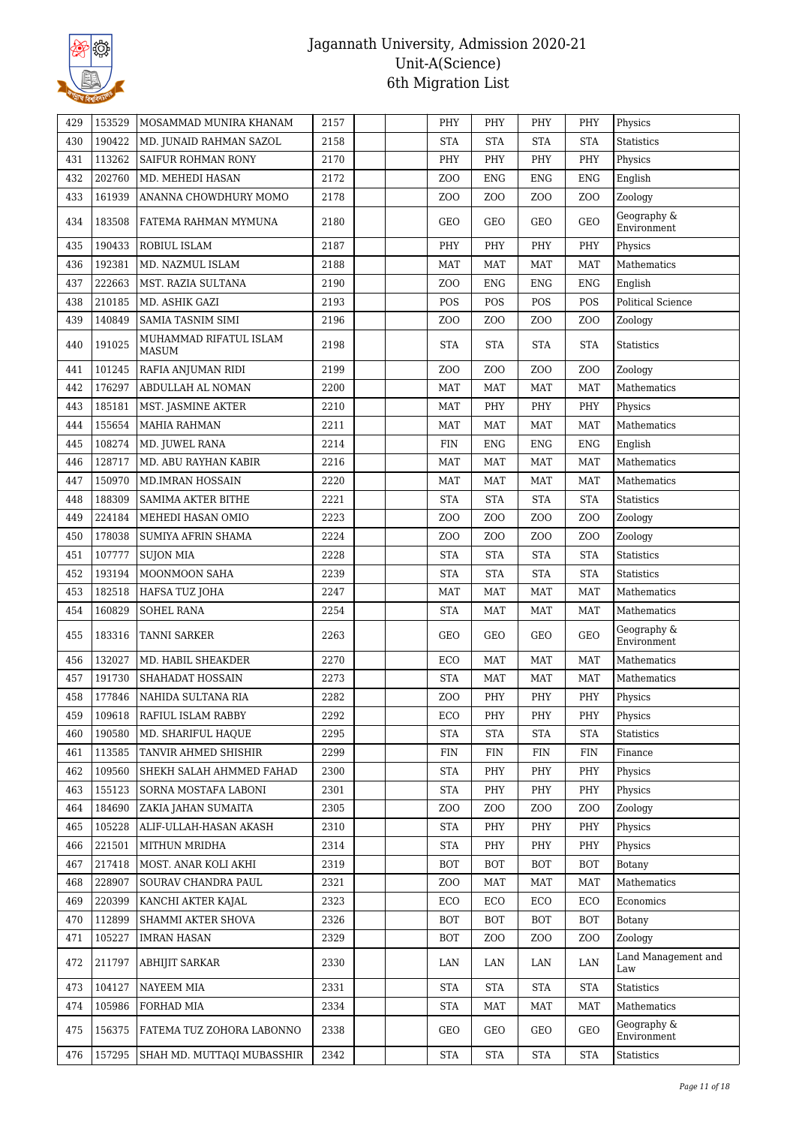

| 429 | 153529 | MOSAMMAD MUNIRA KHANAM                 | 2157 |  | PHY                  | PHY              | PHY                  | PHY              | Physics                    |
|-----|--------|----------------------------------------|------|--|----------------------|------------------|----------------------|------------------|----------------------------|
| 430 | 190422 | MD. JUNAID RAHMAN SAZOL                | 2158 |  | <b>STA</b>           | <b>STA</b>       | <b>STA</b>           | <b>STA</b>       | <b>Statistics</b>          |
| 431 | 113262 | SAIFUR ROHMAN RONY                     | 2170 |  | PHY                  | PHY              | PHY                  | PHY              | Physics                    |
| 432 | 202760 | MD. MEHEDI HASAN                       | 2172 |  | Z <sub>O</sub> O     | ${\rm ENG}$      | <b>ENG</b>           | <b>ENG</b>       | English                    |
| 433 | 161939 | ANANNA CHOWDHURY MOMO                  | 2178 |  | Z <sub>0</sub>       | Z <sub>O</sub> O | Z <sub>0</sub>       | ZO <sub>O</sub>  | Zoology                    |
| 434 | 183508 | FATEMA RAHMAN MYMUNA                   | 2180 |  | GEO                  | GEO              | GEO                  | <b>GEO</b>       | Geography &<br>Environment |
| 435 | 190433 | ROBIUL ISLAM                           | 2187 |  | PHY                  | PHY              | PHY                  | PHY              | Physics                    |
| 436 | 192381 | MD. NAZMUL ISLAM                       | 2188 |  | <b>MAT</b>           | <b>MAT</b>       | <b>MAT</b>           | <b>MAT</b>       | Mathematics                |
| 437 | 222663 | MST. RAZIA SULTANA                     | 2190 |  | Z <sub>O</sub> O     | <b>ENG</b>       | <b>ENG</b>           | <b>ENG</b>       | English                    |
| 438 | 210185 | MD. ASHIK GAZI                         | 2193 |  | POS                  | POS              | POS                  | POS              | <b>Political Science</b>   |
| 439 | 140849 | <b>SAMIA TASNIM SIMI</b>               | 2196 |  | Z <sub>0</sub>       | Z <sub>O</sub> O | Z <sub>O</sub> O     | Z <sub>O</sub> O | Zoology                    |
| 440 | 191025 | MUHAMMAD RIFATUL ISLAM<br><b>MASUM</b> | 2198 |  | <b>STA</b>           | <b>STA</b>       | <b>STA</b>           | <b>STA</b>       | Statistics                 |
| 441 | 101245 | RAFIA ANJUMAN RIDI                     | 2199 |  | Z <sub>0</sub>       | Z <sub>O</sub> O | Z <sub>O</sub> O     | Z <sub>O</sub> O | Zoology                    |
| 442 | 176297 | ABDULLAH AL NOMAN                      | 2200 |  | MAT                  | MAT              | MAT                  | <b>MAT</b>       | Mathematics                |
| 443 | 185181 | MST. JASMINE AKTER                     | 2210 |  | MAT                  | PHY              | PHY                  | PHY              | Physics                    |
| 444 | 155654 | <b>MAHIA RAHMAN</b>                    | 2211 |  | <b>MAT</b>           | <b>MAT</b>       | <b>MAT</b>           | <b>MAT</b>       | Mathematics                |
| 445 | 108274 | MD. JUWEL RANA                         | 2214 |  | <b>FIN</b>           | <b>ENG</b>       | <b>ENG</b>           | <b>ENG</b>       | English                    |
| 446 | 128717 | MD. ABU RAYHAN KABIR                   | 2216 |  | <b>MAT</b>           | <b>MAT</b>       | <b>MAT</b>           | <b>MAT</b>       | Mathematics                |
| 447 | 150970 | <b>MD.IMRAN HOSSAIN</b>                | 2220 |  | <b>MAT</b>           | <b>MAT</b>       | <b>MAT</b>           | <b>MAT</b>       | Mathematics                |
| 448 | 188309 | SAMIMA AKTER BITHE                     | 2221 |  | <b>STA</b>           | <b>STA</b>       | <b>STA</b>           | <b>STA</b>       | <b>Statistics</b>          |
| 449 | 224184 | MEHEDI HASAN OMIO                      | 2223 |  | ZO <sub>O</sub>      | ZO <sub>O</sub>  | ZO <sub>O</sub>      | ZO <sub>O</sub>  | Zoology                    |
| 450 | 178038 | SUMIYA AFRIN SHAMA                     | 2224 |  | Z <sub>O</sub> O     | Z <sub>O</sub> O | ZOO                  | Z <sub>O</sub> O | Zoology                    |
| 451 | 107777 | <b>SUJON MIA</b>                       | 2228 |  | <b>STA</b>           | <b>STA</b>       | <b>STA</b>           | <b>STA</b>       | <b>Statistics</b>          |
| 452 | 193194 | MOONMOON SAHA                          | 2239 |  | <b>STA</b>           | <b>STA</b>       | $\operatorname{STA}$ | <b>STA</b>       | <b>Statistics</b>          |
| 453 | 182518 | HAFSA TUZ JOHA                         | 2247 |  | <b>MAT</b>           | <b>MAT</b>       | <b>MAT</b>           | <b>MAT</b>       | Mathematics                |
| 454 | 160829 | <b>SOHEL RANA</b>                      | 2254 |  | <b>STA</b>           | <b>MAT</b>       | <b>MAT</b>           | <b>MAT</b>       | Mathematics                |
| 455 | 183316 | <b>TANNI SARKER</b>                    | 2263 |  | GEO                  | GEO              | GEO                  | GEO              | Geography &<br>Environment |
| 456 | 132027 | MD. HABIL SHEAKDER                     | 2270 |  | ECO                  | <b>MAT</b>       | <b>MAT</b>           | <b>MAT</b>       | Mathematics                |
| 457 | 191730 | SHAHADAT HOSSAIN                       | 2273 |  | <b>STA</b>           | <b>MAT</b>       | MAT                  | <b>MAT</b>       | Mathematics                |
| 458 | 177846 | NAHIDA SULTANA RIA                     | 2282 |  | ZOO                  | PHY              | PHY                  | PHY              | Physics                    |
| 459 | 109618 | <b>RAFIUL ISLAM RABBY</b>              | 2292 |  | ECO                  | PHY              | PHY                  | PHY              | Physics                    |
| 460 | 190580 | MD. SHARIFUL HAQUE                     | 2295 |  | <b>STA</b>           | <b>STA</b>       | <b>STA</b>           | <b>STA</b>       | <b>Statistics</b>          |
| 461 | 113585 | TANVIR AHMED SHISHIR                   | 2299 |  | <b>FIN</b>           | <b>FIN</b>       | <b>FIN</b>           | <b>FIN</b>       | Finance                    |
| 462 | 109560 | SHEKH SALAH AHMMED FAHAD               | 2300 |  | <b>STA</b>           | PHY              | PHY                  | PHY              | Physics                    |
| 463 | 155123 | SORNA MOSTAFA LABONI                   | 2301 |  | $\operatorname{STA}$ | PHY              | PHY                  | PHY              | Physics                    |
| 464 | 184690 | ZAKIA JAHAN SUMAITA                    | 2305 |  | Z <sub>O</sub> O     | Z <sub>O</sub> O | Z <sub>O</sub> O     | Z <sub>O</sub> O | Zoology                    |
| 465 | 105228 | ALIF-ULLAH-HASAN AKASH                 | 2310 |  | <b>STA</b>           | PHY              | PHY                  | PHY              | Physics                    |
| 466 | 221501 | MITHUN MRIDHA                          | 2314 |  | <b>STA</b>           | PHY              | PHY                  | PHY              | Physics                    |
| 467 | 217418 | MOST. ANAR KOLI AKHI                   | 2319 |  | <b>BOT</b>           | <b>BOT</b>       | BOT                  | <b>BOT</b>       | Botany                     |
| 468 | 228907 | SOURAV CHANDRA PAUL                    | 2321 |  | Z <sub>O</sub> O     | <b>MAT</b>       | <b>MAT</b>           | <b>MAT</b>       | Mathematics                |
| 469 | 220399 | KANCHI AKTER KAJAL                     | 2323 |  | ECO                  | ECO              | ECO                  | ECO              | Economics                  |
| 470 | 112899 | SHAMMI AKTER SHOVA                     | 2326 |  | <b>BOT</b>           | <b>BOT</b>       | <b>BOT</b>           | <b>BOT</b>       | Botany                     |
| 471 | 105227 | <b>IMRAN HASAN</b>                     | 2329 |  | BOT                  | ZOO              | ZOO                  | Z <sub>O</sub> O | Zoology                    |
| 472 | 211797 | ABHIJIT SARKAR                         | 2330 |  | LAN                  | LAN              | LAN                  | LAN              | Land Management and<br>Law |
| 473 | 104127 | NAYEEM MIA                             | 2331 |  | <b>STA</b>           | <b>STA</b>       | <b>STA</b>           | <b>STA</b>       | Statistics                 |
| 474 | 105986 | FORHAD MIA                             | 2334 |  | <b>STA</b>           | <b>MAT</b>       | <b>MAT</b>           | <b>MAT</b>       | Mathematics                |
| 475 | 156375 | FATEMA TUZ ZOHORA LABONNO              | 2338 |  | GEO                  | GEO              | GEO                  | GEO              | Geography &<br>Environment |
| 476 | 157295 | SHAH MD. MUTTAQI MUBASSHIR             | 2342 |  | <b>STA</b>           | <b>STA</b>       | <b>STA</b>           | <b>STA</b>       | Statistics                 |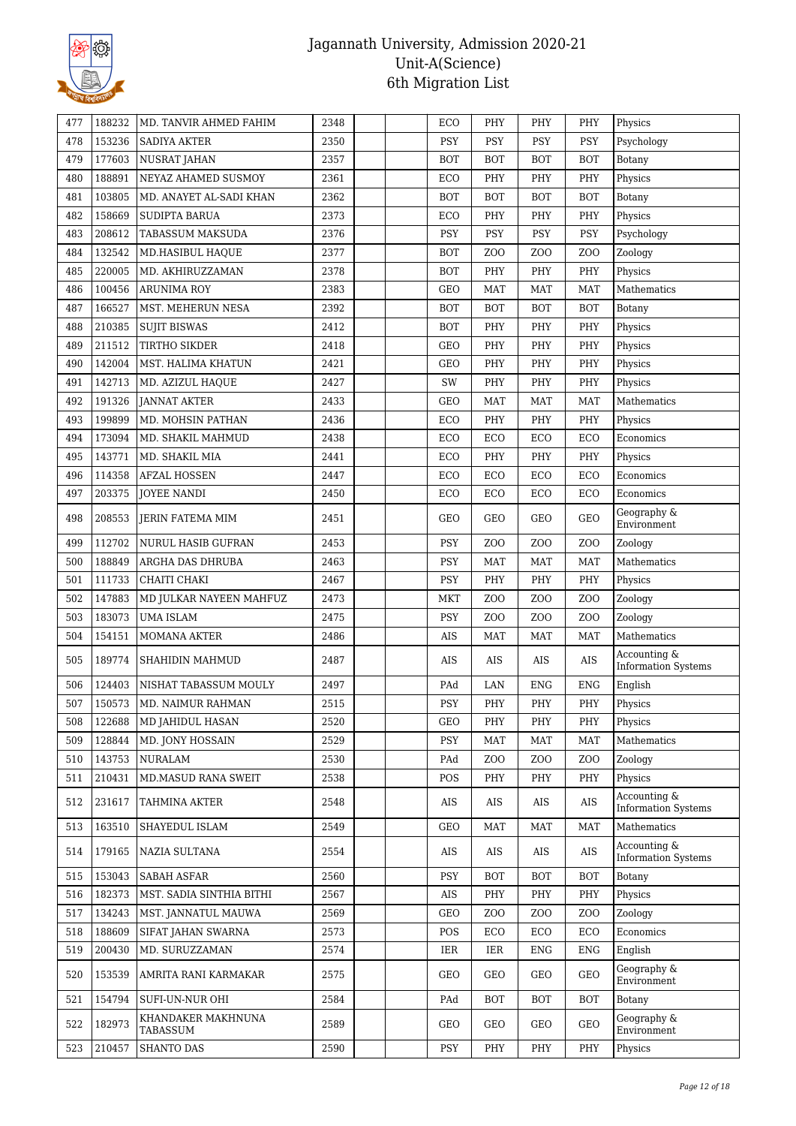

| 477 | 188232 | MD. TANVIR AHMED FAHIM         | 2348 |  | ECO        | PHY              | PHY              | PHY              | Physics                                    |
|-----|--------|--------------------------------|------|--|------------|------------------|------------------|------------------|--------------------------------------------|
| 478 | 153236 | SADIYA AKTER                   | 2350 |  | <b>PSY</b> | PSY              | PSY              | <b>PSY</b>       | Psychology                                 |
| 479 | 177603 | <b>NUSRAT JAHAN</b>            | 2357 |  | <b>BOT</b> | <b>BOT</b>       | <b>BOT</b>       | <b>BOT</b>       | Botany                                     |
| 480 | 188891 | NEYAZ AHAMED SUSMOY            | 2361 |  | ECO        | PHY              | PHY              | PHY              | Physics                                    |
| 481 | 103805 | MD. ANAYET AL-SADI KHAN        | 2362 |  | <b>BOT</b> | <b>BOT</b>       | <b>BOT</b>       | <b>BOT</b>       | Botany                                     |
| 482 | 158669 | <b>SUDIPTA BARUA</b>           | 2373 |  | ECO        | PHY              | PHY              | PHY              | Physics                                    |
| 483 | 208612 | TABASSUM MAKSUDA               | 2376 |  | <b>PSY</b> | PSY              | PSY              | <b>PSY</b>       | Psychology                                 |
| 484 | 132542 | MD.HASIBUL HAQUE               | 2377 |  | <b>BOT</b> | ZOO              | ZO <sub>O</sub>  | ZO <sub>O</sub>  | Zoology                                    |
| 485 | 220005 | MD. AKHIRUZZAMAN               | 2378 |  | <b>BOT</b> | PHY              | PHY              | PHY              | Physics                                    |
| 486 | 100456 | <b>ARUNIMA ROY</b>             | 2383 |  | GEO        | <b>MAT</b>       | <b>MAT</b>       | <b>MAT</b>       | Mathematics                                |
| 487 | 166527 | MST. MEHERUN NESA              | 2392 |  | <b>BOT</b> | <b>BOT</b>       | <b>BOT</b>       | <b>BOT</b>       | Botany                                     |
| 488 | 210385 | <b>SUJIT BISWAS</b>            | 2412 |  | <b>BOT</b> | PHY              | PHY              | PHY              | Physics                                    |
| 489 | 211512 | <b>TIRTHO SIKDER</b>           | 2418 |  | <b>GEO</b> | PHY              | PHY              | PHY              | Physics                                    |
|     |        |                                |      |  |            |                  |                  |                  |                                            |
| 490 | 142004 | MST. HALIMA KHATUN             | 2421 |  | <b>GEO</b> | PHY              | PHY              | PHY              | Physics                                    |
| 491 | 142713 | MD. AZIZUL HAQUE               | 2427 |  | SW         | PHY              | PHY              | PHY              | Physics                                    |
| 492 | 191326 | <b>JANNAT AKTER</b>            | 2433 |  | GEO        | <b>MAT</b>       | <b>MAT</b>       | <b>MAT</b>       | Mathematics                                |
| 493 | 199899 | MD. MOHSIN PATHAN              | 2436 |  | ECO        | PHY              | PHY              | PHY              | Physics                                    |
| 494 | 173094 | MD. SHAKIL MAHMUD              | 2438 |  | ECO        | ECO              | ECO              | ECO              | Economics                                  |
| 495 | 143771 | MD. SHAKIL MIA                 | 2441 |  | ECO        | PHY              | PHY              | PHY              | Physics                                    |
| 496 | 114358 | <b>AFZAL HOSSEN</b>            | 2447 |  | ECO        | ECO              | ECO              | ECO              | Economics                                  |
| 497 | 203375 | <b>JOYEE NANDI</b>             | 2450 |  | ECO        | ECO              | ECO              | ECO              | Economics                                  |
| 498 | 208553 | <b>JERIN FATEMA MIM</b>        | 2451 |  | GEO        | GEO              | GEO              | <b>GEO</b>       | Geography &<br>Environment                 |
| 499 | 112702 | NURUL HASIB GUFRAN             | 2453 |  | <b>PSY</b> | ZO <sub>O</sub>  | Z <sub>O</sub> O | ZO <sub>O</sub>  | Zoology                                    |
| 500 | 188849 | ARGHA DAS DHRUBA               | 2463 |  | <b>PSY</b> | <b>MAT</b>       | <b>MAT</b>       | <b>MAT</b>       | Mathematics                                |
| 501 | 111733 | CHAITI CHAKI                   | 2467 |  | PSY        | PHY              | PHY              | PHY              | Physics                                    |
| 502 | 147883 | MD JULKAR NAYEEN MAHFUZ        | 2473 |  | <b>MKT</b> | Z <sub>0</sub>   | Z <sub>O</sub> O | ZO <sub>O</sub>  | Zoology                                    |
| 503 | 183073 | <b>UMA ISLAM</b>               | 2475 |  | <b>PSY</b> | ZOO              | ZO <sub>O</sub>  | ZO <sub>O</sub>  | Zoology                                    |
| 504 | 154151 | <b>MOMANA AKTER</b>            | 2486 |  | AIS        | <b>MAT</b>       | <b>MAT</b>       | <b>MAT</b>       | Mathematics                                |
| 505 | 189774 | <b>SHAHIDIN MAHMUD</b>         | 2487 |  | AIS        | AIS              | AIS              | AIS              | Accounting &<br><b>Information Systems</b> |
| 506 | 124403 | NISHAT TABASSUM MOULY          | 2497 |  | PAd        | LAN              | <b>ENG</b>       | <b>ENG</b>       | English                                    |
| 507 | 150573 | MD. NAIMUR RAHMAN              | 2515 |  | <b>PSY</b> | PHY              | PHY              | PHY              | Physics                                    |
| 508 | 122688 | <b>MD JAHIDUL HASAN</b>        | 2520 |  | GEO        | PHY              | PHY              | PHY              | Physics                                    |
| 509 | 128844 | MD. JONY HOSSAIN               | 2529 |  | <b>PSY</b> | <b>MAT</b>       | <b>MAT</b>       | <b>MAT</b>       | Mathematics                                |
| 510 | 143753 | <b>NURALAM</b>                 | 2530 |  | PAd        | Z <sub>O</sub> O | ZO <sub>O</sub>  | ZO <sub>O</sub>  | Zoology                                    |
| 511 | 210431 | MD.MASUD RANA SWEIT            | 2538 |  | POS        | PHY              | PHY              | PHY              | Physics                                    |
| 512 | 231617 | TAHMINA AKTER                  | 2548 |  | AIS        | AIS              | AIS              | AIS              | Accounting &<br><b>Information Systems</b> |
| 513 | 163510 | SHAYEDUL ISLAM                 | 2549 |  | GEO        | MAT              | MAT              | <b>MAT</b>       | Mathematics                                |
| 514 | 179165 | NAZIA SULTANA                  | 2554 |  | AIS        | AIS              | AIS              | AIS              | Accounting &<br><b>Information Systems</b> |
| 515 | 153043 | <b>SABAH ASFAR</b>             | 2560 |  | PSY        | <b>BOT</b>       | <b>BOT</b>       | <b>BOT</b>       | <b>Botany</b>                              |
| 516 | 182373 | MST. SADIA SINTHIA BITHI       | 2567 |  | AIS        | PHY              | PHY              | PHY              | Physics                                    |
| 517 | 134243 | MST. JANNATUL MAUWA            | 2569 |  | GEO        | Z <sub>O</sub> O | Z <sub>O</sub> O | Z <sub>O</sub> O | Zoology                                    |
| 518 | 188609 | SIFAT JAHAN SWARNA             | 2573 |  | POS        | ECO              | ECO              | ECO              | Economics                                  |
| 519 | 200430 | MD. SURUZZAMAN                 | 2574 |  | IER        | IER              | <b>ENG</b>       | <b>ENG</b>       | English                                    |
| 520 | 153539 | AMRITA RANI KARMAKAR           | 2575 |  | GEO        | GEO              | GEO              | <b>GEO</b>       | Geography &<br>Environment                 |
| 521 | 154794 | SUFI-UN-NUR OHI                | 2584 |  | PAd        | <b>BOT</b>       | <b>BOT</b>       | <b>BOT</b>       | Botany                                     |
| 522 | 182973 | KHANDAKER MAKHNUNA<br>TABASSUM | 2589 |  | GEO        | GEO              | GEO              | <b>GEO</b>       | Geography &<br>Environment                 |
| 523 | 210457 | <b>SHANTO DAS</b>              | 2590 |  | PSY        | PHY              | PHY              | PHY              | Physics                                    |
|     |        |                                |      |  |            |                  |                  |                  |                                            |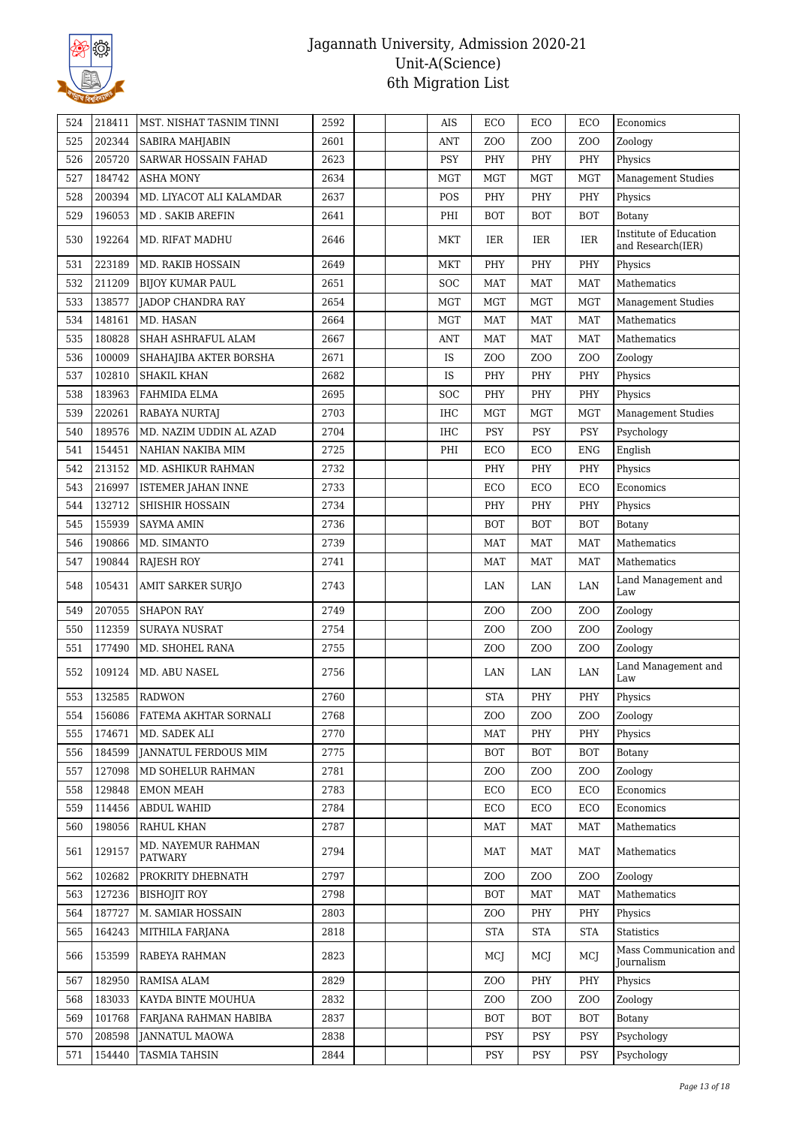

| 524 | 218411 | MST. NISHAT TASNIM TINNI      | 2592 | AIS        | ECO              | ECO              | ECO              | Economics                                   |
|-----|--------|-------------------------------|------|------------|------------------|------------------|------------------|---------------------------------------------|
| 525 | 202344 | SABIRA MAHJABIN               | 2601 | ANT        | Z <sub>O</sub> O | Z <sub>O</sub> O | ZO <sub>O</sub>  | Zoology                                     |
| 526 | 205720 | <b>SARWAR HOSSAIN FAHAD</b>   | 2623 | <b>PSY</b> | PHY              | PHY              | PHY              | Physics                                     |
| 527 | 184742 | <b>ASHA MONY</b>              | 2634 | <b>MGT</b> | <b>MGT</b>       | MGT              | <b>MGT</b>       | <b>Management Studies</b>                   |
| 528 | 200394 | MD. LIYACOT ALI KALAMDAR      | 2637 | POS        | PHY              | PHY              | PHY              | Physics                                     |
| 529 | 196053 | <b>MD. SAKIB AREFIN</b>       | 2641 | PHI        | <b>BOT</b>       | <b>BOT</b>       | <b>BOT</b>       | <b>Botany</b>                               |
| 530 | 192264 | MD. RIFAT MADHU               | 2646 | MKT        | IER              | IER              | IER              | Institute of Education<br>and Research(IER) |
| 531 | 223189 | MD. RAKIB HOSSAIN             | 2649 | <b>MKT</b> | PHY              | PHY              | PHY              | Physics                                     |
| 532 | 211209 | <b>BIJOY KUMAR PAUL</b>       | 2651 | <b>SOC</b> | <b>MAT</b>       | <b>MAT</b>       | <b>MAT</b>       | Mathematics                                 |
| 533 | 138577 | JADOP CHANDRA RAY             | 2654 | MGT        | <b>MGT</b>       | <b>MGT</b>       | <b>MGT</b>       | <b>Management Studies</b>                   |
| 534 | 148161 | MD. HASAN                     | 2664 | <b>MGT</b> | <b>MAT</b>       | <b>MAT</b>       | <b>MAT</b>       | Mathematics                                 |
| 535 | 180828 | SHAH ASHRAFUL ALAM            | 2667 | <b>ANT</b> | MAT              | MAT              | MAT              | Mathematics                                 |
| 536 | 100009 | SHAHAJIBA AKTER BORSHA        | 2671 | IS         | Z <sub>0</sub>   | Z <sub>O</sub> O | Z <sub>O</sub> O | Zoology                                     |
| 537 | 102810 | <b>SHAKIL KHAN</b>            | 2682 | IS         | PHY              | PHY              | PHY              | Physics                                     |
| 538 | 183963 | FAHMIDA ELMA                  | 2695 | <b>SOC</b> | PHY              | PHY              | PHY              | Physics                                     |
| 539 | 220261 | RABAYA NURTAJ                 | 2703 | <b>IHC</b> | <b>MGT</b>       | <b>MGT</b>       | <b>MGT</b>       | <b>Management Studies</b>                   |
| 540 | 189576 | MD. NAZIM UDDIN AL AZAD       | 2704 | IHC        | <b>PSY</b>       | <b>PSY</b>       | <b>PSY</b>       | Psychology                                  |
| 541 | 154451 | NAHIAN NAKIBA MIM             | 2725 | PHI        | ECO              | ECO              | <b>ENG</b>       | English                                     |
| 542 | 213152 | MD. ASHIKUR RAHMAN            | 2732 |            | PHY              | PHY              | PHY              | Physics                                     |
| 543 | 216997 | <b>ISTEMER JAHAN INNE</b>     | 2733 |            | ECO              | ECO              | ECO              | Economics                                   |
| 544 | 132712 | SHISHIR HOSSAIN               | 2734 |            | PHY              | PHY              | PHY              | Physics                                     |
| 545 | 155939 | <b>SAYMA AMIN</b>             | 2736 |            | <b>BOT</b>       | <b>BOT</b>       | <b>BOT</b>       | Botany                                      |
| 546 | 190866 | MD. SIMANTO                   | 2739 |            | MAT              | <b>MAT</b>       | <b>MAT</b>       | Mathematics                                 |
| 547 | 190844 | <b>RAJESH ROY</b>             | 2741 |            | <b>MAT</b>       | <b>MAT</b>       | <b>MAT</b>       | Mathematics                                 |
| 548 | 105431 | <b>AMIT SARKER SURJO</b>      | 2743 |            | LAN              | LAN              | LAN              | Land Management and<br>Law                  |
| 549 | 207055 | <b>SHAPON RAY</b>             | 2749 |            | ZO <sub>O</sub>  | Z <sub>O</sub> O | ZO <sub>O</sub>  | Zoology                                     |
| 550 | 112359 | <b>SURAYA NUSRAT</b>          | 2754 |            | Z <sub>O</sub> O | Z <sub>O</sub> O | Z <sub>O</sub> O | Zoology                                     |
| 551 | 177490 | MD. SHOHEL RANA               | 2755 |            | Z <sub>O</sub> O | Z <sub>O</sub> O | Z <sub>O</sub> O | Zoology                                     |
| 552 | 109124 | MD. ABU NASEL                 | 2756 |            | LAN              | LAN              | LAN              | Land Management and<br>Law                  |
| 553 | 132585 | <b>RADWON</b>                 | 2760 |            | <b>STA</b>       | PHY              | PHY              | Physics                                     |
| 554 | 156086 | FATEMA AKHTAR SORNALI         | 2768 |            | Z <sub>0</sub>   | Z <sub>O</sub> O | ZO <sub>O</sub>  | Zoology                                     |
| 555 | 174671 | MD. SADEK ALI                 | 2770 |            | MAT              | PHY              | PHY              | Physics                                     |
| 556 | 184599 | <b>JANNATUL FERDOUS MIM</b>   | 2775 |            | <b>BOT</b>       | <b>BOT</b>       | <b>BOT</b>       | Botany                                      |
| 557 | 127098 | MD SOHELUR RAHMAN             | 2781 |            | Z <sub>O</sub> O | Z <sub>O</sub> O | ZO <sub>O</sub>  | Zoology                                     |
| 558 | 129848 | <b>EMON MEAH</b>              | 2783 |            | ECO              | ECO              | ECO              | Economics                                   |
| 559 | 114456 | <b>ABDUL WAHID</b>            | 2784 |            | ECO              | ECO              | ECO              | Economics                                   |
| 560 | 198056 | RAHUL KHAN                    | 2787 |            | MAT              | MAT              | <b>MAT</b>       | Mathematics                                 |
| 561 | 129157 | MD. NAYEMUR RAHMAN<br>PATWARY | 2794 |            | MAT              | MAT              | <b>MAT</b>       | Mathematics                                 |
| 562 | 102682 | PROKRITY DHEBNATH             | 2797 |            | Z <sub>0</sub>   | Z <sub>O</sub> O | Z <sub>0</sub>   | Zoology                                     |
| 563 | 127236 | <b>BISHOJIT ROY</b>           | 2798 |            | <b>BOT</b>       | MAT              | <b>MAT</b>       | Mathematics                                 |
| 564 | 187727 | M. SAMIAR HOSSAIN             | 2803 |            | Z <sub>O</sub> O | PHY              | PHY              | Physics                                     |
| 565 | 164243 | MITHILA FARJANA               | 2818 |            | <b>STA</b>       | <b>STA</b>       | <b>STA</b>       | Statistics                                  |
| 566 | 153599 | RABEYA RAHMAN                 | 2823 |            | MCJ              | MCJ              | MCJ              | Mass Communication and<br>Journalism        |
| 567 | 182950 | RAMISA ALAM                   | 2829 |            | Z <sub>O</sub> O | PHY              | PHY              | Physics                                     |
| 568 | 183033 | KAYDA BINTE MOUHUA            | 2832 |            | Z <sub>0</sub>   | Z <sub>O</sub> O | Z <sub>0</sub>   | Zoology                                     |
| 569 | 101768 | FARJANA RAHMAN HABIBA         | 2837 |            | <b>BOT</b>       | <b>BOT</b>       | <b>BOT</b>       | Botany                                      |
| 570 | 208598 | <b>JANNATUL MAOWA</b>         | 2838 |            | <b>PSY</b>       | <b>PSY</b>       | PSY              | Psychology                                  |
| 571 | 154440 | <b>TASMIA TAHSIN</b>          | 2844 |            | <b>PSY</b>       | PSY              | <b>PSY</b>       | Psychology                                  |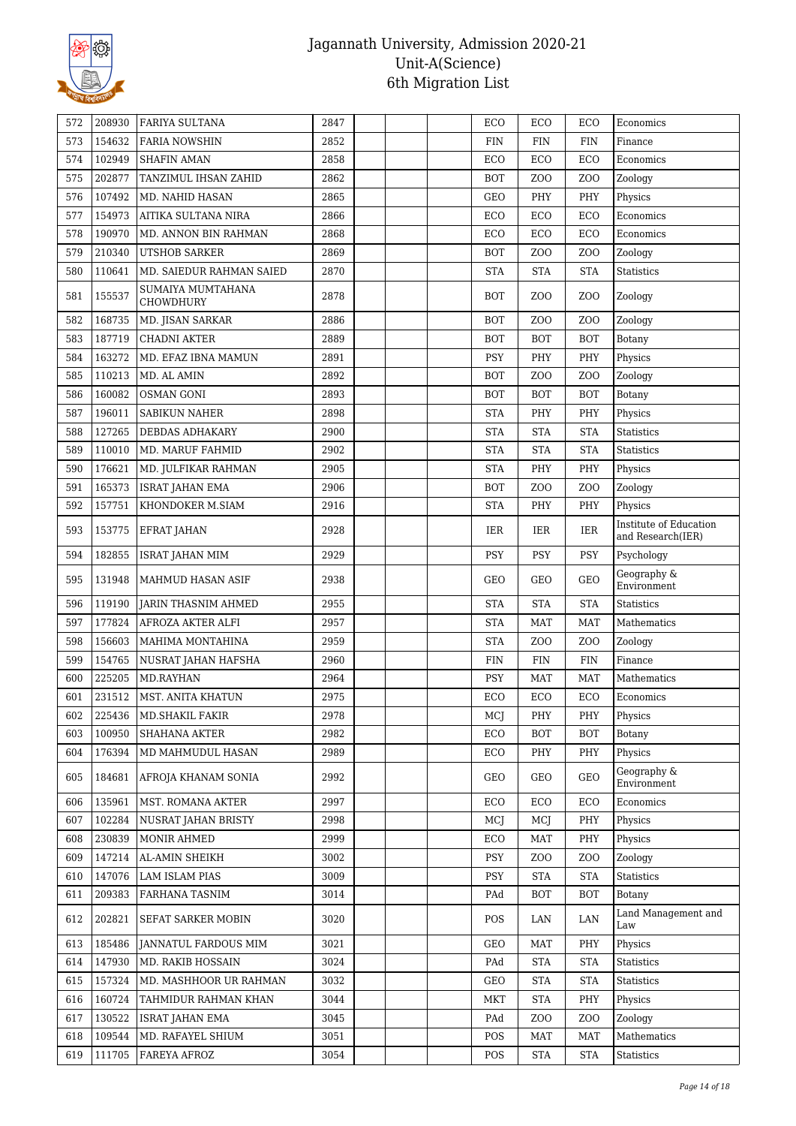

| 572 | 208930 | <b>FARIYA SULTANA</b>          | 2847 |  | ECO        | ECO              | ECO              | Economics                                   |
|-----|--------|--------------------------------|------|--|------------|------------------|------------------|---------------------------------------------|
| 573 | 154632 | <b>FARIA NOWSHIN</b>           | 2852 |  | <b>FIN</b> | <b>FIN</b>       | <b>FIN</b>       | Finance                                     |
| 574 | 102949 | <b>SHAFIN AMAN</b>             | 2858 |  | ECO        | ECO              | ECO              | Economics                                   |
| 575 | 202877 | TANZIMUL IHSAN ZAHID           | 2862 |  | <b>BOT</b> | ZO <sub>O</sub>  | Z <sub>O</sub> O | Zoology                                     |
| 576 | 107492 | MD. NAHID HASAN                | 2865 |  | GEO        | PHY              | PHY              | Physics                                     |
| 577 | 154973 | AITIKA SULTANA NIRA            | 2866 |  | ECO        | ECO              | ECO              | Economics                                   |
| 578 | 190970 | MD. ANNON BIN RAHMAN           | 2868 |  | ECO        | ECO              | ECO              | Economics                                   |
| 579 | 210340 | <b>UTSHOB SARKER</b>           | 2869 |  | <b>BOT</b> | ZO <sub>O</sub>  | Z <sub>O</sub> O | Zoology                                     |
| 580 | 110641 | MD. SAIEDUR RAHMAN SAIED       | 2870 |  | <b>STA</b> | <b>STA</b>       | <b>STA</b>       | <b>Statistics</b>                           |
| 581 | 155537 | SUMAIYA MUMTAHANA<br>CHOWDHURY | 2878 |  | <b>BOT</b> | Z <sub>O</sub> O | ZO <sub>O</sub>  | Zoology                                     |
| 582 | 168735 | MD. JISAN SARKAR               | 2886 |  | <b>BOT</b> | ZO <sub>O</sub>  | ZO <sub>O</sub>  | Zoology                                     |
| 583 | 187719 | <b>CHADNI AKTER</b>            | 2889 |  | <b>BOT</b> | <b>BOT</b>       | <b>BOT</b>       | Botany                                      |
| 584 | 163272 | MD. EFAZ IBNA MAMUN            | 2891 |  | <b>PSY</b> | PHY              | PHY              | Physics                                     |
| 585 | 110213 | MD. AL AMIN                    | 2892 |  | <b>BOT</b> | ZO <sub>O</sub>  | ZO <sub>O</sub>  | Zoology                                     |
| 586 | 160082 | <b>OSMAN GONI</b>              | 2893 |  | <b>BOT</b> | <b>BOT</b>       | <b>BOT</b>       | Botany                                      |
| 587 | 196011 | <b>SABIKUN NAHER</b>           | 2898 |  | <b>STA</b> | PHY              | PHY              | Physics                                     |
| 588 | 127265 | <b>DEBDAS ADHAKARY</b>         | 2900 |  | <b>STA</b> | <b>STA</b>       | <b>STA</b>       | <b>Statistics</b>                           |
| 589 | 110010 | MD. MARUF FAHMID               | 2902 |  | <b>STA</b> | <b>STA</b>       | <b>STA</b>       | <b>Statistics</b>                           |
| 590 | 176621 | MD. JULFIKAR RAHMAN            | 2905 |  | <b>STA</b> | PHY              | PHY              | Physics                                     |
| 591 | 165373 | <b>ISRAT JAHAN EMA</b>         | 2906 |  | <b>BOT</b> | ZOO              | ZO <sub>O</sub>  | Zoology                                     |
| 592 | 157751 | KHONDOKER M.SIAM               | 2916 |  | <b>STA</b> | PHY              | PHY              | Physics                                     |
| 593 | 153775 | EFRAT JAHAN                    | 2928 |  | IER        | IER              | <b>IER</b>       | Institute of Education<br>and Research(IER) |
| 594 | 182855 | <b>ISRAT JAHAN MIM</b>         | 2929 |  | <b>PSY</b> | PSY              | PSY              | Psychology                                  |
| 595 | 131948 | MAHMUD HASAN ASIF              | 2938 |  | GEO        | GEO              | <b>GEO</b>       | Geography &<br>Environment                  |
| 596 | 119190 | <b>JARIN THASNIM AHMED</b>     | 2955 |  | <b>STA</b> | <b>STA</b>       | <b>STA</b>       | <b>Statistics</b>                           |
| 597 | 177824 | AFROZA AKTER ALFI              | 2957 |  | <b>STA</b> | <b>MAT</b>       | <b>MAT</b>       | Mathematics                                 |
| 598 | 156603 | MAHIMA MONTAHINA               | 2959 |  | <b>STA</b> | Z <sub>0</sub>   | ZO <sub>O</sub>  | Zoology                                     |
| 599 | 154765 | NUSRAT JAHAN HAFSHA            | 2960 |  | <b>FIN</b> | <b>FIN</b>       | <b>FIN</b>       | Finance                                     |
| 600 | 225205 | MD.RAYHAN                      | 2964 |  | <b>PSY</b> | <b>MAT</b>       | <b>MAT</b>       | Mathematics                                 |
| 601 | 231512 | MST. ANITA KHATUN              | 2975 |  | ECO        | ECO              | ECO              | Economics                                   |
| 602 | 225436 | MD. SHAKIL FAKIR               | 2978 |  | MCJ        | PHY              | PHY              | Physics                                     |
| 603 | 100950 | <b>SHAHANA AKTER</b>           | 2982 |  | ECO        | <b>BOT</b>       | <b>BOT</b>       | Botany                                      |
| 604 | 176394 | MD MAHMUDUL HASAN              | 2989 |  | ECO        | PHY              | PHY              | Physics                                     |
| 605 | 184681 | AFROJA KHANAM SONIA            | 2992 |  | GEO        | GEO              | <b>GEO</b>       | Geography &<br>Environment                  |
| 606 | 135961 | MST. ROMANA AKTER              | 2997 |  | ECO        | ECO              | ECO              | Economics                                   |
| 607 | 102284 | NUSRAT JAHAN BRISTY            | 2998 |  | MCJ        | MCJ              | PHY              | Physics                                     |
| 608 | 230839 | <b>MONIR AHMED</b>             | 2999 |  | ECO        | <b>MAT</b>       | PHY              | Physics                                     |
| 609 | 147214 | AL-AMIN SHEIKH                 | 3002 |  | <b>PSY</b> | Z <sub>O</sub> O | ZO <sub>O</sub>  | Zoology                                     |
| 610 | 147076 | LAM ISLAM PIAS                 | 3009 |  | <b>PSY</b> | <b>STA</b>       | <b>STA</b>       | Statistics                                  |
| 611 | 209383 | FARHANA TASNIM                 | 3014 |  | PAd        | <b>BOT</b>       | <b>BOT</b>       | Botany                                      |
| 612 | 202821 | SEFAT SARKER MOBIN             | 3020 |  | <b>POS</b> | LAN              | LAN              | Land Management and<br>Law                  |
| 613 | 185486 | JANNATUL FARDOUS MIM           | 3021 |  | GEO        | <b>MAT</b>       | PHY              | Physics                                     |
| 614 | 147930 | MD. RAKIB HOSSAIN              | 3024 |  | PAd        | <b>STA</b>       | <b>STA</b>       | Statistics                                  |
| 615 | 157324 | MD. MASHHOOR UR RAHMAN         | 3032 |  | GEO        | <b>STA</b>       | <b>STA</b>       | Statistics                                  |
| 616 | 160724 | TAHMIDUR RAHMAN KHAN           | 3044 |  | <b>MKT</b> | <b>STA</b>       | PHY              | Physics                                     |
| 617 | 130522 | <b>ISRAT JAHAN EMA</b>         | 3045 |  | PAd        | Z <sub>O</sub> O | Z <sub>O</sub> O | Zoology                                     |
| 618 | 109544 | MD. RAFAYEL SHIUM              | 3051 |  | POS        | <b>MAT</b>       | <b>MAT</b>       | Mathematics                                 |
| 619 | 111705 | FAREYA AFROZ                   | 3054 |  | POS        | <b>STA</b>       | <b>STA</b>       | Statistics                                  |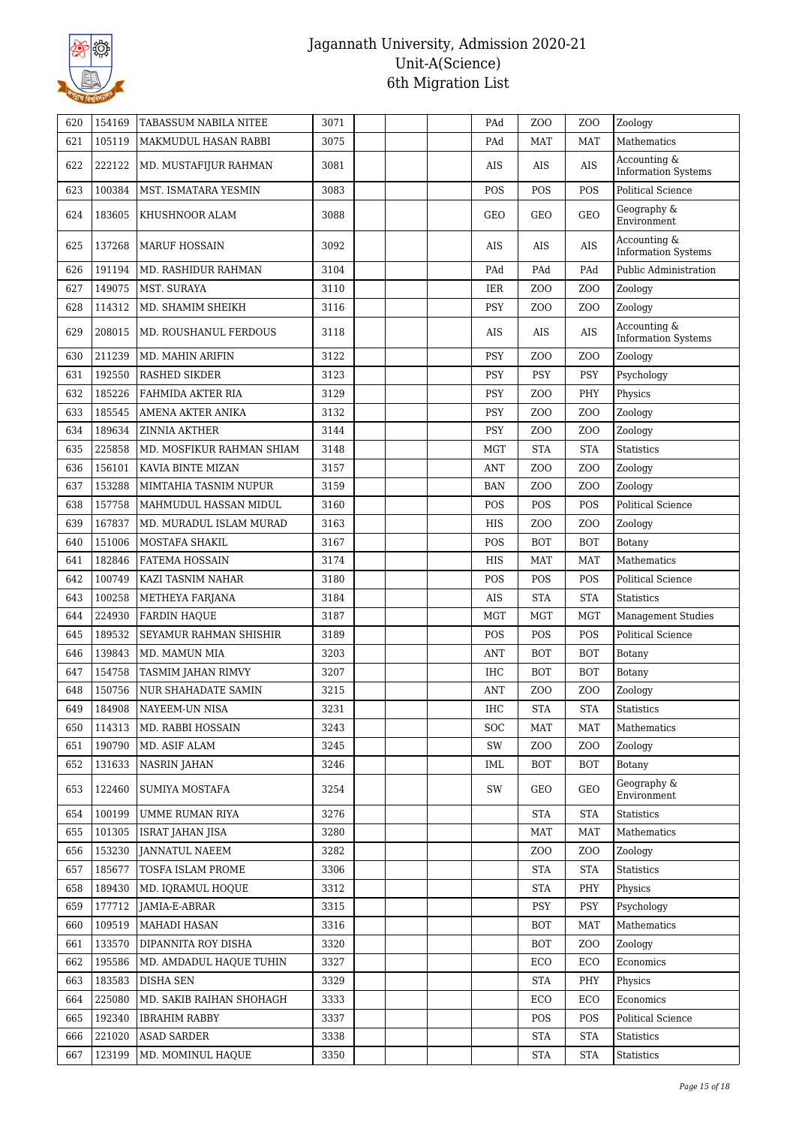

| 620 | 154169 | TABASSUM NABILA NITEE      | 3071 |  | PAd        | Z <sub>O</sub> O | Z <sub>O</sub> O | Zoology                                    |
|-----|--------|----------------------------|------|--|------------|------------------|------------------|--------------------------------------------|
| 621 | 105119 | MAKMUDUL HASAN RABBI       | 3075 |  | PAd        | <b>MAT</b>       | <b>MAT</b>       | Mathematics                                |
| 622 | 222122 | MD. MUSTAFIJUR RAHMAN      | 3081 |  | <b>AIS</b> | AIS              | AIS              | Accounting &<br><b>Information Systems</b> |
| 623 | 100384 | MST. ISMATARA YESMIN       | 3083 |  | POS        | POS              | POS              | <b>Political Science</b>                   |
| 624 | 183605 | KHUSHNOOR ALAM             | 3088 |  | <b>GEO</b> | GEO              | GEO              | Geography &<br>Environment                 |
| 625 | 137268 | <b>MARUF HOSSAIN</b>       | 3092 |  | <b>AIS</b> | AIS              | AIS              | Accounting &<br><b>Information Systems</b> |
| 626 | 191194 | MD. RASHIDUR RAHMAN        | 3104 |  | PAd        | PAd              | PAd              | Public Administration                      |
| 627 | 149075 | MST. SURAYA                | 3110 |  | IER        | Z <sub>O</sub> O | ZO <sub>O</sub>  | Zoology                                    |
| 628 | 114312 | MD. SHAMIM SHEIKH          | 3116 |  | <b>PSY</b> | Z <sub>O</sub> O | ZO <sub>O</sub>  | Zoology                                    |
| 629 | 208015 | MD. ROUSHANUL FERDOUS      | 3118 |  | <b>AIS</b> | AIS              | <b>AIS</b>       | Accounting &<br><b>Information Systems</b> |
| 630 | 211239 | MD. MAHIN ARIFIN           | 3122 |  | <b>PSY</b> | Z <sub>O</sub> O | Z <sub>O</sub> O | Zoology                                    |
| 631 | 192550 | <b>RASHED SIKDER</b>       | 3123 |  | <b>PSY</b> | PSY              | <b>PSY</b>       | Psychology                                 |
| 632 | 185226 | FAHMIDA AKTER RIA          | 3129 |  | <b>PSY</b> | Z <sub>O</sub> O | PHY              | Physics                                    |
| 633 | 185545 | AMENA AKTER ANIKA          | 3132 |  | <b>PSY</b> | Z <sub>O</sub> O | ZO <sub>O</sub>  | Zoology                                    |
| 634 | 189634 | ZINNIA AKTHER              | 3144 |  | <b>PSY</b> | Z <sub>0</sub>   | ZO <sub>O</sub>  | Zoology                                    |
| 635 | 225858 | MD. MOSFIKUR RAHMAN SHIAM  | 3148 |  | <b>MGT</b> | <b>STA</b>       | <b>STA</b>       | <b>Statistics</b>                          |
| 636 | 156101 | KAVIA BINTE MIZAN          | 3157 |  | <b>ANT</b> | Z <sub>O</sub> O | ZO <sub>O</sub>  | Zoology                                    |
| 637 | 153288 | MIMTAHIA TASNIM NUPUR      | 3159 |  | <b>BAN</b> | Z <sub>O</sub> O | ZO <sub>O</sub>  | Zoology                                    |
| 638 | 157758 | MAHMUDUL HASSAN MIDUL      | 3160 |  | POS        | POS              | POS              | <b>Political Science</b>                   |
| 639 | 167837 | MD. MURADUL ISLAM MURAD    | 3163 |  | HIS        | Z <sub>O</sub> O | Z <sub>O</sub> O | Zoology                                    |
| 640 | 151006 | MOSTAFA SHAKIL             | 3167 |  | POS        | <b>BOT</b>       | <b>BOT</b>       | Botany                                     |
| 641 | 182846 | <b>FATEMA HOSSAIN</b>      | 3174 |  | <b>HIS</b> | <b>MAT</b>       | <b>MAT</b>       | Mathematics                                |
| 642 | 100749 | KAZI TASNIM NAHAR          | 3180 |  | POS        | POS              | POS              | <b>Political Science</b>                   |
| 643 | 100258 | METHEYA FARJANA            | 3184 |  | <b>AIS</b> | <b>STA</b>       | <b>STA</b>       | <b>Statistics</b>                          |
| 644 | 224930 | <b>FARDIN HAQUE</b>        | 3187 |  | <b>MGT</b> | <b>MGT</b>       | <b>MGT</b>       | <b>Management Studies</b>                  |
| 645 | 189532 | SEYAMUR RAHMAN SHISHIR     | 3189 |  | POS        | POS              | POS              | <b>Political Science</b>                   |
| 646 | 139843 | MD. MAMUN MIA              | 3203 |  | <b>ANT</b> | <b>BOT</b>       | <b>BOT</b>       | Botany                                     |
| 647 | 154758 | TASMIM JAHAN RIMVY         | 3207 |  | <b>IHC</b> | <b>BOT</b>       | <b>BOT</b>       | Botany                                     |
| 648 | 150756 | <b>NUR SHAHADATE SAMIN</b> | 3215 |  | ANT        | Z <sub>O</sub> O | ZO <sub>O</sub>  | Zoology                                    |
| 649 | 184908 | NAYEEM-UN NISA             | 3231 |  | $\rm IHC$  | <b>STA</b>       | <b>STA</b>       | Statistics                                 |
| 650 | 114313 | MD. RABBI HOSSAIN          | 3243 |  | SOC        | MAT              | <b>MAT</b>       | Mathematics                                |
| 651 | 190790 | MD. ASIF ALAM              | 3245 |  | SW         | Z <sub>O</sub> O | Z <sub>0</sub>   | Zoology                                    |
| 652 | 131633 | <b>NASRIN JAHAN</b>        | 3246 |  | <b>IML</b> | <b>BOT</b>       | <b>BOT</b>       | Botany                                     |
| 653 | 122460 | SUMIYA MOSTAFA             | 3254 |  | SW         | GEO              | GEO              | Geography &<br>Environment                 |
| 654 | 100199 | UMME RUMAN RIYA            | 3276 |  |            | <b>STA</b>       | <b>STA</b>       | Statistics                                 |
| 655 | 101305 | <b>ISRAT JAHAN JISA</b>    | 3280 |  |            | MAT              | <b>MAT</b>       | Mathematics                                |
| 656 | 153230 | <b>JANNATUL NAEEM</b>      | 3282 |  |            | ZO <sub>O</sub>  | ZOO              | Zoology                                    |
| 657 | 185677 | TOSFA ISLAM PROME          | 3306 |  |            | <b>STA</b>       | <b>STA</b>       | <b>Statistics</b>                          |
| 658 | 189430 | MD. IQRAMUL HOQUE          | 3312 |  |            | <b>STA</b>       | PHY              | Physics                                    |
| 659 | 177712 | JAMIA-E-ABRAR              | 3315 |  |            | <b>PSY</b>       | <b>PSY</b>       | Psychology                                 |
| 660 | 109519 | MAHADI HASAN               | 3316 |  |            | <b>BOT</b>       | <b>MAT</b>       | Mathematics                                |
| 661 | 133570 | DIPANNITA ROY DISHA        | 3320 |  |            | <b>BOT</b>       | ZOO              | Zoology                                    |
| 662 | 195586 | MD. AMDADUL HAQUE TUHIN    | 3327 |  |            | ECO              | ECO              | Economics                                  |
| 663 | 183583 | <b>DISHA SEN</b>           | 3329 |  |            | <b>STA</b>       | PHY              | Physics                                    |
| 664 | 225080 | MD. SAKIB RAIHAN SHOHAGH   | 3333 |  |            | ECO              | ECO              | Economics                                  |
| 665 | 192340 | <b>IBRAHIM RABBY</b>       | 3337 |  |            | POS              | POS              | Political Science                          |
| 666 | 221020 | <b>ASAD SARDER</b>         | 3338 |  |            | <b>STA</b>       | <b>STA</b>       | Statistics                                 |
| 667 | 123199 | MD. MOMINUL HAQUE          | 3350 |  |            | <b>STA</b>       | <b>STA</b>       | Statistics                                 |
|     |        |                            |      |  |            |                  |                  |                                            |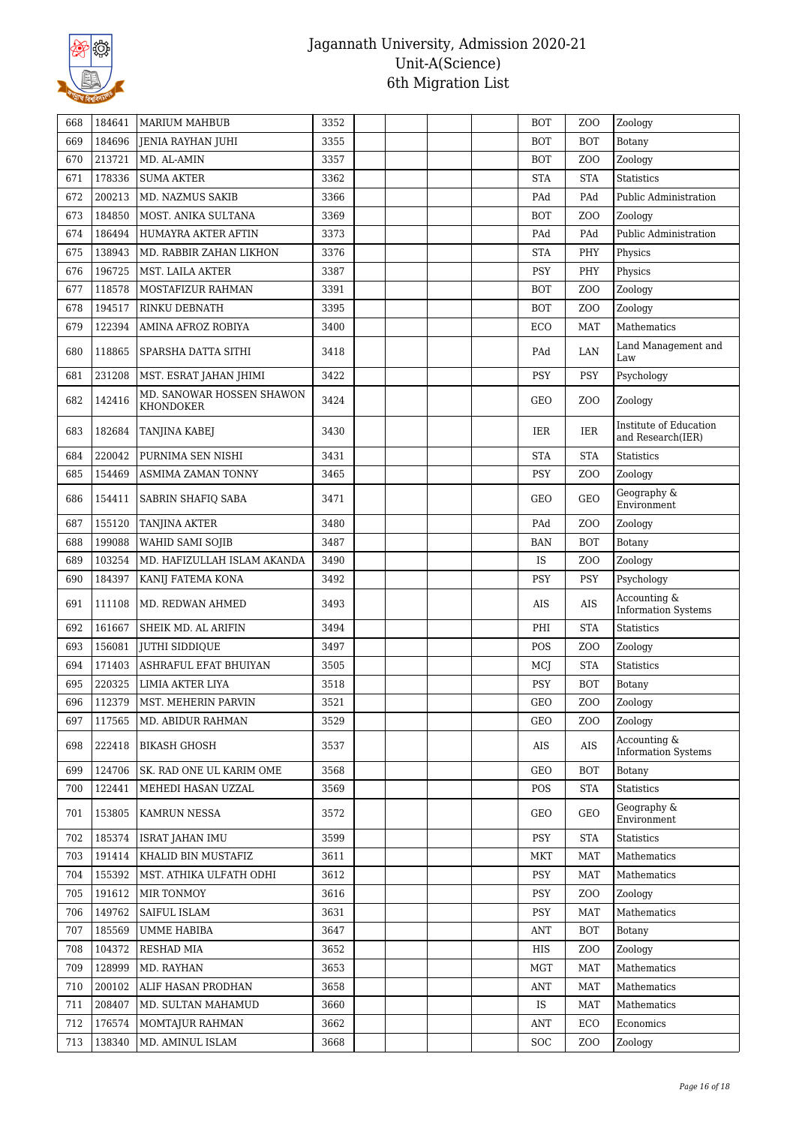

| 668 | 184641 | <b>MARIUM MAHBUB</b>                   | 3352 |  | <b>BOT</b> | Z <sub>O</sub> O | Zoology                                     |
|-----|--------|----------------------------------------|------|--|------------|------------------|---------------------------------------------|
| 669 | 184696 | JENIA RAYHAN JUHI                      | 3355 |  | <b>BOT</b> | <b>BOT</b>       | Botany                                      |
| 670 | 213721 | MD. AL-AMIN                            | 3357 |  | <b>BOT</b> | ZO <sub>O</sub>  | Zoology                                     |
| 671 | 178336 | <b>SUMA AKTER</b>                      | 3362 |  | <b>STA</b> | <b>STA</b>       | <b>Statistics</b>                           |
| 672 | 200213 | MD. NAZMUS SAKIB                       | 3366 |  | PAd        | PAd              | Public Administration                       |
| 673 | 184850 | MOST. ANIKA SULTANA                    | 3369 |  | <b>BOT</b> | ZO <sub>O</sub>  | Zoology                                     |
| 674 | 186494 | HUMAYRA AKTER AFTIN                    | 3373 |  | PAd        | PAd              | Public Administration                       |
| 675 | 138943 | MD. RABBIR ZAHAN LIKHON                | 3376 |  | <b>STA</b> | PHY              | Physics                                     |
| 676 | 196725 | MST. LAILA AKTER                       | 3387 |  | <b>PSY</b> | PHY              | Physics                                     |
| 677 | 118578 | MOSTAFIZUR RAHMAN                      | 3391 |  | <b>BOT</b> | ZO <sub>O</sub>  | Zoology                                     |
| 678 | 194517 | RINKU DEBNATH                          | 3395 |  | <b>BOT</b> | Z <sub>O</sub> O | Zoology                                     |
| 679 | 122394 | AMINA AFROZ ROBIYA                     | 3400 |  | ECO        | <b>MAT</b>       | Mathematics                                 |
| 680 | 118865 | SPARSHA DATTA SITHI                    | 3418 |  | PAd        | LAN              | Land Management and<br>Law                  |
| 681 | 231208 | MST. ESRAT JAHAN JHIMI                 | 3422 |  | PSY        | <b>PSY</b>       | Psychology                                  |
| 682 | 142416 | MD. SANOWAR HOSSEN SHAWON<br>KHONDOKER | 3424 |  | GEO        | Z <sub>O</sub> O | Zoology                                     |
| 683 | 182684 | TANJINA KABEJ                          | 3430 |  | IER        | IER              | Institute of Education<br>and Research(IER) |
| 684 | 220042 | PURNIMA SEN NISHI                      | 3431 |  | <b>STA</b> | <b>STA</b>       | <b>Statistics</b>                           |
| 685 | 154469 | ASMIMA ZAMAN TONNY                     | 3465 |  | PSY        | ZO <sub>O</sub>  | Zoology                                     |
| 686 | 154411 | <b>SABRIN SHAFIQ SABA</b>              | 3471 |  | GEO        | <b>GEO</b>       | Geography &<br>Environment                  |
| 687 | 155120 | <b>TANJINA AKTER</b>                   | 3480 |  | PAd        | ZO <sub>O</sub>  | Zoology                                     |
| 688 | 199088 | WAHID SAMI SOJIB                       | 3487 |  | <b>BAN</b> | <b>BOT</b>       | Botany                                      |
| 689 | 103254 | MD. HAFIZULLAH ISLAM AKANDA            | 3490 |  | IS         | ZO <sub>O</sub>  | Zoology                                     |
| 690 | 184397 | KANIJ FATEMA KONA                      | 3492 |  | <b>PSY</b> | <b>PSY</b>       | Psychology                                  |
| 691 | 111108 | MD. REDWAN AHMED                       | 3493 |  | AIS        | AIS              | Accounting &<br><b>Information Systems</b>  |
| 692 | 161667 | SHEIK MD. AL ARIFIN                    | 3494 |  | PHI        | <b>STA</b>       | <b>Statistics</b>                           |
| 693 | 156081 | JUTHI SIDDIQUE                         | 3497 |  | POS        | ZO <sub>O</sub>  | Zoology                                     |
| 694 | 171403 | ASHRAFUL EFAT BHUIYAN                  | 3505 |  | MCJ        | <b>STA</b>       | <b>Statistics</b>                           |
| 695 | 220325 | LIMIA AKTER LIYA                       | 3518 |  | PSY        | <b>BOT</b>       | Botany                                      |
| 696 | 112379 | MST. MEHERIN PARVIN                    | 3521 |  | GEO        | Z <sub>O</sub> O | Zoology                                     |
| 697 | 117565 | MD. ABIDUR RAHMAN                      | 3529 |  | GEO        | Z <sub>O</sub> O | Zoology                                     |
| 698 | 222418 | <b>BIKASH GHOSH</b>                    | 3537 |  | AIS        | $\rm{AIS}$       | Accounting &<br><b>Information Systems</b>  |
| 699 | 124706 | SK. RAD ONE UL KARIM OME               | 3568 |  | GEO        | <b>BOT</b>       | Botany                                      |
| 700 | 122441 | MEHEDI HASAN UZZAL                     | 3569 |  | POS        | <b>STA</b>       | <b>Statistics</b>                           |
| 701 | 153805 | <b>KAMRUN NESSA</b>                    | 3572 |  | GEO        | <b>GEO</b>       | Geography &<br>Environment                  |
| 702 | 185374 | <b>ISRAT JAHAN IMU</b>                 | 3599 |  | PSY        | <b>STA</b>       | Statistics                                  |
| 703 | 191414 | KHALID BIN MUSTAFIZ                    | 3611 |  | MKT        | <b>MAT</b>       | Mathematics                                 |
| 704 | 155392 | MST. ATHIKA ULFATH ODHI                | 3612 |  | <b>PSY</b> | <b>MAT</b>       | Mathematics                                 |
| 705 | 191612 | <b>MIR TONMOY</b>                      | 3616 |  | <b>PSY</b> | Z <sub>O</sub> O | Zoology                                     |
| 706 | 149762 | SAIFUL ISLAM                           | 3631 |  | PSY        | MAT              | Mathematics                                 |
| 707 | 185569 | UMME HABIBA                            | 3647 |  | ANT        | <b>BOT</b>       | Botany                                      |
| 708 | 104372 | <b>RESHAD MIA</b>                      | 3652 |  | HIS        | Z <sub>0</sub>   | Zoology                                     |
| 709 | 128999 | MD. RAYHAN                             | 3653 |  | MGT        | <b>MAT</b>       | Mathematics                                 |
| 710 | 200102 | ALIF HASAN PRODHAN                     | 3658 |  | ANT        | <b>MAT</b>       | Mathematics                                 |
| 711 | 208407 | MD. SULTAN MAHAMUD                     | 3660 |  | IS         | <b>MAT</b>       | Mathematics                                 |
| 712 | 176574 | MOMTAJUR RAHMAN                        | 3662 |  | ANT        | ECO              | Economics                                   |
| 713 | 138340 | MD. AMINUL ISLAM                       | 3668 |  | <b>SOC</b> | Z <sub>0</sub>   | Zoology                                     |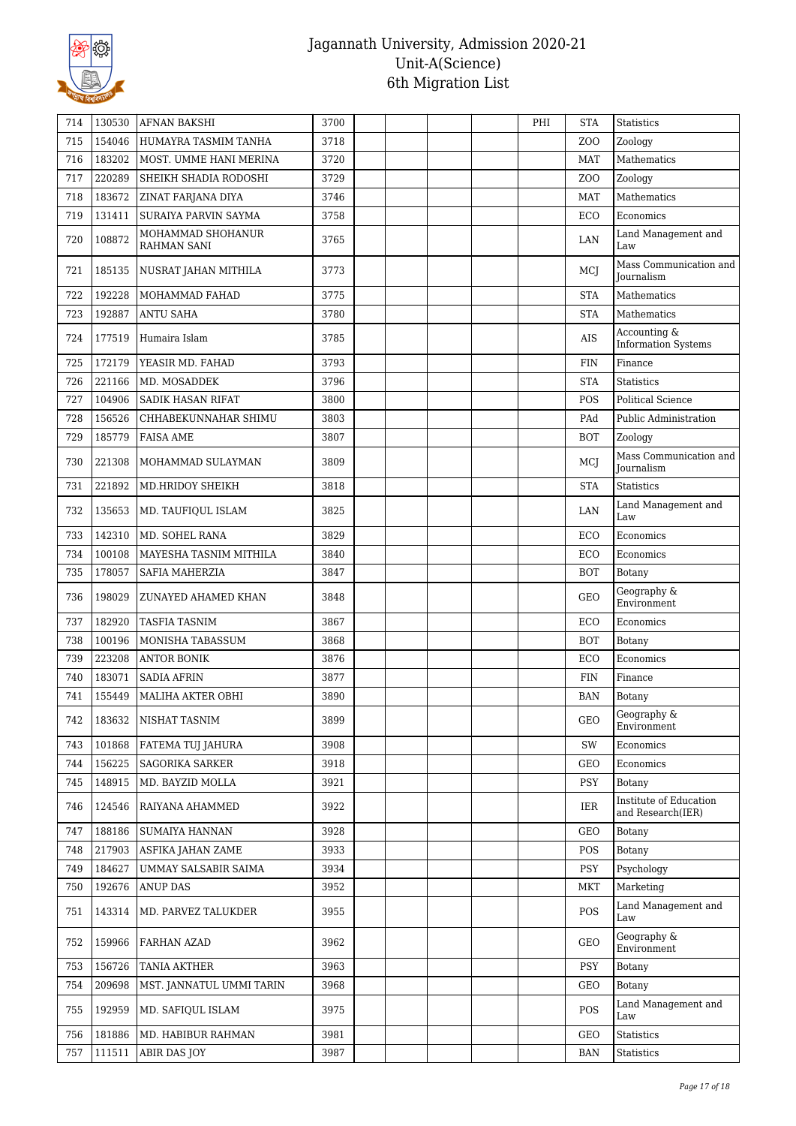

| 714 | 130530 | <b>AFNAN BAKSHI</b>              | 3700 |  | PHI | <b>STA</b>      | <b>Statistics</b>                           |
|-----|--------|----------------------------------|------|--|-----|-----------------|---------------------------------------------|
| 715 | 154046 | HUMAYRA TASMIM TANHA             | 3718 |  |     | ZO <sub>O</sub> | Zoology                                     |
| 716 | 183202 | MOST. UMME HANI MERINA           | 3720 |  |     | <b>MAT</b>      | Mathematics                                 |
| 717 | 220289 | SHEIKH SHADIA RODOSHI            | 3729 |  |     | ZO <sub>O</sub> | Zoology                                     |
| 718 | 183672 | ZINAT FARJANA DIYA               | 3746 |  |     | <b>MAT</b>      | Mathematics                                 |
| 719 | 131411 | SURAIYA PARVIN SAYMA             | 3758 |  |     | ECO             | Economics                                   |
| 720 | 108872 | MOHAMMAD SHOHANUR<br>RAHMAN SANI | 3765 |  |     | LAN             | Land Management and<br>Law                  |
| 721 | 185135 | NUSRAT JAHAN MITHILA             | 3773 |  |     | MCJ             | Mass Communication and<br><b>Iournalism</b> |
| 722 | 192228 | MOHAMMAD FAHAD                   | 3775 |  |     | <b>STA</b>      | Mathematics                                 |
| 723 | 192887 | <b>ANTU SAHA</b>                 | 3780 |  |     | <b>STA</b>      | Mathematics                                 |
| 724 | 177519 | Humaira Islam                    | 3785 |  |     | AIS             | Accounting &<br><b>Information Systems</b>  |
| 725 | 172179 | YEASIR MD. FAHAD                 | 3793 |  |     | <b>FIN</b>      | Finance                                     |
| 726 | 221166 | MD. MOSADDEK                     | 3796 |  |     | <b>STA</b>      | <b>Statistics</b>                           |
| 727 | 104906 | <b>SADIK HASAN RIFAT</b>         | 3800 |  |     | POS             | <b>Political Science</b>                    |
| 728 | 156526 | CHHABEKUNNAHAR SHIMU             | 3803 |  |     | PAd             | <b>Public Administration</b>                |
| 729 | 185779 | <b>FAISA AME</b>                 | 3807 |  |     | <b>BOT</b>      | Zoology                                     |
| 730 | 221308 | MOHAMMAD SULAYMAN                | 3809 |  |     | MCJ             | Mass Communication and<br>Journalism        |
| 731 | 221892 | MD.HRIDOY SHEIKH                 | 3818 |  |     | <b>STA</b>      | <b>Statistics</b>                           |
| 732 | 135653 | MD. TAUFIQUL ISLAM               | 3825 |  |     | LAN             | Land Management and<br>Law                  |
| 733 | 142310 | MD. SOHEL RANA                   | 3829 |  |     | ECO             | Economics                                   |
| 734 | 100108 | MAYESHA TASNIM MITHILA           | 3840 |  |     | ECO             | Economics                                   |
| 735 | 178057 | SAFIA MAHERZIA                   | 3847 |  |     | <b>BOT</b>      | Botany                                      |
| 736 | 198029 | ZUNAYED AHAMED KHAN              | 3848 |  |     | <b>GEO</b>      | Geography &<br>Environment                  |
| 737 | 182920 | <b>TASFIA TASNIM</b>             | 3867 |  |     | ECO             | Economics                                   |
| 738 | 100196 | MONISHA TABASSUM                 | 3868 |  |     | <b>BOT</b>      | Botany                                      |
| 739 | 223208 | <b>ANTOR BONIK</b>               | 3876 |  |     | ECO             | Economics                                   |
| 740 | 183071 | <b>SADIA AFRIN</b>               | 3877 |  |     | <b>FIN</b>      | Finance                                     |
| 741 | 155449 | <b>MALIHA AKTER OBHI</b>         | 3890 |  |     | <b>BAN</b>      | Botany                                      |
| 742 | 183632 | NISHAT TASNIM                    | 3899 |  |     | GEO             | Geography &<br>Environment                  |
| 743 | 101868 | FATEMA TUJ JAHURA                | 3908 |  |     | SW              | Economics                                   |
| 744 | 156225 | SAGORIKA SARKER                  | 3918 |  |     | GEO             | Economics                                   |
| 745 | 148915 | MD. BAYZID MOLLA                 | 3921 |  |     | <b>PSY</b>      | Botany                                      |
| 746 | 124546 | RAIYANA AHAMMED                  | 3922 |  |     | IER             | Institute of Education<br>and Research(IER) |
| 747 | 188186 | <b>SUMAIYA HANNAN</b>            | 3928 |  |     | GEO             | Botany                                      |
| 748 | 217903 | ASFIKA JAHAN ZAME                | 3933 |  |     | POS             | Botany                                      |
| 749 | 184627 | UMMAY SALSABIR SAIMA             | 3934 |  |     | <b>PSY</b>      | Psychology                                  |
| 750 | 192676 | <b>ANUP DAS</b>                  | 3952 |  |     | <b>MKT</b>      | Marketing                                   |
| 751 | 143314 | MD. PARVEZ TALUKDER              | 3955 |  |     | POS             | Land Management and<br>Law                  |
| 752 | 159966 | FARHAN AZAD                      | 3962 |  |     | <b>GEO</b>      | Geography &<br>Environment                  |
| 753 | 156726 | <b>TANIA AKTHER</b>              | 3963 |  |     | <b>PSY</b>      | Botany                                      |
| 754 | 209698 | MST. JANNATUL UMMI TARIN         | 3968 |  |     | <b>GEO</b>      | Botany                                      |
| 755 | 192959 | MD. SAFIQUL ISLAM                | 3975 |  |     | POS             | Land Management and<br>Law                  |
| 756 | 181886 | MD. HABIBUR RAHMAN               | 3981 |  |     | GEO             | <b>Statistics</b>                           |
| 757 | 111511 | ABIR DAS JOY                     | 3987 |  |     | <b>BAN</b>      | Statistics                                  |